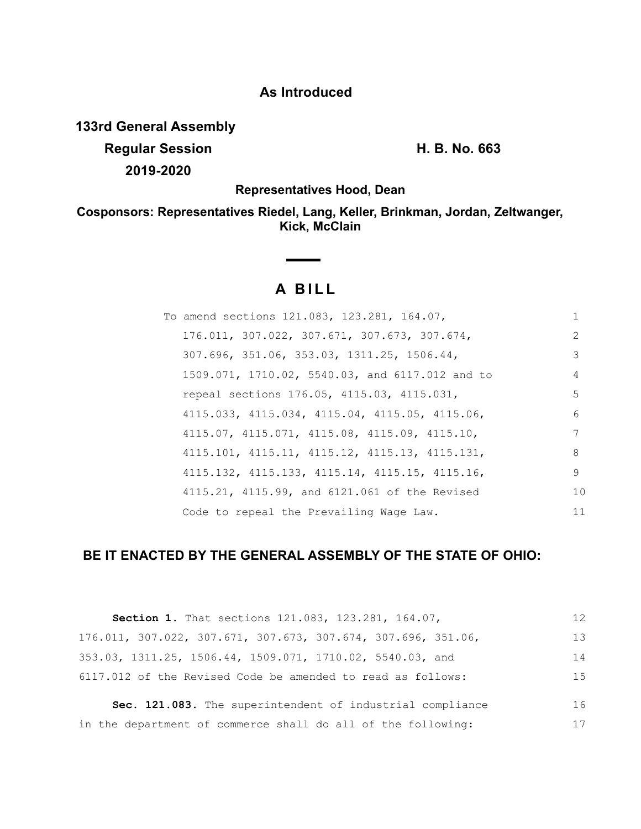### **As Introduced**

**133rd General Assembly**

**Regular Session H. B. No. 663 2019-2020**

**Representatives Hood, Dean**

**Cosponsors: Representatives Riedel, Lang, Keller, Brinkman, Jordan, Zeltwanger, Kick, McClain**

# **A BILL**

**Contract Contract Contract** 

| To amend sections 121.083, 123.281, 164.07,     |               |
|-------------------------------------------------|---------------|
| 176.011, 307.022, 307.671, 307.673, 307.674,    | $\mathcal{L}$ |
| 307.696, 351.06, 353.03, 1311.25, 1506.44,      | 3             |
| 1509.071, 1710.02, 5540.03, and 6117.012 and to | 4             |
| repeal sections 176.05, 4115.03, 4115.031,      | 5             |
| 4115.033, 4115.034, 4115.04, 4115.05, 4115.06,  | 6             |
| 4115.07, 4115.071, 4115.08, 4115.09, 4115.10,   | 7             |
| 4115.101, 4115.11, 4115.12, 4115.13, 4115.131,  | 8             |
| 4115.132, 4115.133, 4115.14, 4115.15, 4115.16,  | 9             |
| 4115.21, 4115.99, and 6121.061 of the Revised   | 10            |
| Code to repeal the Prevailing Wage Law.         | 11            |

## **BE IT ENACTED BY THE GENERAL ASSEMBLY OF THE STATE OF OHIO:**

| Section 1. That sections 121.083, 123.281, 164.07,            | 12 |
|---------------------------------------------------------------|----|
| 176.011, 307.022, 307.671, 307.673, 307.674, 307.696, 351.06, | 13 |
| 353.03, 1311.25, 1506.44, 1509.071, 1710.02, 5540.03, and     | 14 |
| 6117.012 of the Revised Code be amended to read as follows:   | 15 |
| Sec. 121.083. The superintendent of industrial compliance     | 16 |
| in the department of commerce shall do all of the following:  | 17 |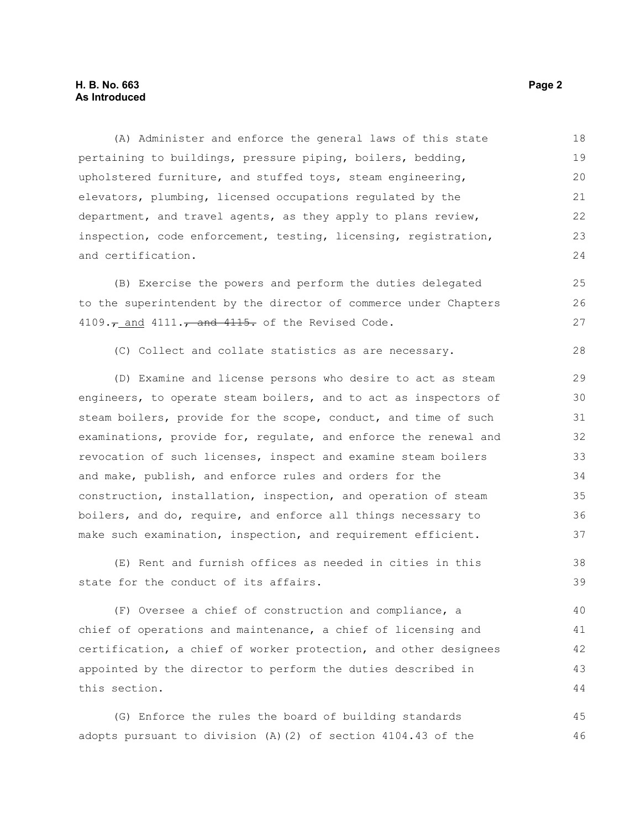#### **H. B. No. 663 Page 2 As Introduced**

(A) Administer and enforce the general laws of this state pertaining to buildings, pressure piping, boilers, bedding, upholstered furniture, and stuffed toys, steam engineering, elevators, plumbing, licensed occupations regulated by the department, and travel agents, as they apply to plans review, inspection, code enforcement, testing, licensing, registration, and certification. 18 19 20 21 22 23  $24$ 

(B) Exercise the powers and perform the duties delegated to the superintendent by the director of commerce under Chapters  $4109.7$  and  $4111.7$  and  $4115.$  of the Revised Code.

(C) Collect and collate statistics as are necessary. 28

(D) Examine and license persons who desire to act as steam engineers, to operate steam boilers, and to act as inspectors of steam boilers, provide for the scope, conduct, and time of such examinations, provide for, regulate, and enforce the renewal and revocation of such licenses, inspect and examine steam boilers and make, publish, and enforce rules and orders for the construction, installation, inspection, and operation of steam boilers, and do, require, and enforce all things necessary to make such examination, inspection, and requirement efficient.

(E) Rent and furnish offices as needed in cities in this state for the conduct of its affairs. 38 39

(F) Oversee a chief of construction and compliance, a chief of operations and maintenance, a chief of licensing and certification, a chief of worker protection, and other designees appointed by the director to perform the duties described in this section. 40 41 42 43 44

(G) Enforce the rules the board of building standards adopts pursuant to division (A)(2) of section 4104.43 of the 45 46

25 26 27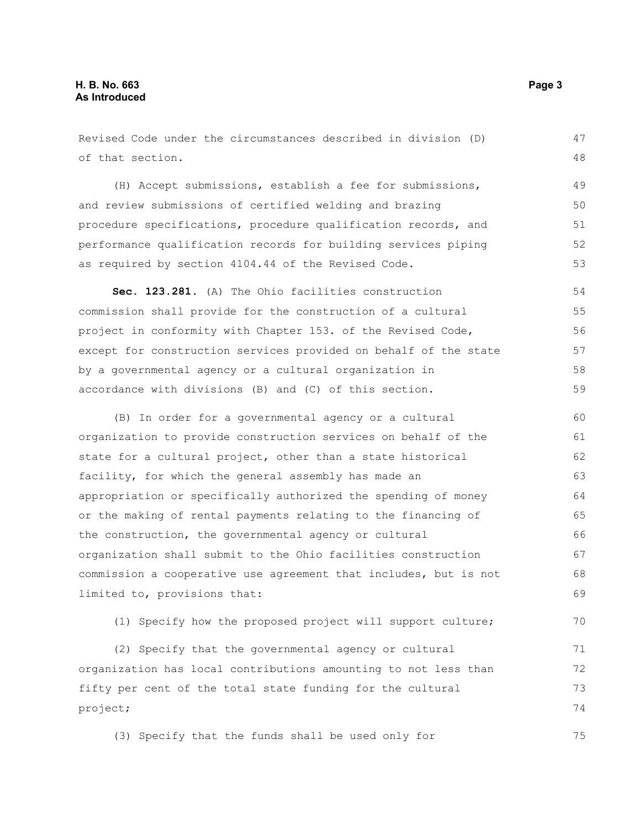Revised Code under the circumstances described in division (D) of that section. (H) Accept submissions, establish a fee for submissions, and review submissions of certified welding and brazing procedure specifications, procedure qualification records, and performance qualification records for building services piping as required by section 4104.44 of the Revised Code. **Sec. 123.281.** (A) The Ohio facilities construction commission shall provide for the construction of a cultural project in conformity with Chapter 153. of the Revised Code, except for construction services provided on behalf of the state by a governmental agency or a cultural organization in accordance with divisions (B) and (C) of this section. (B) In order for a governmental agency or a cultural organization to provide construction services on behalf of the state for a cultural project, other than a state historical facility, for which the general assembly has made an appropriation or specifically authorized the spending of money or the making of rental payments relating to the financing of the construction, the governmental agency or cultural organization shall submit to the Ohio facilities construction commission a cooperative use agreement that includes, but is not limited to, provisions that: (1) Specify how the proposed project will support culture; 47 48 49 50 51 52 53 54 55 56 57 58 59 60 61 62 63 64 65 66 67 68 69 70

(2) Specify that the governmental agency or cultural organization has local contributions amounting to not less than fifty per cent of the total state funding for the cultural project; 71 72 73 74

(3) Specify that the funds shall be used only for 75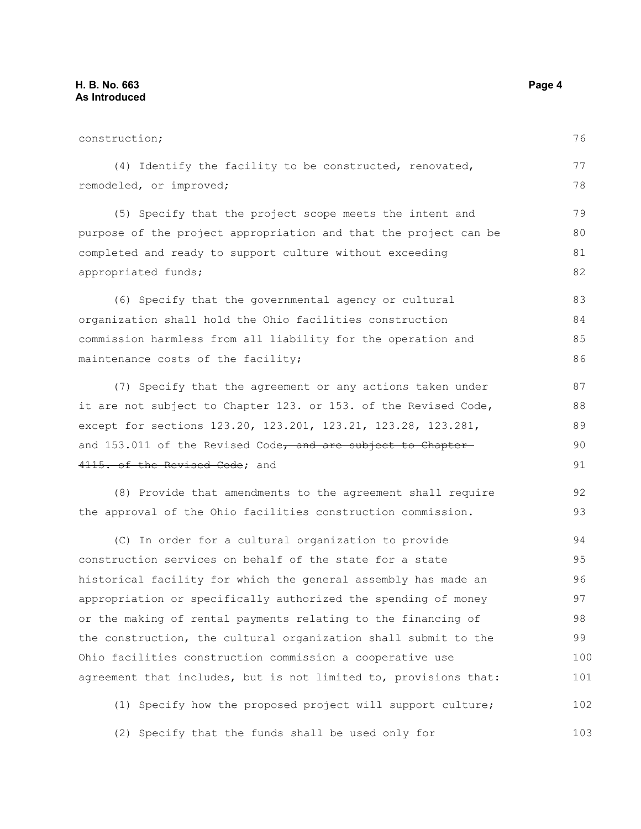construction; (4) Identify the facility to be constructed, renovated, remodeled, or improved; (5) Specify that the project scope meets the intent and purpose of the project appropriation and that the project can be completed and ready to support culture without exceeding appropriated funds; (6) Specify that the governmental agency or cultural organization shall hold the Ohio facilities construction commission harmless from all liability for the operation and maintenance costs of the facility; (7) Specify that the agreement or any actions taken under it are not subject to Chapter 123. or 153. of the Revised Code, except for sections 123.20, 123.201, 123.21, 123.28, 123.281, and 153.011 of the Revised Code, and are subject to Chapter 4115. of the Revised Code: and (8) Provide that amendments to the agreement shall require the approval of the Ohio facilities construction commission. (C) In order for a cultural organization to provide construction services on behalf of the state for a state historical facility for which the general assembly has made an appropriation or specifically authorized the spending of money or the making of rental payments relating to the financing of the construction, the cultural organization shall submit to the Ohio facilities construction commission a cooperative use agreement that includes, but is not limited to, provisions that: (1) Specify how the proposed project will support culture; 76 77 78 79 80 81 82 83 84 85 86 87 88 89 90 91 92 93 94 95 96 97 98 99 100 101 102

(2) Specify that the funds shall be used only for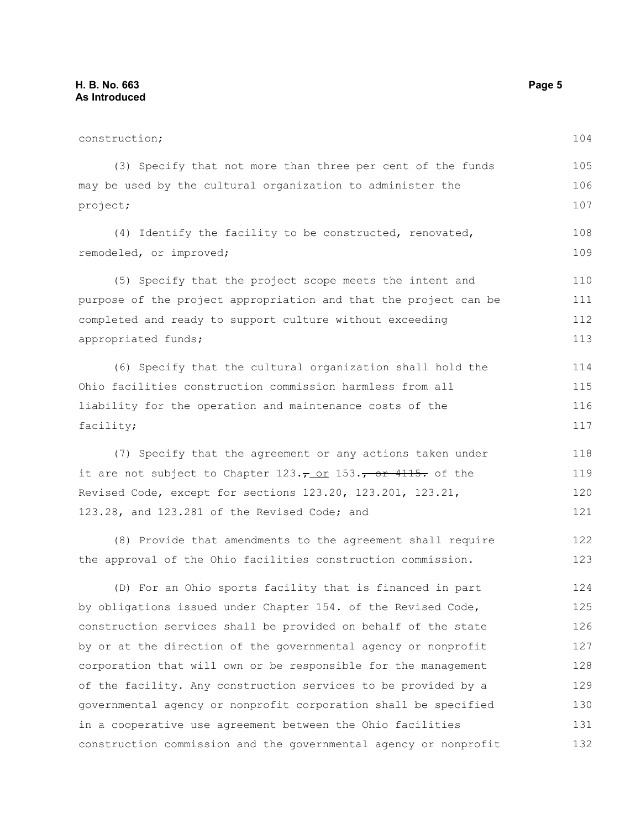| construction;                                                             | 104 |
|---------------------------------------------------------------------------|-----|
| (3) Specify that not more than three per cent of the funds                | 105 |
| may be used by the cultural organization to administer the                | 106 |
| project;                                                                  | 107 |
| (4) Identify the facility to be constructed, renovated,                   | 108 |
| remodeled, or improved;                                                   | 109 |
| (5) Specify that the project scope meets the intent and                   | 110 |
| purpose of the project appropriation and that the project can be          | 111 |
| completed and ready to support culture without exceeding                  | 112 |
| appropriated funds;                                                       | 113 |
| (6) Specify that the cultural organization shall hold the                 | 114 |
| Ohio facilities construction commission harmless from all                 | 115 |
| liability for the operation and maintenance costs of the                  | 116 |
| facility;                                                                 | 117 |
| (7) Specify that the agreement or any actions taken under                 | 118 |
| it are not subject to Chapter $123.\tau$ or $153.\tau$ or $4115$ . of the | 119 |
| Revised Code, except for sections 123.20, 123.201, 123.21,                | 120 |
| 123.28, and 123.281 of the Revised Code; and                              | 121 |
| (8) Provide that amendments to the agreement shall require                | 122 |
| the approval of the Ohio facilities construction commission.              | 123 |
| (D) For an Ohio sports facility that is financed in part                  | 124 |
| by obligations issued under Chapter 154. of the Revised Code,             | 125 |
| construction services shall be provided on behalf of the state            | 126 |
| by or at the direction of the governmental agency or nonprofit            | 127 |
| corporation that will own or be responsible for the management            | 128 |
| of the facility. Any construction services to be provided by a            | 129 |
| governmental agency or nonprofit corporation shall be specified           | 130 |
| in a cooperative use agreement between the Ohio facilities                | 131 |
| construction commission and the governmental agency or nonprofit          | 132 |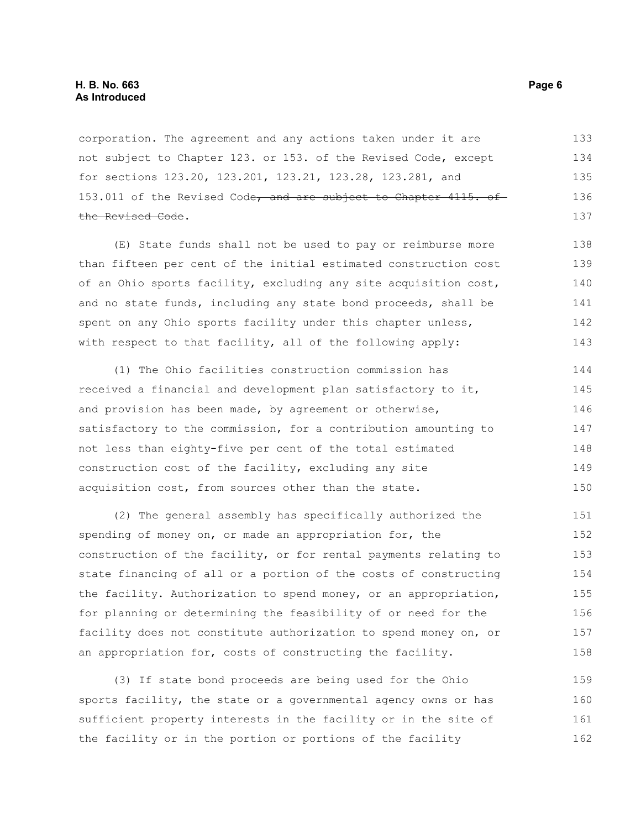corporation. The agreement and any actions taken under it are not subject to Chapter 123. or 153. of the Revised Code, except for sections 123.20, 123.201, 123.21, 123.28, 123.281, and 153.011 of the Revised Code, and are subject to Chapter 4115. of the Revised Code. 133 134 135 136 137

(E) State funds shall not be used to pay or reimburse more than fifteen per cent of the initial estimated construction cost of an Ohio sports facility, excluding any site acquisition cost, and no state funds, including any state bond proceeds, shall be spent on any Ohio sports facility under this chapter unless, with respect to that facility, all of the following apply: 138 139 140 141 142 143

(1) The Ohio facilities construction commission has received a financial and development plan satisfactory to it, and provision has been made, by agreement or otherwise, satisfactory to the commission, for a contribution amounting to not less than eighty-five per cent of the total estimated construction cost of the facility, excluding any site acquisition cost, from sources other than the state. 144 145 146 147 148 149 150

(2) The general assembly has specifically authorized the spending of money on, or made an appropriation for, the construction of the facility, or for rental payments relating to state financing of all or a portion of the costs of constructing the facility. Authorization to spend money, or an appropriation, for planning or determining the feasibility of or need for the facility does not constitute authorization to spend money on, or an appropriation for, costs of constructing the facility. 151 152 153 154 155 156 157 158

(3) If state bond proceeds are being used for the Ohio sports facility, the state or a governmental agency owns or has sufficient property interests in the facility or in the site of the facility or in the portion or portions of the facility 159 160 161 162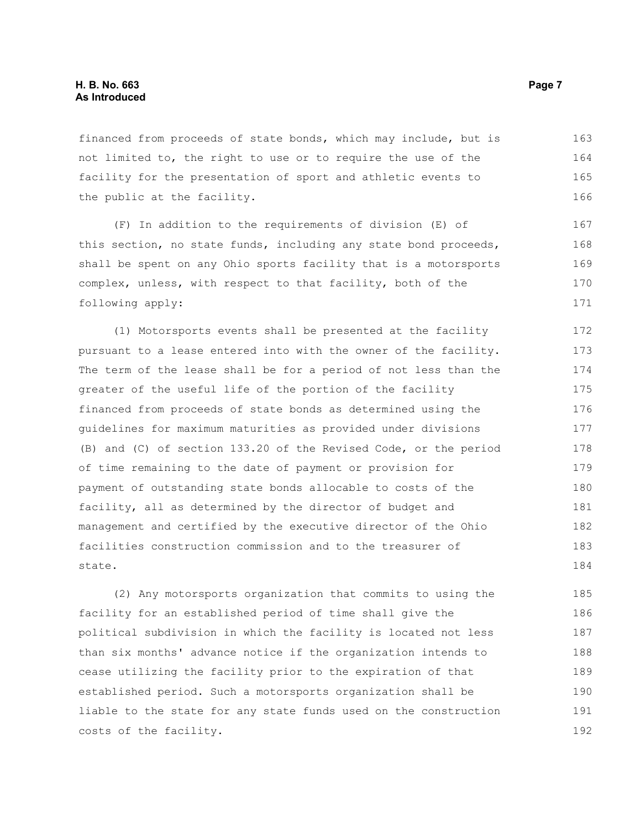financed from proceeds of state bonds, which may include, but is not limited to, the right to use or to require the use of the facility for the presentation of sport and athletic events to the public at the facility. 163 164 165 166

(F) In addition to the requirements of division (E) of this section, no state funds, including any state bond proceeds, shall be spent on any Ohio sports facility that is a motorsports complex, unless, with respect to that facility, both of the following apply:

(1) Motorsports events shall be presented at the facility pursuant to a lease entered into with the owner of the facility. The term of the lease shall be for a period of not less than the greater of the useful life of the portion of the facility financed from proceeds of state bonds as determined using the guidelines for maximum maturities as provided under divisions (B) and (C) of section 133.20 of the Revised Code, or the period of time remaining to the date of payment or provision for payment of outstanding state bonds allocable to costs of the facility, all as determined by the director of budget and management and certified by the executive director of the Ohio facilities construction commission and to the treasurer of state. 172 173 174 175 176 177 178 179 180 181 182 183 184

(2) Any motorsports organization that commits to using the facility for an established period of time shall give the political subdivision in which the facility is located not less than six months' advance notice if the organization intends to cease utilizing the facility prior to the expiration of that established period. Such a motorsports organization shall be liable to the state for any state funds used on the construction costs of the facility. 185 186 187 188 189 190 191 192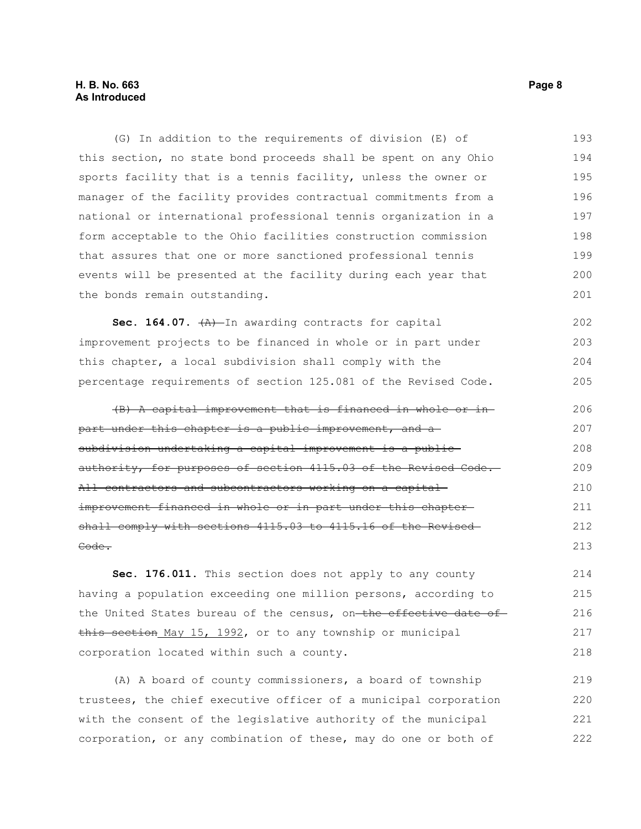(G) In addition to the requirements of division (E) of this section, no state bond proceeds shall be spent on any Ohio sports facility that is a tennis facility, unless the owner or manager of the facility provides contractual commitments from a national or international professional tennis organization in a form acceptable to the Ohio facilities construction commission that assures that one or more sanctioned professional tennis events will be presented at the facility during each year that the bonds remain outstanding. 193 194 195 196 197 198 199 200 201

Sec. 164.07.  $+A$ ) In awarding contracts for capital improvement projects to be financed in whole or in part under this chapter, a local subdivision shall comply with the percentage requirements of section 125.081 of the Revised Code. 202 203 204 205

(B) A capital improvement that is financed in whole or in part under this chapter is a public improvement, and a subdivision undertaking a capital improvement is a publicauthority, for purposes of section 4115.03 of the Revised Code. All contractors and subcontractors working on a capital improvement financed in whole or in part under this chaptershall comply with sections 4115.03 to 4115.16 of the Revised Code. 206 207 208 209 210 211 212 213

**Sec. 176.011.** This section does not apply to any county having a population exceeding one million persons, according to the United States bureau of the census, on-the effective date ofthis section May 15, 1992, or to any township or municipal corporation located within such a county. 214 215 216 217 218

(A) A board of county commissioners, a board of township trustees, the chief executive officer of a municipal corporation with the consent of the legislative authority of the municipal corporation, or any combination of these, may do one or both of 219 220 221 222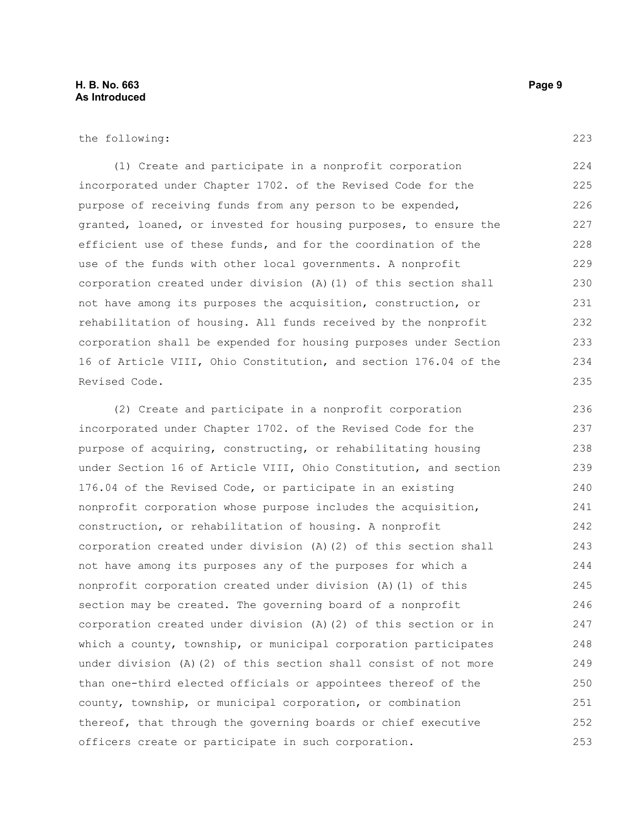the following:

(1) Create and participate in a nonprofit corporation incorporated under Chapter 1702. of the Revised Code for the purpose of receiving funds from any person to be expended, granted, loaned, or invested for housing purposes, to ensure the efficient use of these funds, and for the coordination of the use of the funds with other local governments. A nonprofit corporation created under division (A)(1) of this section shall not have among its purposes the acquisition, construction, or rehabilitation of housing. All funds received by the nonprofit corporation shall be expended for housing purposes under Section 16 of Article VIII, Ohio Constitution, and section 176.04 of the Revised Code. 224 225 226 227 228 229 230 231 232 233 234 235

(2) Create and participate in a nonprofit corporation incorporated under Chapter 1702. of the Revised Code for the purpose of acquiring, constructing, or rehabilitating housing under Section 16 of Article VIII, Ohio Constitution, and section 176.04 of the Revised Code, or participate in an existing nonprofit corporation whose purpose includes the acquisition, construction, or rehabilitation of housing. A nonprofit corporation created under division (A)(2) of this section shall not have among its purposes any of the purposes for which a nonprofit corporation created under division (A)(1) of this section may be created. The governing board of a nonprofit corporation created under division (A)(2) of this section or in which a county, township, or municipal corporation participates under division (A)(2) of this section shall consist of not more than one-third elected officials or appointees thereof of the county, township, or municipal corporation, or combination thereof, that through the governing boards or chief executive officers create or participate in such corporation. 236 237 238 239 240 241 242 243 244 245 246 247 248 249 250 251 252 253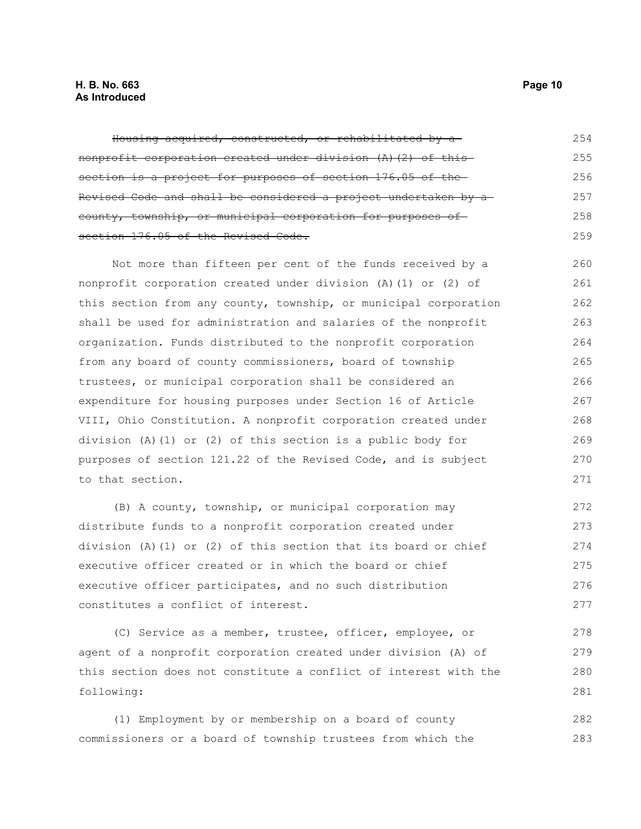#### **H. B. No. 663 Page 10 As Introduced**

| Housing acquired, constructed, or rehabilitated by a           | 2.54 |
|----------------------------------------------------------------|------|
| nonprofit corporation created under division (A) (2) of this   | 255  |
| section is a project for purposes of section 176.05 of the     | 256  |
| Revised Code and shall be considered a project undertaken by a | 2.57 |
| county, township, or municipal corporation for purposes of     | 258  |
| section 176.05 of the Revised Code.                            | 259  |

Not more than fifteen per cent of the funds received by a nonprofit corporation created under division (A)(1) or (2) of this section from any county, township, or municipal corporation shall be used for administration and salaries of the nonprofit organization. Funds distributed to the nonprofit corporation from any board of county commissioners, board of township trustees, or municipal corporation shall be considered an expenditure for housing purposes under Section 16 of Article VIII, Ohio Constitution. A nonprofit corporation created under division (A)(1) or (2) of this section is a public body for purposes of section 121.22 of the Revised Code, and is subject to that section. 260 261 262 263 264 265 266 267 268 269 270 271

(B) A county, township, or municipal corporation may distribute funds to a nonprofit corporation created under division (A)(1) or (2) of this section that its board or chief executive officer created or in which the board or chief executive officer participates, and no such distribution constitutes a conflict of interest. 272 273 274 275 276 277

(C) Service as a member, trustee, officer, employee, or agent of a nonprofit corporation created under division (A) of this section does not constitute a conflict of interest with the following: 278 279 280 281

(1) Employment by or membership on a board of county commissioners or a board of township trustees from which the 282 283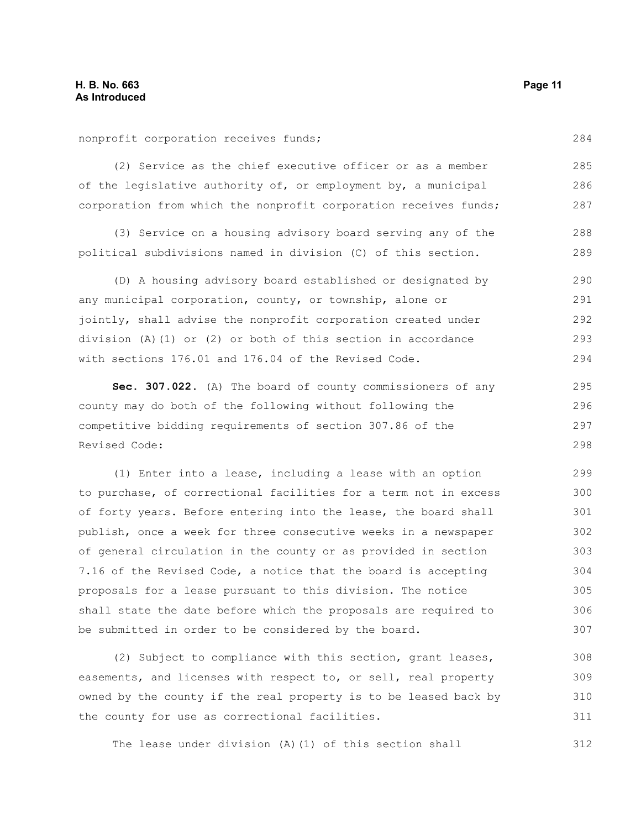nonprofit corporation receives funds;

(2) Service as the chief executive officer or as a member of the legislative authority of, or employment by, a municipal corporation from which the nonprofit corporation receives funds;

(3) Service on a housing advisory board serving any of the political subdivisions named in division (C) of this section. 288 289

(D) A housing advisory board established or designated by any municipal corporation, county, or township, alone or jointly, shall advise the nonprofit corporation created under division (A)(1) or (2) or both of this section in accordance with sections 176.01 and 176.04 of the Revised Code. 290 291 292 293 294

**Sec. 307.022.** (A) The board of county commissioners of any county may do both of the following without following the competitive bidding requirements of section 307.86 of the Revised Code: 295 296 298

(1) Enter into a lease, including a lease with an option to purchase, of correctional facilities for a term not in excess of forty years. Before entering into the lease, the board shall publish, once a week for three consecutive weeks in a newspaper of general circulation in the county or as provided in section 7.16 of the Revised Code, a notice that the board is accepting proposals for a lease pursuant to this division. The notice shall state the date before which the proposals are required to be submitted in order to be considered by the board. 299 300 301 302 303 304 305 306 307

(2) Subject to compliance with this section, grant leases, easements, and licenses with respect to, or sell, real property owned by the county if the real property is to be leased back by the county for use as correctional facilities. 308 309 310 311

The lease under division (A)(1) of this section shall 312

284

285 286 287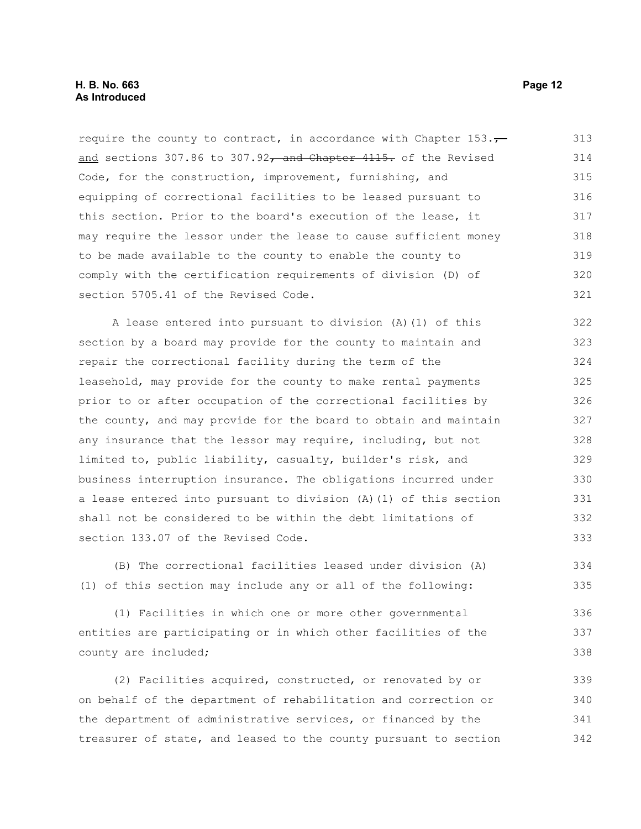require the county to contract, in accordance with Chapter  $153.\tau$ and sections 307.86 to 307.92 $\tau$  and Chapter 4115. of the Revised Code, for the construction, improvement, furnishing, and equipping of correctional facilities to be leased pursuant to this section. Prior to the board's execution of the lease, it may require the lessor under the lease to cause sufficient money to be made available to the county to enable the county to comply with the certification requirements of division (D) of section 5705.41 of the Revised Code. 313 314 315 316 317 318 319 320 321

A lease entered into pursuant to division (A)(1) of this section by a board may provide for the county to maintain and repair the correctional facility during the term of the leasehold, may provide for the county to make rental payments prior to or after occupation of the correctional facilities by the county, and may provide for the board to obtain and maintain any insurance that the lessor may require, including, but not limited to, public liability, casualty, builder's risk, and business interruption insurance. The obligations incurred under a lease entered into pursuant to division (A)(1) of this section shall not be considered to be within the debt limitations of section 133.07 of the Revised Code. 322 323 324 325 326 327 328 329 330 331 332 333

(B) The correctional facilities leased under division (A) (1) of this section may include any or all of the following:

(1) Facilities in which one or more other governmental entities are participating or in which other facilities of the county are included; 336 337 338

(2) Facilities acquired, constructed, or renovated by or on behalf of the department of rehabilitation and correction or the department of administrative services, or financed by the treasurer of state, and leased to the county pursuant to section 339 340 341 342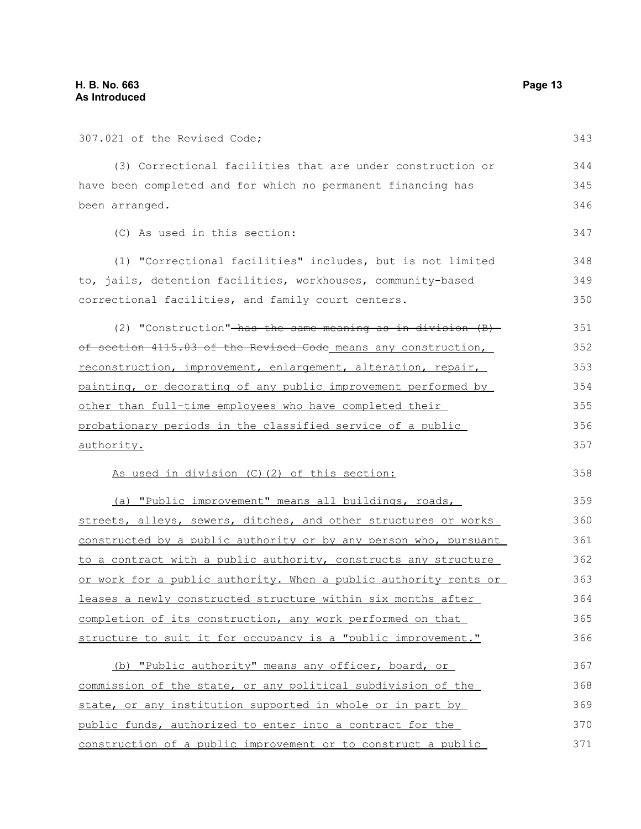| 307.021 of the Revised Code;                                     | 343 |
|------------------------------------------------------------------|-----|
| (3) Correctional facilities that are under construction or       | 344 |
| have been completed and for which no permanent financing has     | 345 |
| been arranged.                                                   | 346 |
| (C) As used in this section:                                     | 347 |
| (1) "Correctional facilities" includes, but is not limited       | 348 |
| to, jails, detention facilities, workhouses, community-based     | 349 |
| correctional facilities, and family court centers.               | 350 |
| (2) "Construction"-has the same meaning as in division $(B)$ -   | 351 |
| of section 4115.03 of the Revised Code means any construction,   | 352 |
| reconstruction, improvement, enlargement, alteration, repair,    | 353 |
| painting, or decorating of any public improvement performed by   | 354 |
| other than full-time employees who have completed their          | 355 |
| probationary periods in the classified service of a public       | 356 |
| authority.                                                       | 357 |
| As used in division (C) (2) of this section:                     | 358 |
| (a) "Public improvement" means all buildings, roads,             | 359 |
| streets, alleys, sewers, ditches, and other structures or works  | 360 |
| constructed by a public authority or by any person who, pursuant | 361 |
| to a contract with a public authority, constructs any structure  | 362 |
| or work for a public authority. When a public authority rents or | 363 |
| leases a newly constructed structure within six months after     | 364 |
| completion of its construction, any work performed on that       | 365 |
| structure to suit it for occupancy is a "public improvement."    | 366 |
| (b) "Public authority" means any officer, board, or              | 367 |
| commission of the state, or any political subdivision of the     | 368 |
| state, or any institution supported in whole or in part by       | 369 |
| public funds, authorized to enter into a contract for the        | 370 |
|                                                                  |     |

construction of a public improvement or to construct a public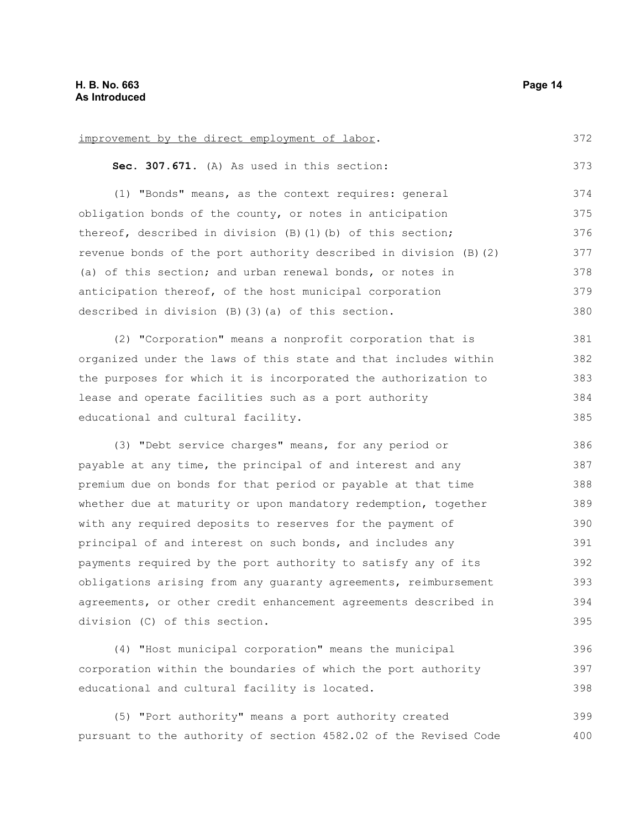improvement by the direct employment of labor. **Sec. 307.671.** (A) As used in this section: (1) "Bonds" means, as the context requires: general obligation bonds of the county, or notes in anticipation thereof, described in division (B)(1)(b) of this section; revenue bonds of the port authority described in division (B)(2) (a) of this section; and urban renewal bonds, or notes in anticipation thereof, of the host municipal corporation described in division (B)(3)(a) of this section. (2) "Corporation" means a nonprofit corporation that is organized under the laws of this state and that includes within the purposes for which it is incorporated the authorization to lease and operate facilities such as a port authority educational and cultural facility. (3) "Debt service charges" means, for any period or payable at any time, the principal of and interest and any premium due on bonds for that period or payable at that time whether due at maturity or upon mandatory redemption, together with any required deposits to reserves for the payment of principal of and interest on such bonds, and includes any payments required by the port authority to satisfy any of its obligations arising from any guaranty agreements, reimbursement agreements, or other credit enhancement agreements described in division (C) of this section. (4) "Host municipal corporation" means the municipal corporation within the boundaries of which the port authority 372 373 374 375 376 377 378 379 380 381 382 383 384 385 386 387 388 389 390 391 392 393 394 395 396 397

(5) "Port authority" means a port authority created pursuant to the authority of section 4582.02 of the Revised Code 399 400

educational and cultural facility is located.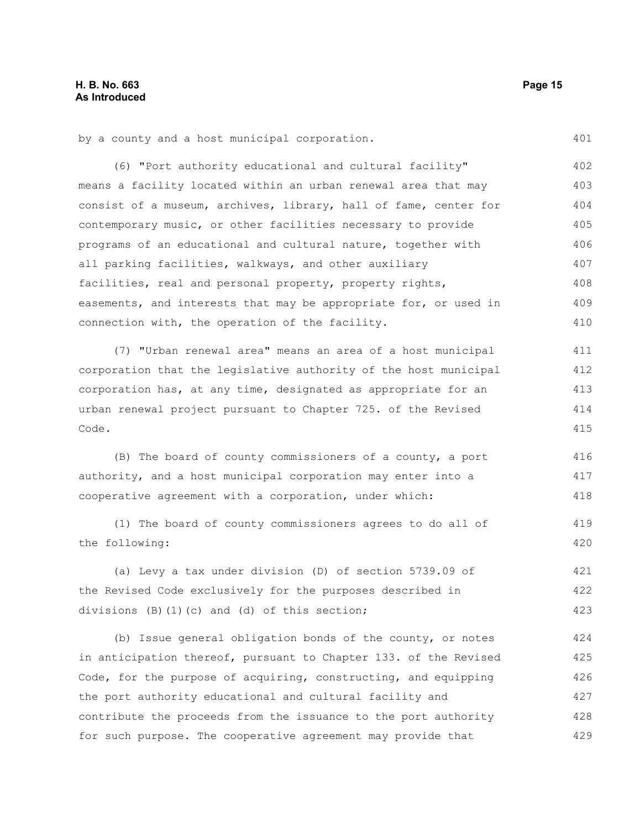401

419 420

by a county and a host municipal corporation.

(6) "Port authority educational and cultural facility" means a facility located within an urban renewal area that may consist of a museum, archives, library, hall of fame, center for contemporary music, or other facilities necessary to provide programs of an educational and cultural nature, together with all parking facilities, walkways, and other auxiliary facilities, real and personal property, property rights, easements, and interests that may be appropriate for, or used in connection with, the operation of the facility. 402 403 404 405 406 407 408 409 410

(7) "Urban renewal area" means an area of a host municipal corporation that the legislative authority of the host municipal corporation has, at any time, designated as appropriate for an urban renewal project pursuant to Chapter 725. of the Revised Code. 411 412 413 414 415

(B) The board of county commissioners of a county, a port authority, and a host municipal corporation may enter into a cooperative agreement with a corporation, under which: 416 417 418

(1) The board of county commissioners agrees to do all of the following:

(a) Levy a tax under division (D) of section 5739.09 of the Revised Code exclusively for the purposes described in divisions (B)(1)(c) and (d) of this section; 421 422 423

(b) Issue general obligation bonds of the county, or notes in anticipation thereof, pursuant to Chapter 133. of the Revised Code, for the purpose of acquiring, constructing, and equipping the port authority educational and cultural facility and contribute the proceeds from the issuance to the port authority for such purpose. The cooperative agreement may provide that 424 425 426 427 428 429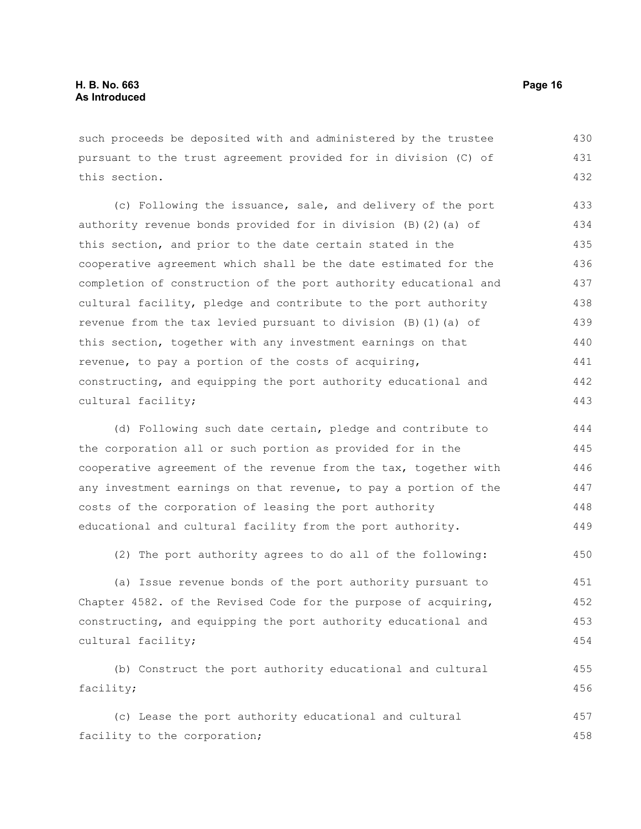such proceeds be deposited with and administered by the trustee pursuant to the trust agreement provided for in division (C) of this section. 430 431 432

(c) Following the issuance, sale, and delivery of the port authority revenue bonds provided for in division (B)(2)(a) of this section, and prior to the date certain stated in the cooperative agreement which shall be the date estimated for the completion of construction of the port authority educational and cultural facility, pledge and contribute to the port authority revenue from the tax levied pursuant to division (B)(1)(a) of this section, together with any investment earnings on that revenue, to pay a portion of the costs of acquiring, constructing, and equipping the port authority educational and cultural facility; 433 434 435 436 437 438 439 440 441 442 443

(d) Following such date certain, pledge and contribute to the corporation all or such portion as provided for in the cooperative agreement of the revenue from the tax, together with any investment earnings on that revenue, to pay a portion of the costs of the corporation of leasing the port authority educational and cultural facility from the port authority. 444 445 446 447 448 449

(2) The port authority agrees to do all of the following: 450

(a) Issue revenue bonds of the port authority pursuant to Chapter 4582. of the Revised Code for the purpose of acquiring, constructing, and equipping the port authority educational and cultural facility; 451 452 453 454

(b) Construct the port authority educational and cultural facility; 455 456

(c) Lease the port authority educational and cultural facility to the corporation; 457 458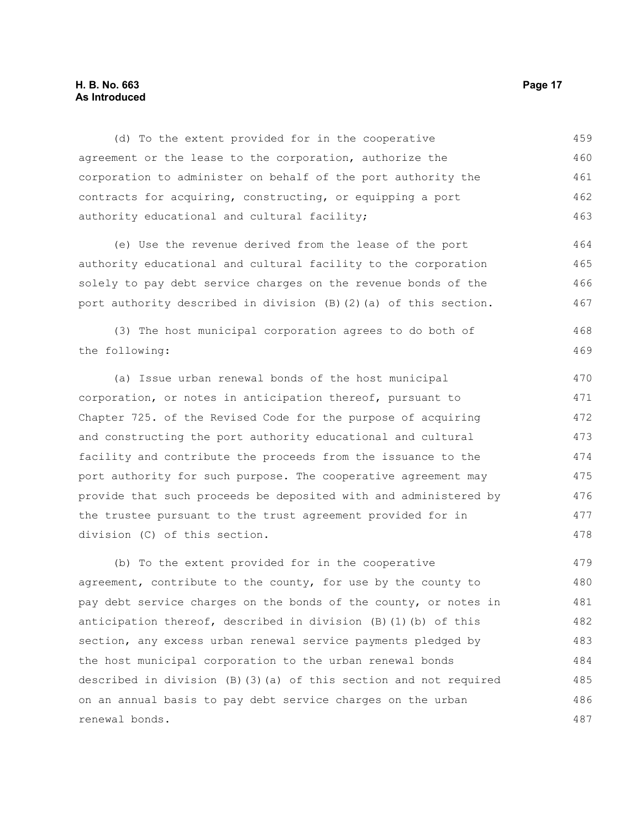#### **H. B. No. 663 Page 17 As Introduced**

(d) To the extent provided for in the cooperative agreement or the lease to the corporation, authorize the corporation to administer on behalf of the port authority the contracts for acquiring, constructing, or equipping a port authority educational and cultural facility; 459 460 461 462 463

(e) Use the revenue derived from the lease of the port authority educational and cultural facility to the corporation solely to pay debt service charges on the revenue bonds of the port authority described in division (B)(2)(a) of this section. 464 465 466 467

(3) The host municipal corporation agrees to do both of the following:

(a) Issue urban renewal bonds of the host municipal corporation, or notes in anticipation thereof, pursuant to Chapter 725. of the Revised Code for the purpose of acquiring and constructing the port authority educational and cultural facility and contribute the proceeds from the issuance to the port authority for such purpose. The cooperative agreement may provide that such proceeds be deposited with and administered by the trustee pursuant to the trust agreement provided for in division (C) of this section. 470 471 472 473 474 475 476 477 478

(b) To the extent provided for in the cooperative agreement, contribute to the county, for use by the county to pay debt service charges on the bonds of the county, or notes in anticipation thereof, described in division  $(B)$  (1)(b) of this section, any excess urban renewal service payments pledged by the host municipal corporation to the urban renewal bonds described in division (B)(3)(a) of this section and not required on an annual basis to pay debt service charges on the urban renewal bonds. 479 480 481 482 483 484 485 486 487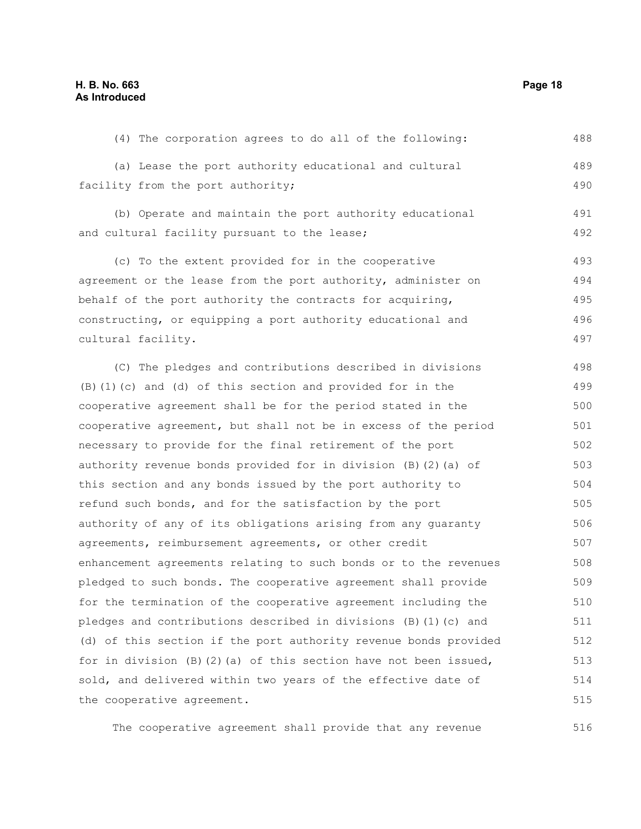(4) The corporation agrees to do all of the following: (a) Lease the port authority educational and cultural facility from the port authority; (b) Operate and maintain the port authority educational and cultural facility pursuant to the lease; (c) To the extent provided for in the cooperative agreement or the lease from the port authority, administer on behalf of the port authority the contracts for acquiring, constructing, or equipping a port authority educational and cultural facility. (C) The pledges and contributions described in divisions (B)(1)(c) and (d) of this section and provided for in the cooperative agreement shall be for the period stated in the cooperative agreement, but shall not be in excess of the period necessary to provide for the final retirement of the port authority revenue bonds provided for in division (B)(2)(a) of this section and any bonds issued by the port authority to refund such bonds, and for the satisfaction by the port authority of any of its obligations arising from any guaranty agreements, reimbursement agreements, or other credit enhancement agreements relating to such bonds or to the revenues pledged to such bonds. The cooperative agreement shall provide for the termination of the cooperative agreement including the pledges and contributions described in divisions (B)(1)(c) and (d) of this section if the port authority revenue bonds provided for in division  $(B)$   $(2)$   $(a)$  of this section have not been issued, sold, and delivered within two years of the effective date of the cooperative agreement. 488 489 490 491 492 493 494 495 496 497 498 499 500 501 502 503 504 505 506 507 508 509 510 511 512 513 514 515

The cooperative agreement shall provide that any revenue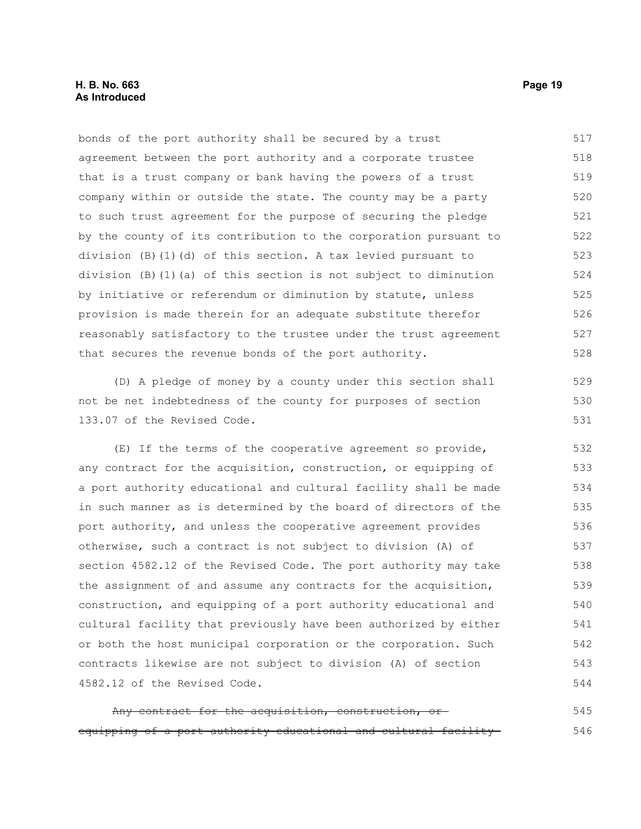bonds of the port authority shall be secured by a trust agreement between the port authority and a corporate trustee that is a trust company or bank having the powers of a trust company within or outside the state. The county may be a party to such trust agreement for the purpose of securing the pledge by the county of its contribution to the corporation pursuant to division (B)(1)(d) of this section. A tax levied pursuant to division (B)(1)(a) of this section is not subject to diminution by initiative or referendum or diminution by statute, unless provision is made therein for an adequate substitute therefor reasonably satisfactory to the trustee under the trust agreement that secures the revenue bonds of the port authority. 517 518 519 520 521 522 523 524 525 526 527 528

(D) A pledge of money by a county under this section shall not be net indebtedness of the county for purposes of section 133.07 of the Revised Code.

(E) If the terms of the cooperative agreement so provide, any contract for the acquisition, construction, or equipping of a port authority educational and cultural facility shall be made in such manner as is determined by the board of directors of the port authority, and unless the cooperative agreement provides otherwise, such a contract is not subject to division (A) of section 4582.12 of the Revised Code. The port authority may take the assignment of and assume any contracts for the acquisition, construction, and equipping of a port authority educational and cultural facility that previously have been authorized by either or both the host municipal corporation or the corporation. Such contracts likewise are not subject to division (A) of section 4582.12 of the Revised Code. 532 533 534 535 536 537 538 539 540 541 542 543 544

Any contract for the acquisition, construction, or equipping of a port authority educational and cultural facility 545 546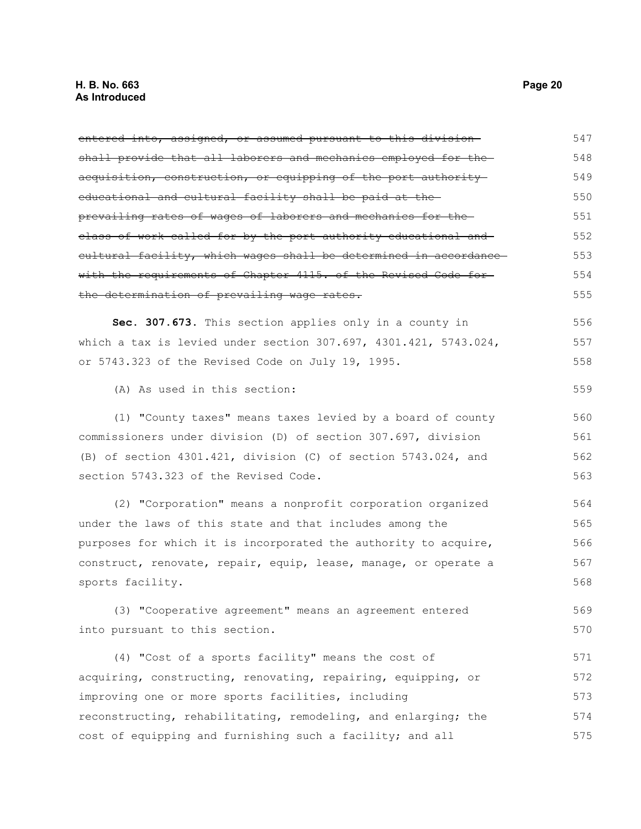entered into, assigned, or assumed pursuant to this division shall provide that all laborers and mechanics employed for the acquisition, construction, or equipping of the port authority educational and cultural facility shall be paid at the prevailing rates of wages of laborers and mechanics for the class of work called for by the port authority educational and cultural facility, which wages shall be determined in accordance with the requirements of Chapter 4115. of the Revised Code forthe determination of prevailing wage rates. **Sec. 307.673.** This section applies only in a county in which a tax is levied under section 307.697, 4301.421, 5743.024, or 5743.323 of the Revised Code on July 19, 1995. (A) As used in this section: (1) "County taxes" means taxes levied by a board of county 547 548 549 550 551 552 553 554 555 556 557 558 559 560

commissioners under division (D) of section 307.697, division (B) of section 4301.421, division (C) of section 5743.024, and section 5743.323 of the Revised Code. 561 562 563

(2) "Corporation" means a nonprofit corporation organized under the laws of this state and that includes among the purposes for which it is incorporated the authority to acquire, construct, renovate, repair, equip, lease, manage, or operate a sports facility. 564 565 566 567 568

(3) "Cooperative agreement" means an agreement entered into pursuant to this section. 569 570

(4) "Cost of a sports facility" means the cost of acquiring, constructing, renovating, repairing, equipping, or improving one or more sports facilities, including reconstructing, rehabilitating, remodeling, and enlarging; the cost of equipping and furnishing such a facility; and all 571 572 573 574 575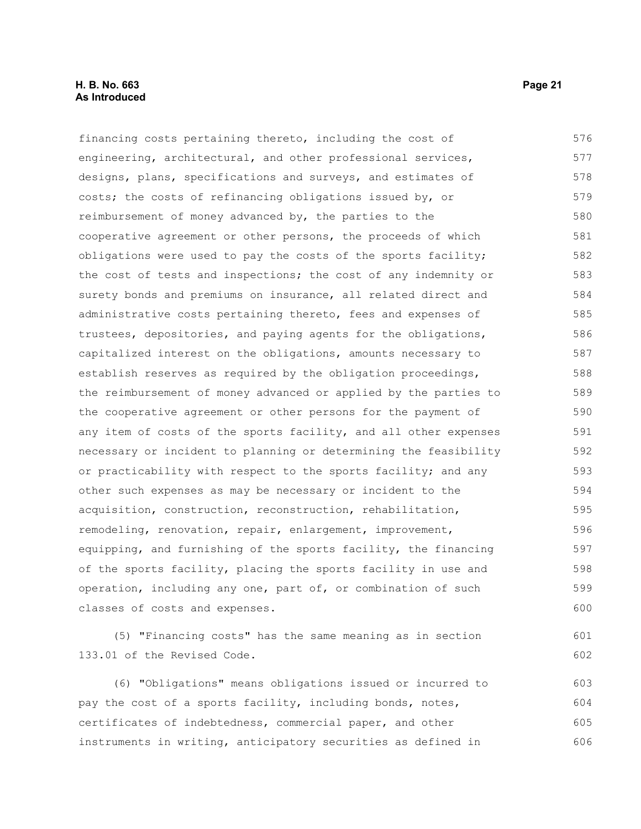#### **H. B. No. 663 Page 21 As Introduced**

133.01 of the Revised Code.

financing costs pertaining thereto, including the cost of engineering, architectural, and other professional services, designs, plans, specifications and surveys, and estimates of costs; the costs of refinancing obligations issued by, or reimbursement of money advanced by, the parties to the cooperative agreement or other persons, the proceeds of which obligations were used to pay the costs of the sports facility; the cost of tests and inspections; the cost of any indemnity or surety bonds and premiums on insurance, all related direct and administrative costs pertaining thereto, fees and expenses of trustees, depositories, and paying agents for the obligations, capitalized interest on the obligations, amounts necessary to establish reserves as required by the obligation proceedings, the reimbursement of money advanced or applied by the parties to the cooperative agreement or other persons for the payment of any item of costs of the sports facility, and all other expenses necessary or incident to planning or determining the feasibility or practicability with respect to the sports facility; and any other such expenses as may be necessary or incident to the acquisition, construction, reconstruction, rehabilitation, remodeling, renovation, repair, enlargement, improvement, equipping, and furnishing of the sports facility, the financing of the sports facility, placing the sports facility in use and operation, including any one, part of, or combination of such classes of costs and expenses. (5) "Financing costs" has the same meaning as in section 576 577 578 579 580 581 582 583 584 585 586 587 588 589 590 591 592 593 594 595 596 597 598 599 600 601

(6) "Obligations" means obligations issued or incurred to pay the cost of a sports facility, including bonds, notes, certificates of indebtedness, commercial paper, and other instruments in writing, anticipatory securities as defined in 603 604 605 606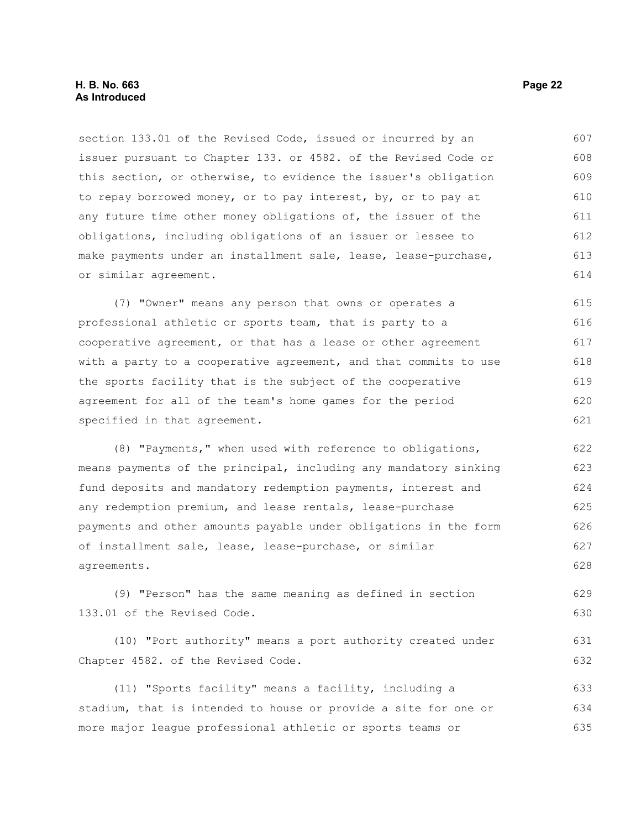section 133.01 of the Revised Code, issued or incurred by an issuer pursuant to Chapter 133. or 4582. of the Revised Code or this section, or otherwise, to evidence the issuer's obligation to repay borrowed money, or to pay interest, by, or to pay at any future time other money obligations of, the issuer of the obligations, including obligations of an issuer or lessee to make payments under an installment sale, lease, lease-purchase, or similar agreement. 607 608 609 610 611 612 613 614

(7) "Owner" means any person that owns or operates a professional athletic or sports team, that is party to a cooperative agreement, or that has a lease or other agreement with a party to a cooperative agreement, and that commits to use the sports facility that is the subject of the cooperative agreement for all of the team's home games for the period specified in that agreement. 615 616 617 618 619 620 621

(8) "Payments," when used with reference to obligations, means payments of the principal, including any mandatory sinking fund deposits and mandatory redemption payments, interest and any redemption premium, and lease rentals, lease-purchase payments and other amounts payable under obligations in the form of installment sale, lease, lease-purchase, or similar agreements. 622 623 624 625 626 627 628

(9) "Person" has the same meaning as defined in section 133.01 of the Revised Code. 629 630

(10) "Port authority" means a port authority created under Chapter 4582. of the Revised Code. 631 632

(11) "Sports facility" means a facility, including a stadium, that is intended to house or provide a site for one or more major league professional athletic or sports teams or 633 634 635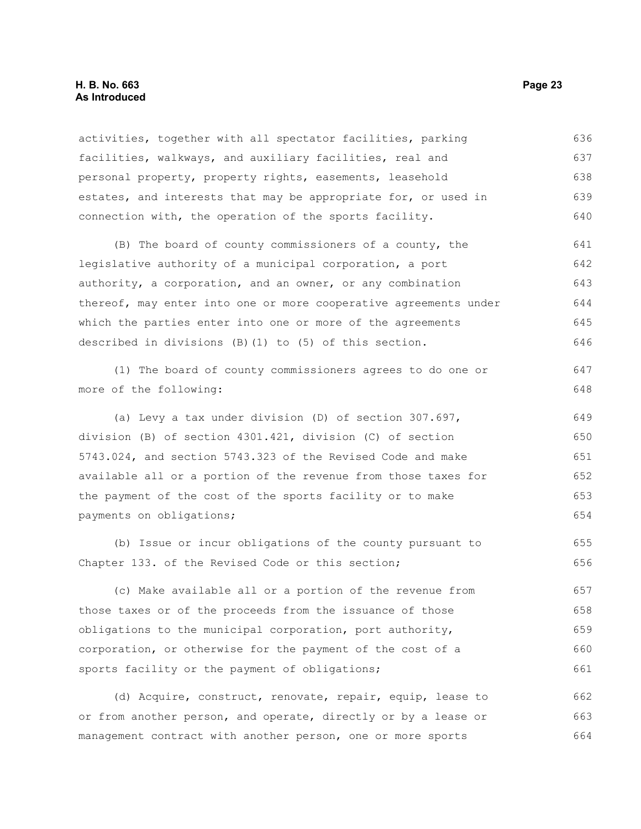#### **H. B. No. 663 Page 23 As Introduced**

activities, together with all spectator facilities, parking facilities, walkways, and auxiliary facilities, real and personal property, property rights, easements, leasehold estates, and interests that may be appropriate for, or used in connection with, the operation of the sports facility. 636 637 638 639 640

(B) The board of county commissioners of a county, the legislative authority of a municipal corporation, a port authority, a corporation, and an owner, or any combination thereof, may enter into one or more cooperative agreements under which the parties enter into one or more of the agreements described in divisions (B)(1) to (5) of this section. 641 642 643 644 645 646

(1) The board of county commissioners agrees to do one or more of the following: 647 648

(a) Levy a tax under division (D) of section 307.697, division (B) of section 4301.421, division (C) of section 5743.024, and section 5743.323 of the Revised Code and make available all or a portion of the revenue from those taxes for the payment of the cost of the sports facility or to make payments on obligations; 649 650 651 652 653 654

(b) Issue or incur obligations of the county pursuant to Chapter 133. of the Revised Code or this section; 655 656

(c) Make available all or a portion of the revenue from those taxes or of the proceeds from the issuance of those obligations to the municipal corporation, port authority, corporation, or otherwise for the payment of the cost of a sports facility or the payment of obligations; 657 658 659 660 661

(d) Acquire, construct, renovate, repair, equip, lease to or from another person, and operate, directly or by a lease or management contract with another person, one or more sports 662 663 664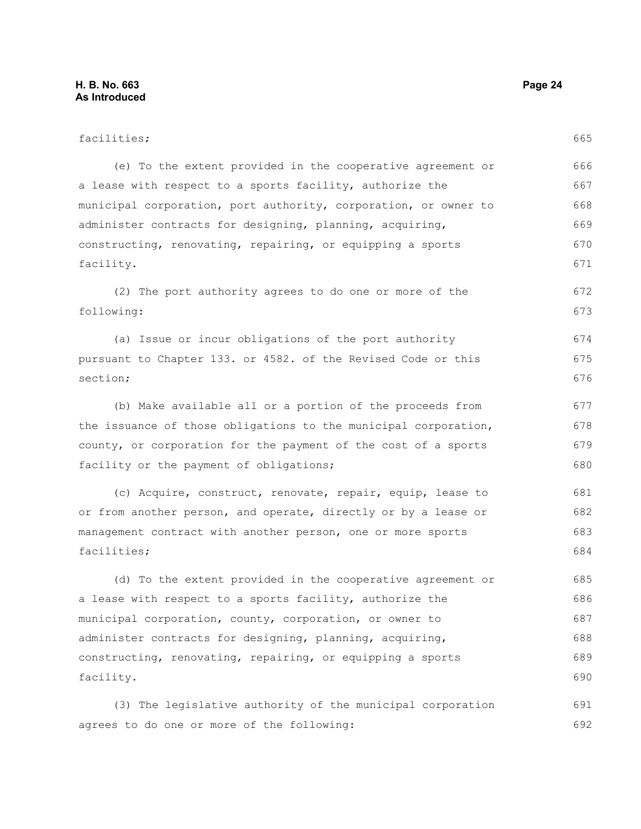| facilities;                                                     | 665 |
|-----------------------------------------------------------------|-----|
| (e) To the extent provided in the cooperative agreement or      | 666 |
| a lease with respect to a sports facility, authorize the        | 667 |
| municipal corporation, port authority, corporation, or owner to | 668 |
| administer contracts for designing, planning, acquiring,        | 669 |
| constructing, renovating, repairing, or equipping a sports      | 670 |
| facility.                                                       | 671 |
| (2) The port authority agrees to do one or more of the          | 672 |
| following:                                                      | 673 |
| (a) Issue or incur obligations of the port authority            | 674 |
| pursuant to Chapter 133. or 4582. of the Revised Code or this   | 675 |
| section;                                                        | 676 |
| (b) Make available all or a portion of the proceeds from        | 677 |
| the issuance of those obligations to the municipal corporation, | 678 |
| county, or corporation for the payment of the cost of a sports  | 679 |
| facility or the payment of obligations;                         | 680 |
| (c) Acquire, construct, renovate, repair, equip, lease to       | 681 |
| or from another person, and operate, directly or by a lease or  | 682 |
| management contract with another person, one or more sports     | 683 |
| facilities;                                                     | 684 |
| (d) To the extent provided in the cooperative agreement or      | 685 |
| a lease with respect to a sports facility, authorize the        | 686 |
| municipal corporation, county, corporation, or owner to         | 687 |
| administer contracts for designing, planning, acquiring,        | 688 |
| constructing, renovating, repairing, or equipping a sports      | 689 |
| facility.                                                       | 690 |
| (3) The legislative authority of the municipal corporation      | 691 |
| agrees to do one or more of the following:                      | 692 |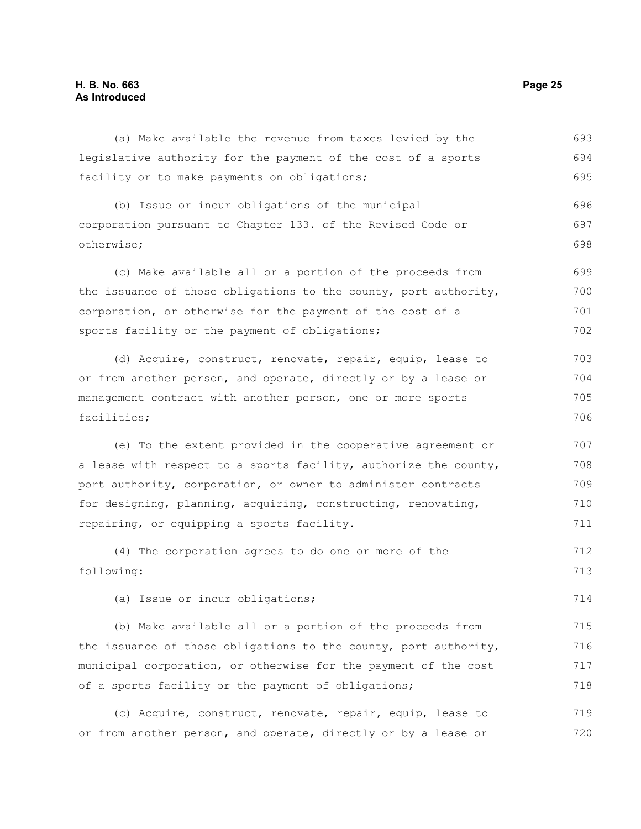#### **H. B. No. 663 Page 25 As Introduced**

(a) Make available the revenue from taxes levied by the legislative authority for the payment of the cost of a sports facility or to make payments on obligations; (b) Issue or incur obligations of the municipal corporation pursuant to Chapter 133. of the Revised Code or otherwise; (c) Make available all or a portion of the proceeds from the issuance of those obligations to the county, port authority, corporation, or otherwise for the payment of the cost of a sports facility or the payment of obligations; (d) Acquire, construct, renovate, repair, equip, lease to or from another person, and operate, directly or by a lease or management contract with another person, one or more sports facilities; (e) To the extent provided in the cooperative agreement or a lease with respect to a sports facility, authorize the county, port authority, corporation, or owner to administer contracts for designing, planning, acquiring, constructing, renovating, repairing, or equipping a sports facility. (4) The corporation agrees to do one or more of the following: (a) Issue or incur obligations; (b) Make available all or a portion of the proceeds from the issuance of those obligations to the county, port authority, municipal corporation, or otherwise for the payment of the cost of a sports facility or the payment of obligations; (c) Acquire, construct, renovate, repair, equip, lease to or from another person, and operate, directly or by a lease or 693 694 695 696 697 698 699 700 701 702 703 704 705 706 707 708 709 710 711 712 713 714 715 716 717 718 719 720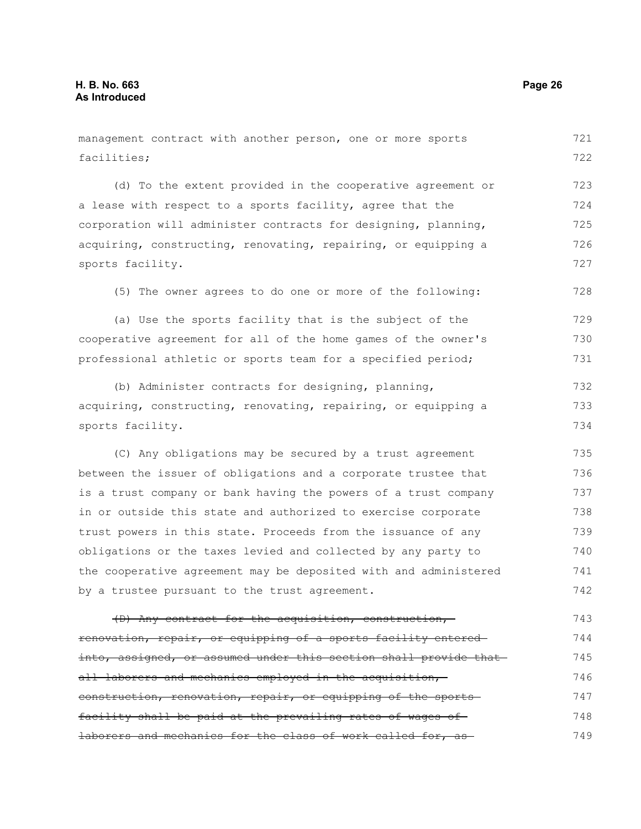facilities;

(d) To the extent provided in the cooperative agreement or a lease with respect to a sports facility, agree that the corporation will administer contracts for designing, planning, acquiring, constructing, renovating, repairing, or equipping a sports facility. (5) The owner agrees to do one or more of the following: (a) Use the sports facility that is the subject of the cooperative agreement for all of the home games of the owner's professional athletic or sports team for a specified period; (b) Administer contracts for designing, planning, acquiring, constructing, renovating, repairing, or equipping a sports facility. (C) Any obligations may be secured by a trust agreement between the issuer of obligations and a corporate trustee that is a trust company or bank having the powers of a trust company in or outside this state and authorized to exercise corporate trust powers in this state. Proceeds from the issuance of any obligations or the taxes levied and collected by any party to the cooperative agreement may be deposited with and administered by a trustee pursuant to the trust agreement. (D) Any contract for the acquisition, construction, renovation, repair, or equipping of a sports facility entered into, assigned, or assumed under this section shall provide that 723 724 725 726 727 728 729 730 731 732 733 734 735 736 737 738 739 740 741 742 743 744 745

management contract with another person, one or more sports

all laborers and mechanics employed in the acquisition, construction, renovation, repair, or equipping of the sports facility shall be paid at the prevailing rates of wages of laborers and mechanics for the class of work called for, as 746 747 748 749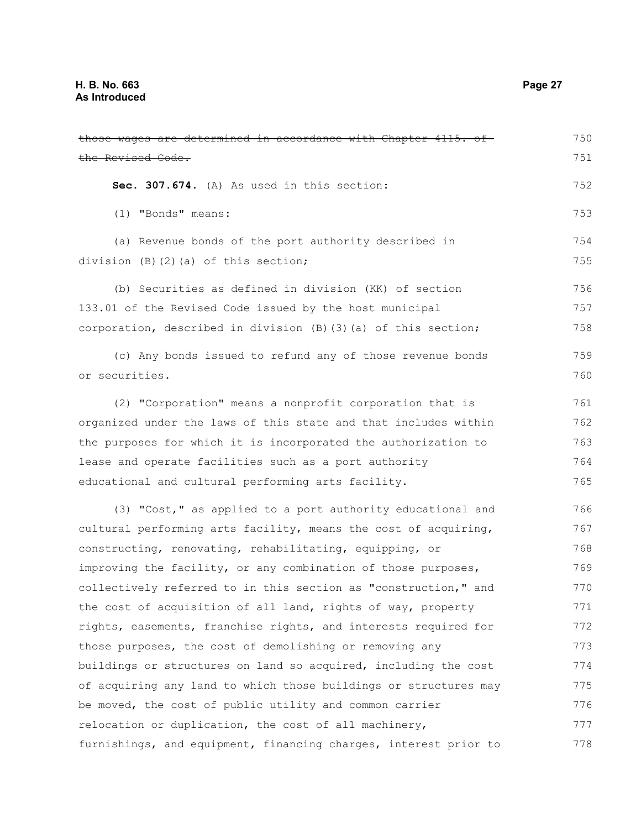| those wages are determined in accordance with Chapter 4115. of   | 750 |
|------------------------------------------------------------------|-----|
| the Revised Code.                                                | 751 |
| Sec. 307.674. (A) As used in this section:                       | 752 |
| (1) "Bonds" means:                                               | 753 |
| (a) Revenue bonds of the port authority described in             | 754 |
| division $(B)$ $(2)$ $(a)$ of this section;                      | 755 |
| (b) Securities as defined in division (KK) of section            | 756 |
| 133.01 of the Revised Code issued by the host municipal          | 757 |
| corporation, described in division (B) (3) (a) of this section;  | 758 |
| (c) Any bonds issued to refund any of those revenue bonds        | 759 |
| or securities.                                                   | 760 |
| (2) "Corporation" means a nonprofit corporation that is          | 761 |
| organized under the laws of this state and that includes within  | 762 |
| the purposes for which it is incorporated the authorization to   | 763 |
| lease and operate facilities such as a port authority            | 764 |
| educational and cultural performing arts facility.               | 765 |
| (3) "Cost," as applied to a port authority educational and       | 766 |
| cultural performing arts facility, means the cost of acquiring,  | 767 |
| constructing, renovating, rehabilitating, equipping, or          | 768 |
| improving the facility, or any combination of those purposes,    | 769 |
| collectively referred to in this section as "construction," and  | 770 |
| the cost of acquisition of all land, rights of way, property     | 771 |
| rights, easements, franchise rights, and interests required for  | 772 |
| those purposes, the cost of demolishing or removing any          | 773 |
| buildings or structures on land so acquired, including the cost  | 774 |
| of acquiring any land to which those buildings or structures may | 775 |
| be moved, the cost of public utility and common carrier          | 776 |
| relocation or duplication, the cost of all machinery,            | 777 |
| furnishings, and equipment, financing charges, interest prior to | 778 |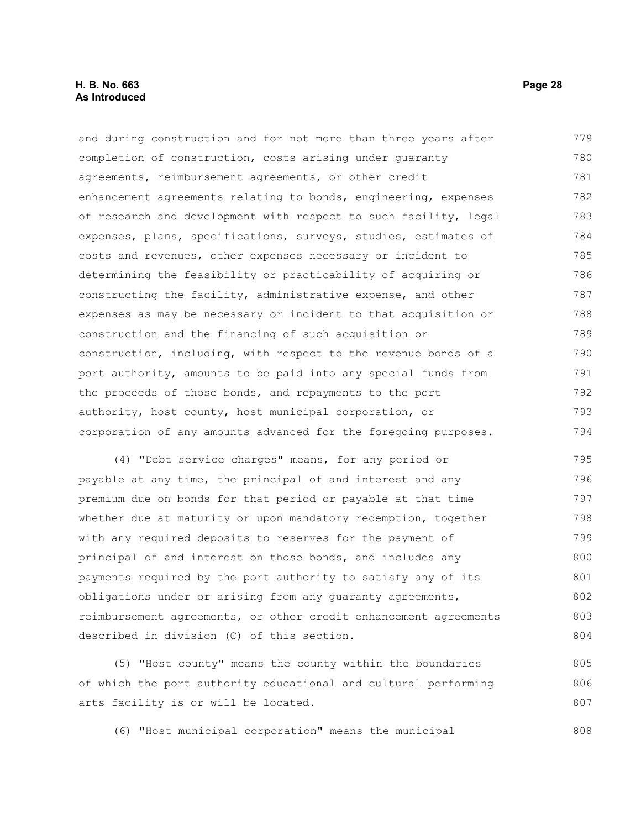and during construction and for not more than three years after completion of construction, costs arising under guaranty agreements, reimbursement agreements, or other credit enhancement agreements relating to bonds, engineering, expenses of research and development with respect to such facility, legal expenses, plans, specifications, surveys, studies, estimates of costs and revenues, other expenses necessary or incident to determining the feasibility or practicability of acquiring or constructing the facility, administrative expense, and other expenses as may be necessary or incident to that acquisition or construction and the financing of such acquisition or construction, including, with respect to the revenue bonds of a port authority, amounts to be paid into any special funds from the proceeds of those bonds, and repayments to the port authority, host county, host municipal corporation, or corporation of any amounts advanced for the foregoing purposes. 779 780 781 782 783 784 785 786 787 788 789 790 791 792 793 794

(4) "Debt service charges" means, for any period or payable at any time, the principal of and interest and any premium due on bonds for that period or payable at that time whether due at maturity or upon mandatory redemption, together with any required deposits to reserves for the payment of principal of and interest on those bonds, and includes any payments required by the port authority to satisfy any of its obligations under or arising from any guaranty agreements, reimbursement agreements, or other credit enhancement agreements described in division (C) of this section. 795 796 797 798 799 800 801 802 803 804

(5) "Host county" means the county within the boundaries of which the port authority educational and cultural performing arts facility is or will be located. 805 806 807

(6) "Host municipal corporation" means the municipal 808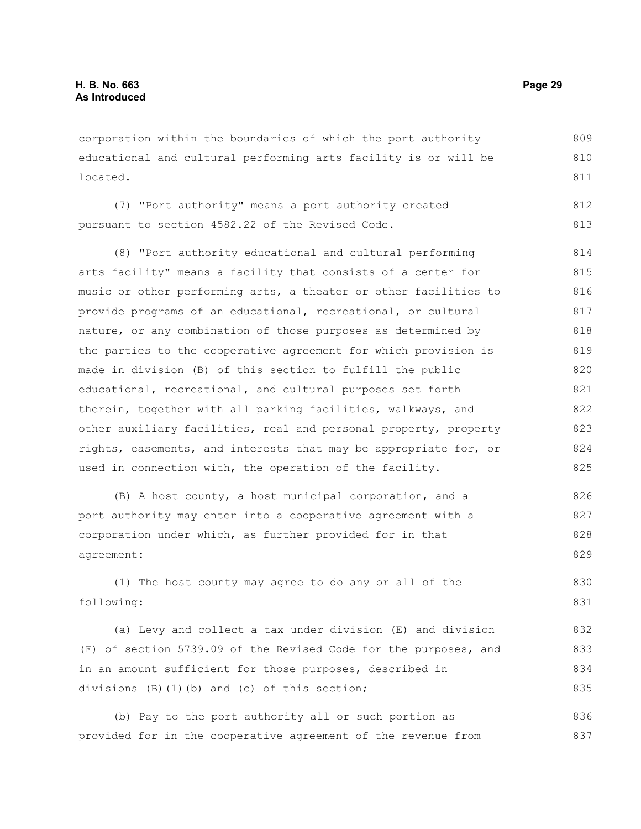corporation within the boundaries of which the port authority educational and cultural performing arts facility is or will be located. 809 810 811

(7) "Port authority" means a port authority created pursuant to section 4582.22 of the Revised Code. 812 813

(8) "Port authority educational and cultural performing arts facility" means a facility that consists of a center for music or other performing arts, a theater or other facilities to provide programs of an educational, recreational, or cultural nature, or any combination of those purposes as determined by the parties to the cooperative agreement for which provision is made in division (B) of this section to fulfill the public educational, recreational, and cultural purposes set forth therein, together with all parking facilities, walkways, and other auxiliary facilities, real and personal property, property rights, easements, and interests that may be appropriate for, or used in connection with, the operation of the facility. 814 815 816 817 818 819 820 821 822 823 824 825

(B) A host county, a host municipal corporation, and a port authority may enter into a cooperative agreement with a corporation under which, as further provided for in that agreement: 826 827 828 829

(1) The host county may agree to do any or all of the following: 830 831

(a) Levy and collect a tax under division (E) and division (F) of section 5739.09 of the Revised Code for the purposes, and in an amount sufficient for those purposes, described in divisions (B)(1)(b) and (c) of this section; 832 833 834 835

(b) Pay to the port authority all or such portion as provided for in the cooperative agreement of the revenue from 836 837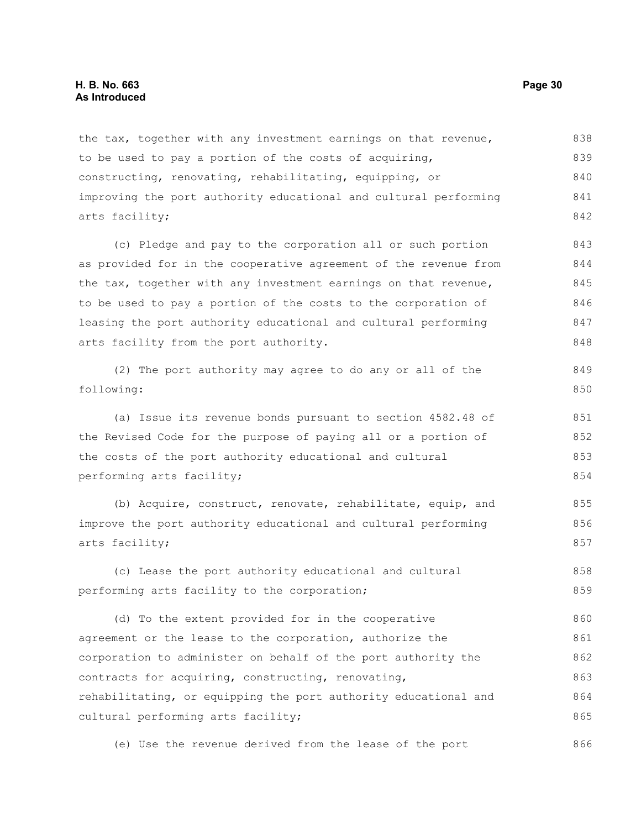the tax, together with any investment earnings on that revenue, to be used to pay a portion of the costs of acquiring, constructing, renovating, rehabilitating, equipping, or improving the port authority educational and cultural performing arts facility; 838 839 840 841 842

(c) Pledge and pay to the corporation all or such portion as provided for in the cooperative agreement of the revenue from the tax, together with any investment earnings on that revenue, to be used to pay a portion of the costs to the corporation of leasing the port authority educational and cultural performing arts facility from the port authority. 843 844 845 846 847 848

```
(2) The port authority may agree to do any or all of the
following:
                                                                           849
                                                                           850
```
(a) Issue its revenue bonds pursuant to section 4582.48 of the Revised Code for the purpose of paying all or a portion of the costs of the port authority educational and cultural performing arts facility; 851 852 853 854

(b) Acquire, construct, renovate, rehabilitate, equip, and improve the port authority educational and cultural performing arts facility; 855 856 857

(c) Lease the port authority educational and cultural performing arts facility to the corporation; 858 859

(d) To the extent provided for in the cooperative agreement or the lease to the corporation, authorize the corporation to administer on behalf of the port authority the contracts for acquiring, constructing, renovating, rehabilitating, or equipping the port authority educational and cultural performing arts facility; 860 861 862 863 864 865

(e) Use the revenue derived from the lease of the port 866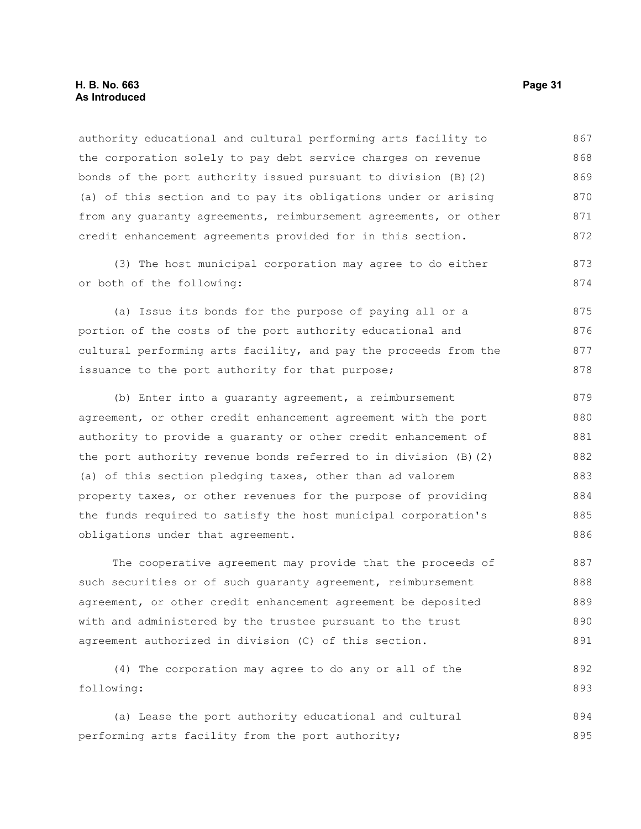authority educational and cultural performing arts facility to the corporation solely to pay debt service charges on revenue bonds of the port authority issued pursuant to division (B)(2) (a) of this section and to pay its obligations under or arising from any guaranty agreements, reimbursement agreements, or other credit enhancement agreements provided for in this section. 867 868 869 870 871 872

(3) The host municipal corporation may agree to do either or both of the following:

(a) Issue its bonds for the purpose of paying all or a portion of the costs of the port authority educational and cultural performing arts facility, and pay the proceeds from the issuance to the port authority for that purpose; 875 876 877 878

(b) Enter into a guaranty agreement, a reimbursement agreement, or other credit enhancement agreement with the port authority to provide a guaranty or other credit enhancement of the port authority revenue bonds referred to in division (B)(2) (a) of this section pledging taxes, other than ad valorem property taxes, or other revenues for the purpose of providing the funds required to satisfy the host municipal corporation's obligations under that agreement. 879 880 881 882 883 884 885 886

The cooperative agreement may provide that the proceeds of such securities or of such guaranty agreement, reimbursement agreement, or other credit enhancement agreement be deposited with and administered by the trustee pursuant to the trust agreement authorized in division (C) of this section. 887 888 889 890 891

(4) The corporation may agree to do any or all of the following: 892 893

(a) Lease the port authority educational and cultural performing arts facility from the port authority; 894 895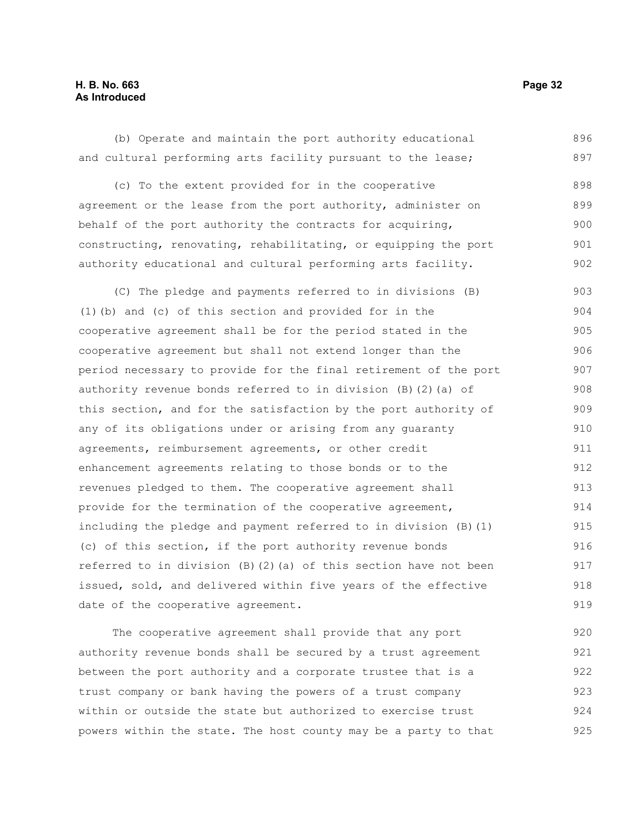#### **H. B. No. 663 Page 32 As Introduced**

(b) Operate and maintain the port authority educational and cultural performing arts facility pursuant to the lease; 896 897

(c) To the extent provided for in the cooperative agreement or the lease from the port authority, administer on behalf of the port authority the contracts for acquiring, constructing, renovating, rehabilitating, or equipping the port authority educational and cultural performing arts facility. 898 899 900 901 902

(C) The pledge and payments referred to in divisions (B) (1)(b) and (c) of this section and provided for in the cooperative agreement shall be for the period stated in the cooperative agreement but shall not extend longer than the period necessary to provide for the final retirement of the port authority revenue bonds referred to in division (B)(2)(a) of this section, and for the satisfaction by the port authority of any of its obligations under or arising from any guaranty agreements, reimbursement agreements, or other credit enhancement agreements relating to those bonds or to the revenues pledged to them. The cooperative agreement shall provide for the termination of the cooperative agreement, including the pledge and payment referred to in division (B)(1) (c) of this section, if the port authority revenue bonds referred to in division (B)(2)(a) of this section have not been issued, sold, and delivered within five years of the effective date of the cooperative agreement. 903 904 905 906 907 908 909 910 911 912 913 914 915 916 917 918 919

The cooperative agreement shall provide that any port authority revenue bonds shall be secured by a trust agreement between the port authority and a corporate trustee that is a trust company or bank having the powers of a trust company within or outside the state but authorized to exercise trust powers within the state. The host county may be a party to that 920 921 922 923 924 925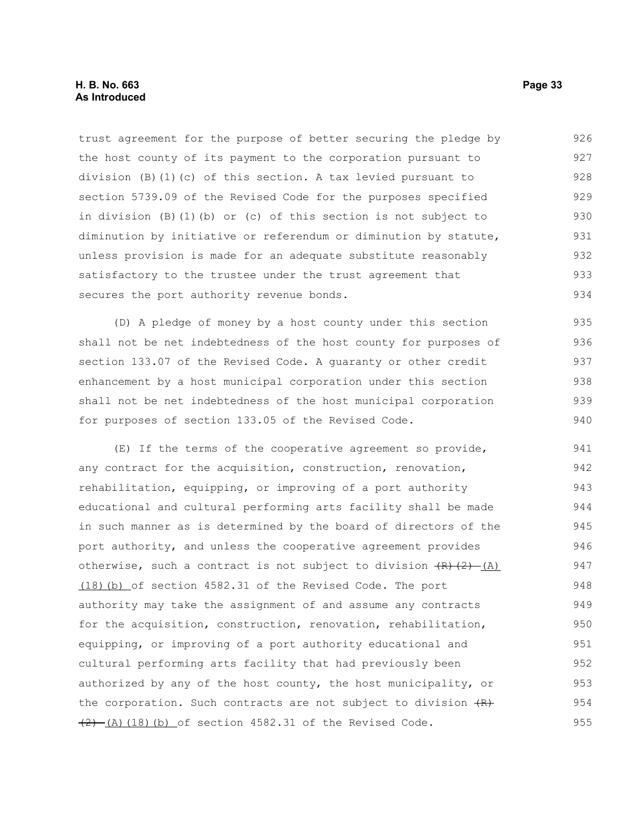trust agreement for the purpose of better securing the pledge by the host county of its payment to the corporation pursuant to division (B)(1)(c) of this section. A tax levied pursuant to section 5739.09 of the Revised Code for the purposes specified in division (B)(1)(b) or (c) of this section is not subject to diminution by initiative or referendum or diminution by statute, unless provision is made for an adequate substitute reasonably satisfactory to the trustee under the trust agreement that secures the port authority revenue bonds. 926 927 928 929 930 931 932 933 934

(D) A pledge of money by a host county under this section shall not be net indebtedness of the host county for purposes of section 133.07 of the Revised Code. A guaranty or other credit enhancement by a host municipal corporation under this section shall not be net indebtedness of the host municipal corporation for purposes of section 133.05 of the Revised Code. 935 936 937 938 939 940

(E) If the terms of the cooperative agreement so provide, any contract for the acquisition, construction, renovation, rehabilitation, equipping, or improving of a port authority educational and cultural performing arts facility shall be made in such manner as is determined by the board of directors of the port authority, and unless the cooperative agreement provides otherwise, such a contract is not subject to division  $(R)$   $(2)$   $(A)$  (18)(b) of section 4582.31 of the Revised Code. The port authority may take the assignment of and assume any contracts for the acquisition, construction, renovation, rehabilitation, equipping, or improving of a port authority educational and cultural performing arts facility that had previously been authorized by any of the host county, the host municipality, or the corporation. Such contracts are not subject to division  $(R)$  $(2)$   $(A)$   $(18)$   $(b)$  of section 4582.31 of the Revised Code. 941 942 943 944 945 946 947 948 949 950 951 952 953 954 955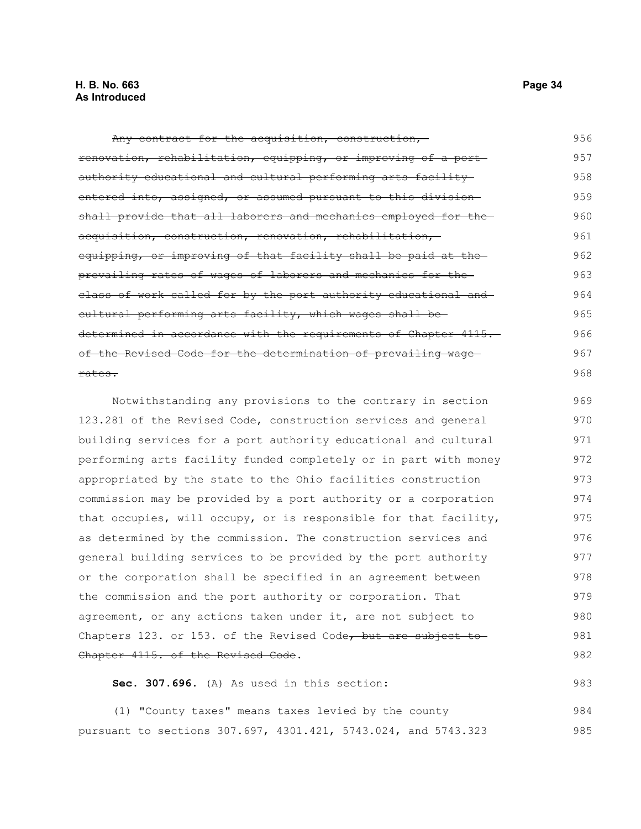Any contract for the acquisition, construction, renovation, rehabilitation, equipping, or improving of a port authority educational and cultural performing arts facility entered into, assigned, or assumed pursuant to this division shall provide that all laborers and mechanics employed for theacquisition, construction, renovation, rehabilitation, equipping, or improving of that facility shall be paid at the prevailing rates of wages of laborers and mechanics for the class of work called for by the port authority educational and cultural performing arts facility, which wages shall be determined in accordance with the requirements of Chapter 4115. of the Revised Code for the determination of prevailing wage rates. 956 957 958 959 960 961 962 963 964 965 966 967 968

Notwithstanding any provisions to the contrary in section 123.281 of the Revised Code, construction services and general building services for a port authority educational and cultural performing arts facility funded completely or in part with money appropriated by the state to the Ohio facilities construction commission may be provided by a port authority or a corporation that occupies, will occupy, or is responsible for that facility, as determined by the commission. The construction services and general building services to be provided by the port authority or the corporation shall be specified in an agreement between the commission and the port authority or corporation. That agreement, or any actions taken under it, are not subject to Chapters 123. or 153. of the Revised Code, but are subject to Chapter 4115. of the Revised Code. 969 970 971 972 973 974 975 976 977 978 979 980 981 982

**Sec. 307.696.** (A) As used in this section: 983

(1) "County taxes" means taxes levied by the county pursuant to sections 307.697, 4301.421, 5743.024, and 5743.323 984 985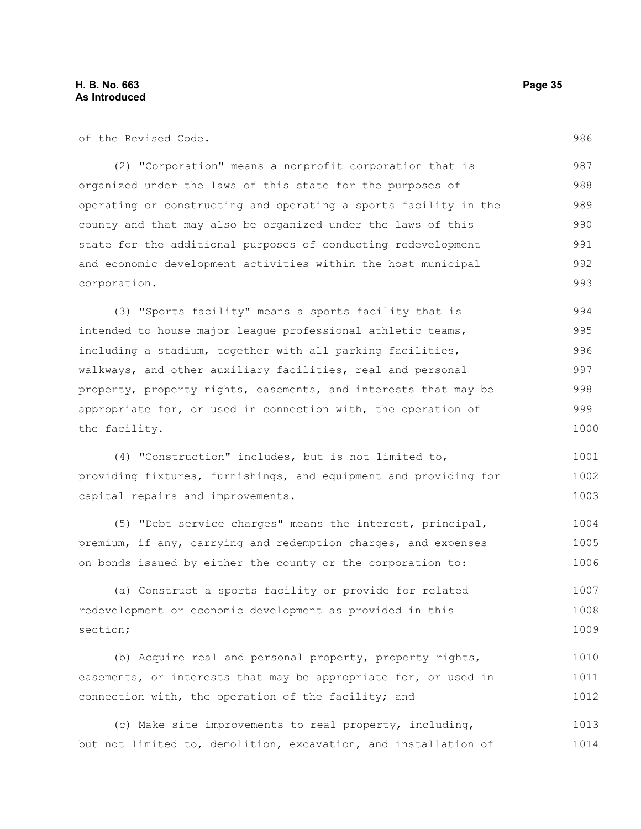| of the Revised Code.                                             | 986  |
|------------------------------------------------------------------|------|
| (2) "Corporation" means a nonprofit corporation that is          | 987  |
| organized under the laws of this state for the purposes of       | 988  |
| operating or constructing and operating a sports facility in the | 989  |
| county and that may also be organized under the laws of this     | 990  |
| state for the additional purposes of conducting redevelopment    | 991  |
| and economic development activities within the host municipal    | 992  |
| corporation.                                                     | 993  |
| (3) "Sports facility" means a sports facility that is            | 994  |
| intended to house major league professional athletic teams,      | 995  |
| including a stadium, together with all parking facilities,       | 996  |
| walkways, and other auxiliary facilities, real and personal      | 997  |
| property, property rights, easements, and interests that may be  | 998  |
| appropriate for, or used in connection with, the operation of    | 999  |
| the facility.                                                    | 1000 |
| (4) "Construction" includes, but is not limited to,              | 1001 |
| providing fixtures, furnishings, and equipment and providing for | 1002 |
| capital repairs and improvements.                                | 1003 |
| (5) "Debt service charges" means the interest, principal,        | 1004 |
| premium, if any, carrying and redemption charges, and expenses   | 1005 |
| on bonds issued by either the county or the corporation to:      | 1006 |
| (a) Construct a sports facility or provide for related           | 1007 |
| redevelopment or economic development as provided in this        | 1008 |
| section;                                                         | 1009 |
| (b) Acquire real and personal property, property rights,         | 1010 |
| easements, or interests that may be appropriate for, or used in  | 1011 |
| connection with, the operation of the facility; and              | 1012 |
| (c) Make site improvements to real property, including,          | 1013 |
| but not limited to, demolition, excavation, and installation of  | 1014 |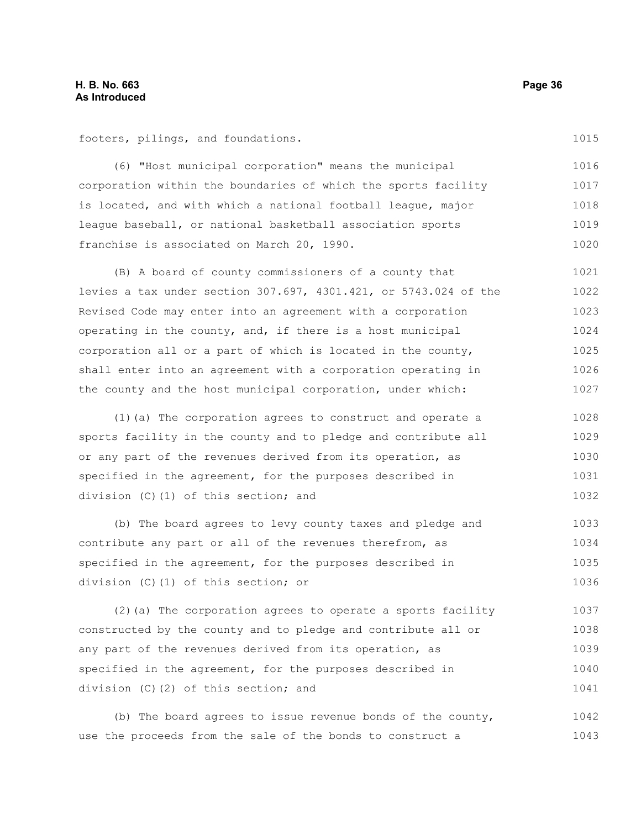footers, pilings, and foundations.

(6) "Host municipal corporation" means the municipal corporation within the boundaries of which the sports facility is located, and with which a national football league, major league baseball, or national basketball association sports franchise is associated on March 20, 1990. 1016 1017 1018 1019 1020

(B) A board of county commissioners of a county that levies a tax under section 307.697, 4301.421, or 5743.024 of the Revised Code may enter into an agreement with a corporation operating in the county, and, if there is a host municipal corporation all or a part of which is located in the county, shall enter into an agreement with a corporation operating in the county and the host municipal corporation, under which: 1021 1022 1023 1024 1025 1026 1027

(1)(a) The corporation agrees to construct and operate a sports facility in the county and to pledge and contribute all or any part of the revenues derived from its operation, as specified in the agreement, for the purposes described in division (C)(1) of this section; and 1028 1029 1030 1031 1032

(b) The board agrees to levy county taxes and pledge and contribute any part or all of the revenues therefrom, as specified in the agreement, for the purposes described in division (C)(1) of this section; or 1033 1034 1035 1036

(2)(a) The corporation agrees to operate a sports facility constructed by the county and to pledge and contribute all or any part of the revenues derived from its operation, as specified in the agreement, for the purposes described in division (C)(2) of this section; and 1037 1038 1039 1040 1041

(b) The board agrees to issue revenue bonds of the county, use the proceeds from the sale of the bonds to construct a 1042 1043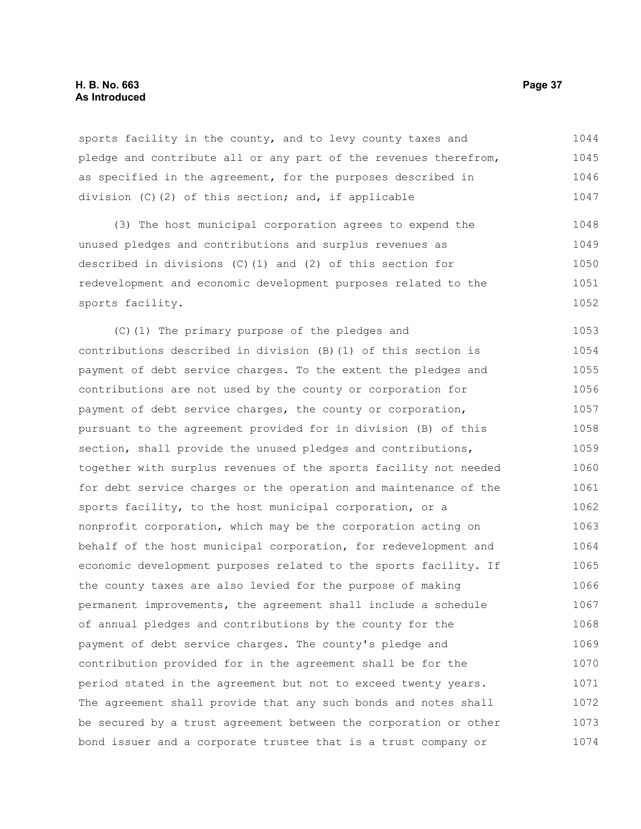# **H. B. No. 663 Page 37 As Introduced**

sports facility in the county, and to levy county taxes and pledge and contribute all or any part of the revenues therefrom, as specified in the agreement, for the purposes described in division (C)(2) of this section; and, if applicable 1044 1045 1046 1047

(3) The host municipal corporation agrees to expend the unused pledges and contributions and surplus revenues as described in divisions (C)(1) and (2) of this section for redevelopment and economic development purposes related to the sports facility. 1048 1049 1050 1051 1052

(C)(1) The primary purpose of the pledges and contributions described in division (B)(1) of this section is payment of debt service charges. To the extent the pledges and contributions are not used by the county or corporation for payment of debt service charges, the county or corporation, pursuant to the agreement provided for in division (B) of this section, shall provide the unused pledges and contributions, together with surplus revenues of the sports facility not needed for debt service charges or the operation and maintenance of the sports facility, to the host municipal corporation, or a nonprofit corporation, which may be the corporation acting on behalf of the host municipal corporation, for redevelopment and economic development purposes related to the sports facility. If the county taxes are also levied for the purpose of making permanent improvements, the agreement shall include a schedule of annual pledges and contributions by the county for the payment of debt service charges. The county's pledge and contribution provided for in the agreement shall be for the period stated in the agreement but not to exceed twenty years. The agreement shall provide that any such bonds and notes shall be secured by a trust agreement between the corporation or other bond issuer and a corporate trustee that is a trust company or 1053 1054 1055 1056 1057 1058 1059 1060 1061 1062 1063 1064 1065 1066 1067 1068 1069 1070 1071 1072 1073 1074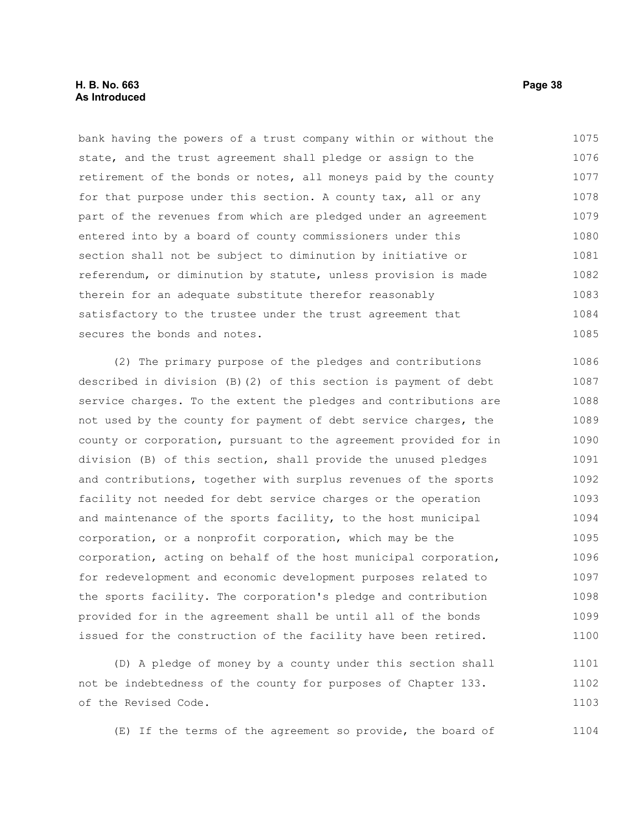# **H. B. No. 663 Page 38 As Introduced**

bank having the powers of a trust company within or without the state, and the trust agreement shall pledge or assign to the retirement of the bonds or notes, all moneys paid by the county for that purpose under this section. A county tax, all or any part of the revenues from which are pledged under an agreement entered into by a board of county commissioners under this section shall not be subject to diminution by initiative or referendum, or diminution by statute, unless provision is made therein for an adequate substitute therefor reasonably satisfactory to the trustee under the trust agreement that secures the bonds and notes. 1075 1076 1077 1078 1079 1080 1081 1082 1083 1084 1085

(2) The primary purpose of the pledges and contributions described in division (B)(2) of this section is payment of debt service charges. To the extent the pledges and contributions are not used by the county for payment of debt service charges, the county or corporation, pursuant to the agreement provided for in division (B) of this section, shall provide the unused pledges and contributions, together with surplus revenues of the sports facility not needed for debt service charges or the operation and maintenance of the sports facility, to the host municipal corporation, or a nonprofit corporation, which may be the corporation, acting on behalf of the host municipal corporation, for redevelopment and economic development purposes related to the sports facility. The corporation's pledge and contribution provided for in the agreement shall be until all of the bonds issued for the construction of the facility have been retired. 1086 1087 1088 1089 1090 1091 1092 1093 1094 1095 1096 1097 1098 1099 1100

(D) A pledge of money by a county under this section shall not be indebtedness of the county for purposes of Chapter 133. of the Revised Code. 1101 1102 1103

(E) If the terms of the agreement so provide, the board of 1104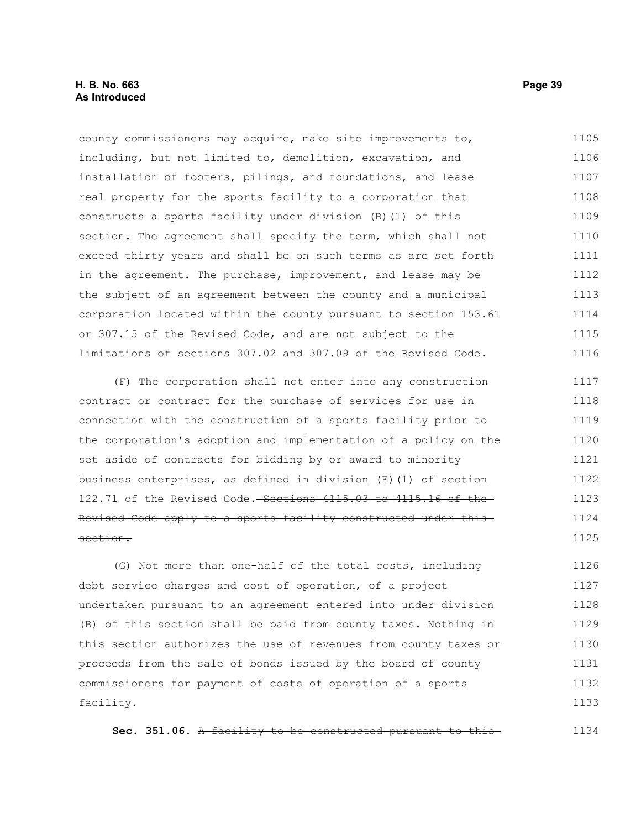# **H. B. No. 663 Page 39 As Introduced**

county commissioners may acquire, make site improvements to, including, but not limited to, demolition, excavation, and installation of footers, pilings, and foundations, and lease real property for the sports facility to a corporation that constructs a sports facility under division (B)(1) of this section. The agreement shall specify the term, which shall not exceed thirty years and shall be on such terms as are set forth in the agreement. The purchase, improvement, and lease may be the subject of an agreement between the county and a municipal corporation located within the county pursuant to section 153.61 or 307.15 of the Revised Code, and are not subject to the limitations of sections 307.02 and 307.09 of the Revised Code. 1105 1106 1107 1108 1109 1110 1111 1112 1113 1114 1115 1116

(F) The corporation shall not enter into any construction contract or contract for the purchase of services for use in connection with the construction of a sports facility prior to the corporation's adoption and implementation of a policy on the set aside of contracts for bidding by or award to minority business enterprises, as defined in division (E)(1) of section 122.71 of the Revised Code. Sections 4115.03 to 4115.16 of the Revised Code apply to a sports facility constructed under this section. 1117 1118 1119 1120 1121 1122 1123 1124 1125

(G) Not more than one-half of the total costs, including debt service charges and cost of operation, of a project undertaken pursuant to an agreement entered into under division (B) of this section shall be paid from county taxes. Nothing in this section authorizes the use of revenues from county taxes or proceeds from the sale of bonds issued by the board of county commissioners for payment of costs of operation of a sports facility. 1126 1127 1128 1129 1130 1131 1132 1133

**Sec. 351.06.** A facility to be constructed pursuant to this 1134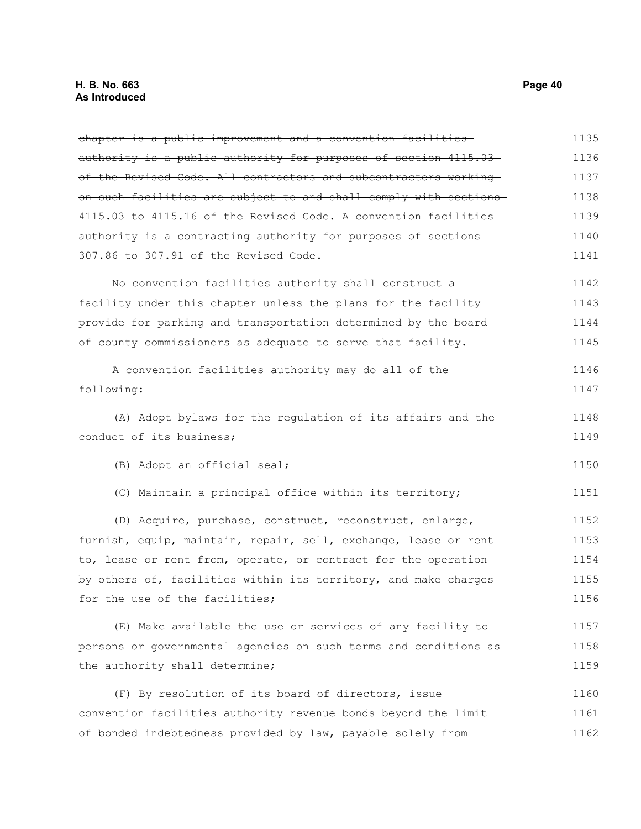#### **H. B. No. 663 Page 40 As Introduced**

chapter is a public improvement and a convention facilities authority is a public authority for purposes of section 4115.03 of the Revised Code. All contractors and subcontractors working on such facilities are subject to and shall comply with sections 4115.03 to 4115.16 of the Revised Code. A convention facilities authority is a contracting authority for purposes of sections 307.86 to 307.91 of the Revised Code. No convention facilities authority shall construct a facility under this chapter unless the plans for the facility provide for parking and transportation determined by the board of county commissioners as adequate to serve that facility. A convention facilities authority may do all of the following: (A) Adopt bylaws for the regulation of its affairs and the conduct of its business; (B) Adopt an official seal; (C) Maintain a principal office within its territory; (D) Acquire, purchase, construct, reconstruct, enlarge, furnish, equip, maintain, repair, sell, exchange, lease or rent to, lease or rent from, operate, or contract for the operation by others of, facilities within its territory, and make charges for the use of the facilities; (E) Make available the use or services of any facility to persons or governmental agencies on such terms and conditions as the authority shall determine; (F) By resolution of its board of directors, issue convention facilities authority revenue bonds beyond the limit of bonded indebtedness provided by law, payable solely from 1135 1136 1137 1138 1139 1140 1141 1142 1143 1144 1145 1146 1147 1148 1149 1150 1151 1152 1153 1154 1155 1156 1157 1158 1159 1160 1161 1162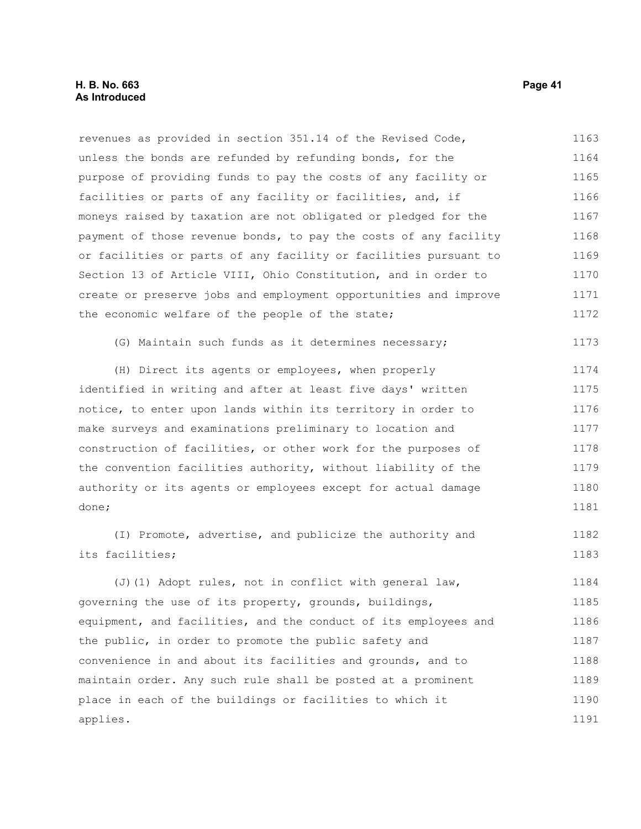revenues as provided in section 351.14 of the Revised Code, unless the bonds are refunded by refunding bonds, for the purpose of providing funds to pay the costs of any facility or facilities or parts of any facility or facilities, and, if moneys raised by taxation are not obligated or pledged for the payment of those revenue bonds, to pay the costs of any facility or facilities or parts of any facility or facilities pursuant to Section 13 of Article VIII, Ohio Constitution, and in order to create or preserve jobs and employment opportunities and improve the economic welfare of the people of the state; (G) Maintain such funds as it determines necessary; 1163 1164 1165 1166 1167 1168 1169 1170 1171 1172 1173

(H) Direct its agents or employees, when properly identified in writing and after at least five days' written notice, to enter upon lands within its territory in order to make surveys and examinations preliminary to location and construction of facilities, or other work for the purposes of the convention facilities authority, without liability of the authority or its agents or employees except for actual damage done; 1174 1175 1176 1177 1178 1179 1180 1181

(I) Promote, advertise, and publicize the authority and its facilities; 1182 1183

(J)(1) Adopt rules, not in conflict with general law, governing the use of its property, grounds, buildings, equipment, and facilities, and the conduct of its employees and the public, in order to promote the public safety and convenience in and about its facilities and grounds, and to maintain order. Any such rule shall be posted at a prominent place in each of the buildings or facilities to which it applies. 1184 1185 1186 1187 1188 1189 1190 1191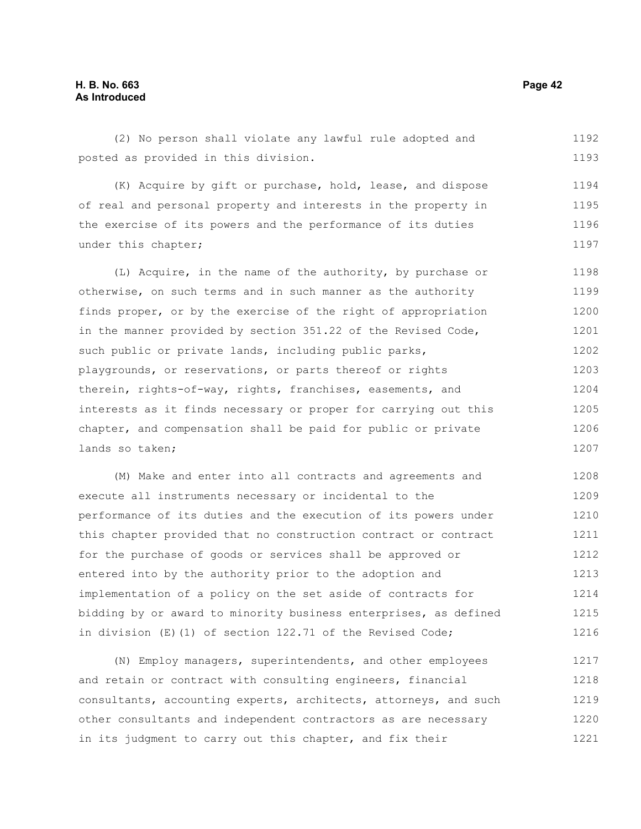(2) No person shall violate any lawful rule adopted and posted as provided in this division. 1192 1193

(K) Acquire by gift or purchase, hold, lease, and dispose of real and personal property and interests in the property in the exercise of its powers and the performance of its duties under this chapter; 1194 1195 1196 1197

(L) Acquire, in the name of the authority, by purchase or otherwise, on such terms and in such manner as the authority finds proper, or by the exercise of the right of appropriation in the manner provided by section 351.22 of the Revised Code, such public or private lands, including public parks, playgrounds, or reservations, or parts thereof or rights therein, rights-of-way, rights, franchises, easements, and interests as it finds necessary or proper for carrying out this chapter, and compensation shall be paid for public or private lands so taken; 1198 1199 1200 1201 1202 1203 1204 1205 1206 1207

(M) Make and enter into all contracts and agreements and execute all instruments necessary or incidental to the performance of its duties and the execution of its powers under this chapter provided that no construction contract or contract for the purchase of goods or services shall be approved or entered into by the authority prior to the adoption and implementation of a policy on the set aside of contracts for bidding by or award to minority business enterprises, as defined in division (E)(1) of section 122.71 of the Revised Code; 1208 1209 1210 1211 1212 1213 1214 1215 1216

(N) Employ managers, superintendents, and other employees and retain or contract with consulting engineers, financial consultants, accounting experts, architects, attorneys, and such other consultants and independent contractors as are necessary in its judgment to carry out this chapter, and fix their 1217 1218 1219 1220 1221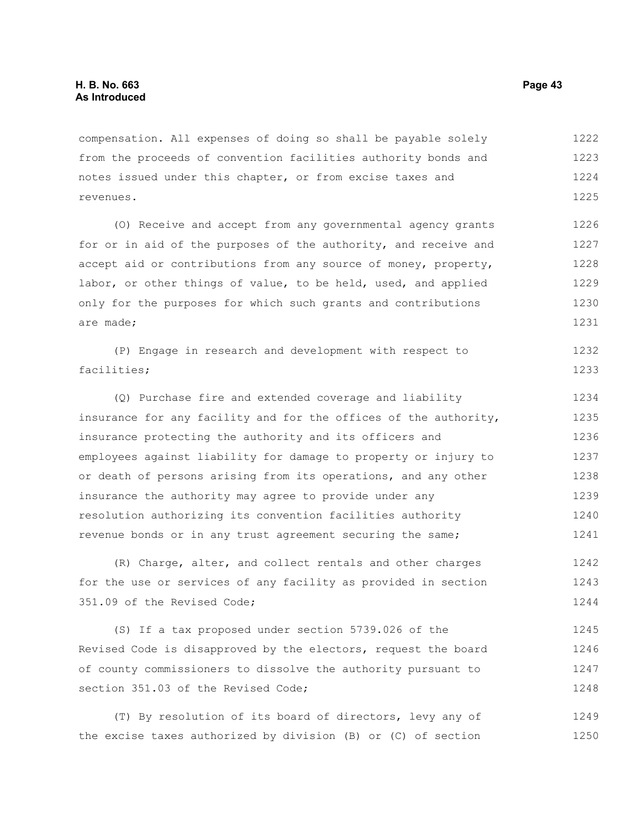compensation. All expenses of doing so shall be payable solely from the proceeds of convention facilities authority bonds and notes issued under this chapter, or from excise taxes and revenues. 1222 1223 1224 1225

(O) Receive and accept from any governmental agency grants for or in aid of the purposes of the authority, and receive and accept aid or contributions from any source of money, property, labor, or other things of value, to be held, used, and applied only for the purposes for which such grants and contributions are made; 1226 1227 1228 1229 1230 1231

|             |  |  | (P) Engage in research and development with respect to |  | 1232 |
|-------------|--|--|--------------------------------------------------------|--|------|
| facilities; |  |  |                                                        |  | 1233 |

(Q) Purchase fire and extended coverage and liability insurance for any facility and for the offices of the authority, insurance protecting the authority and its officers and employees against liability for damage to property or injury to or death of persons arising from its operations, and any other insurance the authority may agree to provide under any resolution authorizing its convention facilities authority revenue bonds or in any trust agreement securing the same; 1234 1235 1236 1237 1238 1239 1240 1241

(R) Charge, alter, and collect rentals and other charges for the use or services of any facility as provided in section 351.09 of the Revised Code; 1242 1243 1244

(S) If a tax proposed under section 5739.026 of the Revised Code is disapproved by the electors, request the board of county commissioners to dissolve the authority pursuant to section 351.03 of the Revised Code; 1245 1246 1247 1248

(T) By resolution of its board of directors, levy any of the excise taxes authorized by division (B) or (C) of section 1249 1250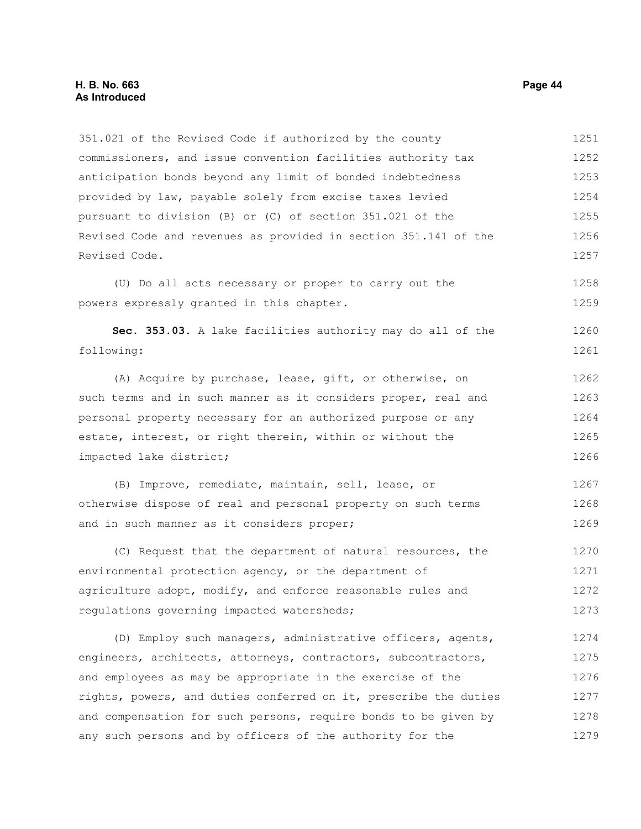#### **H. B. No. 663 Page 44 As Introduced**

351.021 of the Revised Code if authorized by the county commissioners, and issue convention facilities authority tax anticipation bonds beyond any limit of bonded indebtedness provided by law, payable solely from excise taxes levied pursuant to division (B) or (C) of section 351.021 of the Revised Code and revenues as provided in section 351.141 of the Revised Code. (U) Do all acts necessary or proper to carry out the powers expressly granted in this chapter. **Sec. 353.03.** A lake facilities authority may do all of the following: (A) Acquire by purchase, lease, gift, or otherwise, on such terms and in such manner as it considers proper, real and personal property necessary for an authorized purpose or any estate, interest, or right therein, within or without the impacted lake district; (B) Improve, remediate, maintain, sell, lease, or otherwise dispose of real and personal property on such terms and in such manner as it considers proper; (C) Request that the department of natural resources, the environmental protection agency, or the department of 1251 1252 1253 1254 1255 1256 1257 1258 1259 1260 1261 1262 1263 1264 1265 1266 1267 1268 1269 1270 1271

agriculture adopt, modify, and enforce reasonable rules and regulations governing impacted watersheds; 1272 1273

(D) Employ such managers, administrative officers, agents, engineers, architects, attorneys, contractors, subcontractors, and employees as may be appropriate in the exercise of the rights, powers, and duties conferred on it, prescribe the duties and compensation for such persons, require bonds to be given by any such persons and by officers of the authority for the 1274 1275 1276 1277 1278 1279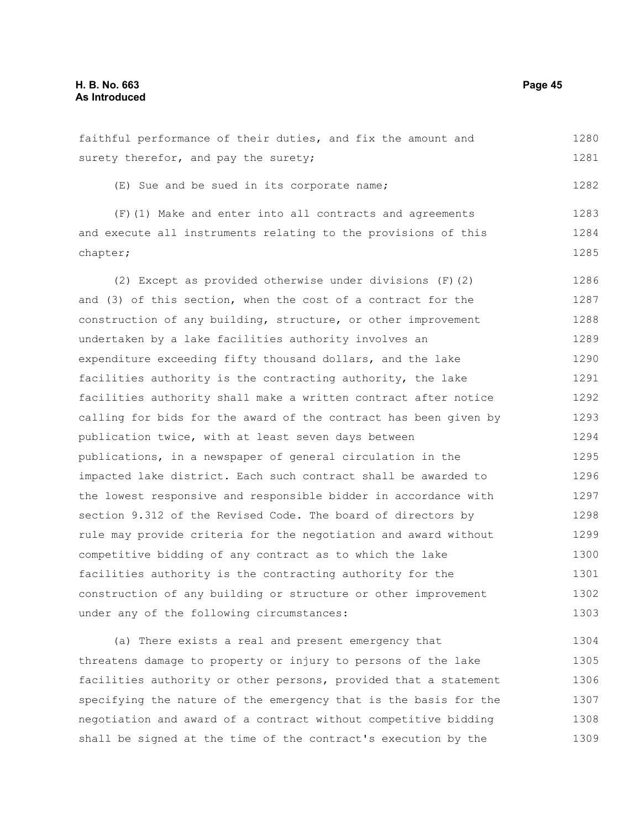# **H. B. No. 663 Page 45 As Introduced**

faithful performance of their duties, and fix the amount and surety therefor, and pay the surety; (E) Sue and be sued in its corporate name; (F)(1) Make and enter into all contracts and agreements and execute all instruments relating to the provisions of this chapter; (2) Except as provided otherwise under divisions (F)(2) and (3) of this section, when the cost of a contract for the construction of any building, structure, or other improvement undertaken by a lake facilities authority involves an expenditure exceeding fifty thousand dollars, and the lake facilities authority is the contracting authority, the lake facilities authority shall make a written contract after notice calling for bids for the award of the contract has been given by publication twice, with at least seven days between publications, in a newspaper of general circulation in the impacted lake district. Each such contract shall be awarded to the lowest responsive and responsible bidder in accordance with section 9.312 of the Revised Code. The board of directors by rule may provide criteria for the negotiation and award without competitive bidding of any contract as to which the lake facilities authority is the contracting authority for the construction of any building or structure or other improvement under any of the following circumstances: (a) There exists a real and present emergency that threatens damage to property or injury to persons of the lake facilities authority or other persons, provided that a statement 1280 1281 1282 1283 1284 1285 1286 1287 1288 1289 1290 1291 1292 1293 1294 1295 1296 1297 1298 1299 1300 1301 1302 1303 1304 1305 1306

specifying the nature of the emergency that is the basis for the negotiation and award of a contract without competitive bidding shall be signed at the time of the contract's execution by the 1307 1308 1309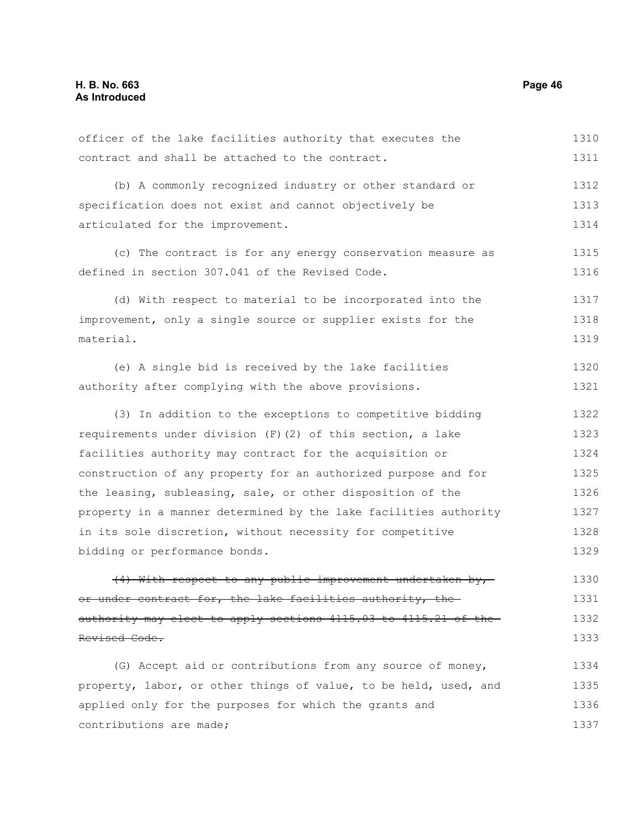contributions are made;

contract and shall be attached to the contract. (b) A commonly recognized industry or other standard or specification does not exist and cannot objectively be articulated for the improvement. (c) The contract is for any energy conservation measure as defined in section 307.041 of the Revised Code. (d) With respect to material to be incorporated into the improvement, only a single source or supplier exists for the material. (e) A single bid is received by the lake facilities authority after complying with the above provisions. (3) In addition to the exceptions to competitive bidding requirements under division  $(F)(2)$  of this section, a lake facilities authority may contract for the acquisition or construction of any property for an authorized purpose and for the leasing, subleasing, sale, or other disposition of the property in a manner determined by the lake facilities authority in its sole discretion, without necessity for competitive bidding or performance bonds.  $(4)$  With respect to any public improvement undertaken by, or under contract for, the lake facilities authority, theauthority may elect to apply sections 4115.03 to 4115.21 of the Revised Code. (G) Accept aid or contributions from any source of money, property, labor, or other things of value, to be held, used, and applied only for the purposes for which the grants and 1311 1312 1313 1314 1315 1316 1317 1318 1319 1320 1321 1322 1323 1324 1325 1326 1327 1328 1329 1330 1331 1332 1333 1334 1335 1336

officer of the lake facilities authority that executes the

1310

1337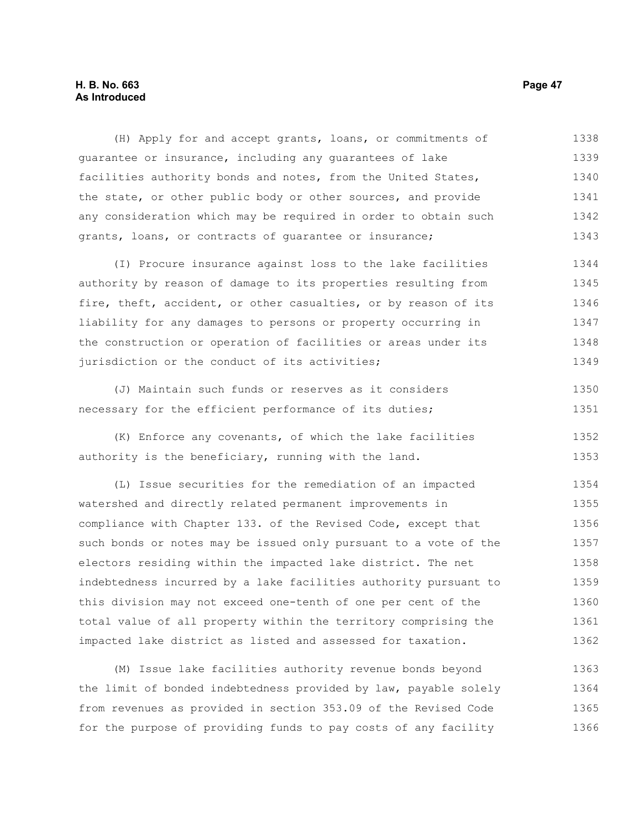# **H. B. No. 663 Page 47 As Introduced**

(H) Apply for and accept grants, loans, or commitments of guarantee or insurance, including any guarantees of lake facilities authority bonds and notes, from the United States, the state, or other public body or other sources, and provide any consideration which may be required in order to obtain such grants, loans, or contracts of guarantee or insurance; 1338 1339 1340 1341 1342 1343

(I) Procure insurance against loss to the lake facilities authority by reason of damage to its properties resulting from fire, theft, accident, or other casualties, or by reason of its liability for any damages to persons or property occurring in the construction or operation of facilities or areas under its jurisdiction or the conduct of its activities; 1344 1345 1346 1347 1348 1349

(J) Maintain such funds or reserves as it considers necessary for the efficient performance of its duties; 1350 1351

(K) Enforce any covenants, of which the lake facilities authority is the beneficiary, running with the land. 1352 1353

(L) Issue securities for the remediation of an impacted watershed and directly related permanent improvements in compliance with Chapter 133. of the Revised Code, except that such bonds or notes may be issued only pursuant to a vote of the electors residing within the impacted lake district. The net indebtedness incurred by a lake facilities authority pursuant to this division may not exceed one-tenth of one per cent of the total value of all property within the territory comprising the impacted lake district as listed and assessed for taxation. 1354 1355 1356 1357 1358 1359 1360 1361 1362

(M) Issue lake facilities authority revenue bonds beyond the limit of bonded indebtedness provided by law, payable solely from revenues as provided in section 353.09 of the Revised Code for the purpose of providing funds to pay costs of any facility 1363 1364 1365 1366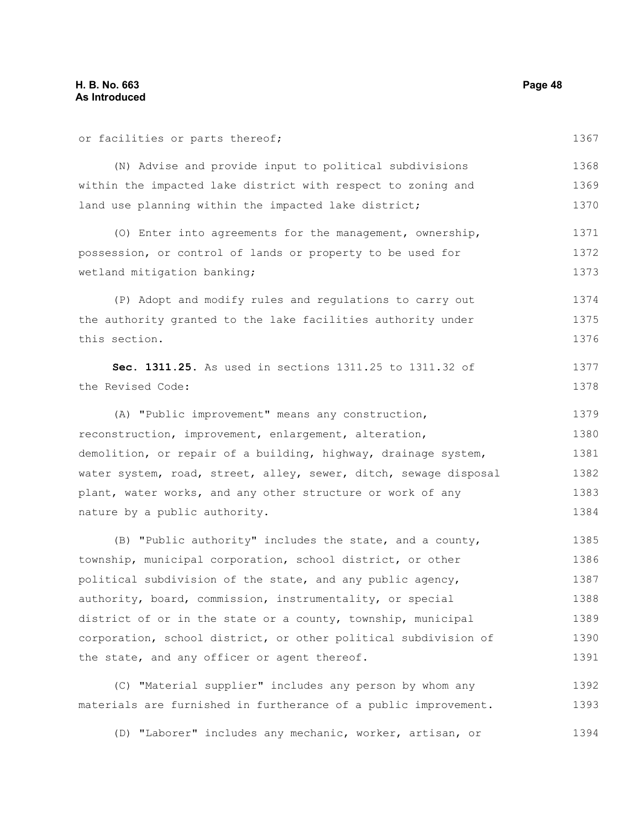or facilities or parts thereof; (N) Advise and provide input to political subdivisions within the impacted lake district with respect to zoning and land use planning within the impacted lake district; (O) Enter into agreements for the management, ownership, possession, or control of lands or property to be used for wetland mitigation banking; (P) Adopt and modify rules and regulations to carry out the authority granted to the lake facilities authority under this section. **Sec. 1311.25.** As used in sections 1311.25 to 1311.32 of the Revised Code: (A) "Public improvement" means any construction, reconstruction, improvement, enlargement, alteration, demolition, or repair of a building, highway, drainage system, water system, road, street, alley, sewer, ditch, sewage disposal plant, water works, and any other structure or work of any nature by a public authority. (B) "Public authority" includes the state, and a county, township, municipal corporation, school district, or other political subdivision of the state, and any public agency, authority, board, commission, instrumentality, or special district of or in the state or a county, township, municipal corporation, school district, or other political subdivision of the state, and any officer or agent thereof. 1367 1368 1369 1370 1371 1372 1373 1374 1375 1376 1377 1378 1379 1380 1381 1382 1383 1384 1385 1386 1387 1388 1389 1390 1391

(C) "Material supplier" includes any person by whom any materials are furnished in furtherance of a public improvement. 1392 1393

(D) "Laborer" includes any mechanic, worker, artisan, or 1394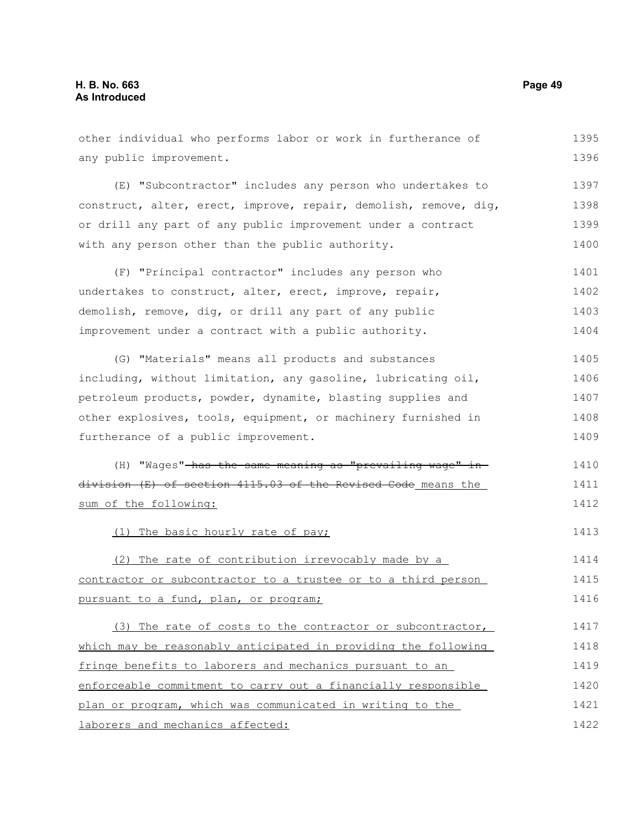other individual who performs labor or work in furtherance of any public improvement. (E) "Subcontractor" includes any person who undertakes to construct, alter, erect, improve, repair, demolish, remove, dig, or drill any part of any public improvement under a contract with any person other than the public authority. (F) "Principal contractor" includes any person who undertakes to construct, alter, erect, improve, repair, demolish, remove, dig, or drill any part of any public improvement under a contract with a public authority. (G) "Materials" means all products and substances including, without limitation, any gasoline, lubricating oil, petroleum products, powder, dynamite, blasting supplies and other explosives, tools, equipment, or machinery furnished in furtherance of a public improvement. (H) "Wages"-has the same meaning as "prevailing wage" indivision (E) of section 4115.03 of the Revised Code means the sum of the following: (1) The basic hourly rate of pay; (2) The rate of contribution irrevocably made by a contractor or subcontractor to a trustee or to a third person pursuant to a fund, plan, or program; (3) The rate of costs to the contractor or subcontractor, which may be reasonably anticipated in providing the following fringe benefits to laborers and mechanics pursuant to an enforceable commitment to carry out a financially responsible plan or program, which was communicated in writing to the 1395 1396 1397 1398 1399 1400 1401 1402 1403 1404 1405 1406 1407 1408 1409 1410 1411 1412 1413 1414 1415 1416 1417 1418 1419 1420 1421

laborers and mechanics affected:

1422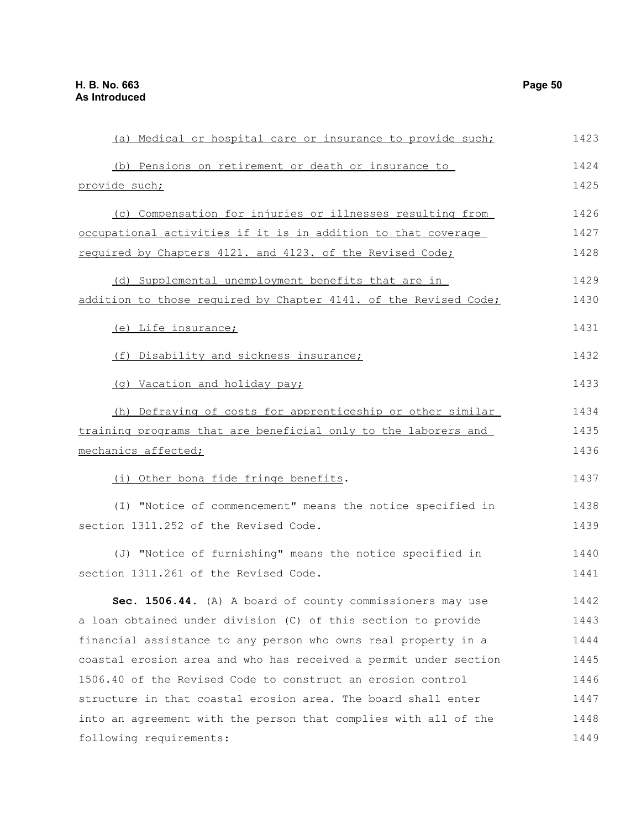provide such;

mechanics affected;

(a) Medical or hospital care or insurance to provide such; (b) Pensions on retirement or death or insurance to (c) Compensation for injuries or illnesses resulting from occupational activities if it is in addition to that coverage required by Chapters 4121. and 4123. of the Revised Code; (d) Supplemental unemployment benefits that are in addition to those required by Chapter 4141. of the Revised Code; (e) Life insurance; (f) Disability and sickness insurance; (g) Vacation and holiday pay; (h) Defraying of costs for apprenticeship or other similar training programs that are beneficial only to the laborers and 1423 1424 1425 1426 1427 1428 1429 1430 1431 1432 1433 1434 1435 1436

(i) Other bona fide fringe benefits.

(I) "Notice of commencement" means the notice specified in section 1311.252 of the Revised Code. 1438 1439

(J) "Notice of furnishing" means the notice specified in section 1311.261 of the Revised Code. 1440 1441

**Sec. 1506.44.** (A) A board of county commissioners may use a loan obtained under division (C) of this section to provide financial assistance to any person who owns real property in a coastal erosion area and who has received a permit under section 1506.40 of the Revised Code to construct an erosion control structure in that coastal erosion area. The board shall enter into an agreement with the person that complies with all of the following requirements: 1442 1443 1444 1445 1446 1447 1448 1449

1437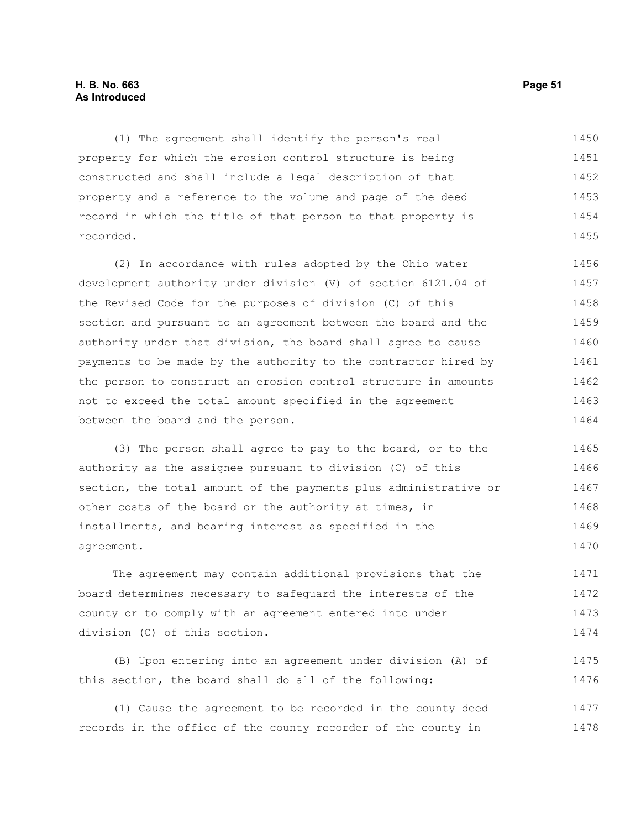# **H. B. No. 663 Page 51 As Introduced**

(1) The agreement shall identify the person's real property for which the erosion control structure is being constructed and shall include a legal description of that property and a reference to the volume and page of the deed record in which the title of that person to that property is recorded. 1450 1451 1452 1453 1454 1455

(2) In accordance with rules adopted by the Ohio water development authority under division (V) of section 6121.04 of the Revised Code for the purposes of division (C) of this section and pursuant to an agreement between the board and the authority under that division, the board shall agree to cause payments to be made by the authority to the contractor hired by the person to construct an erosion control structure in amounts not to exceed the total amount specified in the agreement between the board and the person. 1456 1457 1458 1459 1460 1461 1462 1463 1464

(3) The person shall agree to pay to the board, or to the authority as the assignee pursuant to division (C) of this section, the total amount of the payments plus administrative or other costs of the board or the authority at times, in installments, and bearing interest as specified in the agreement. 1465 1466 1467 1468 1469 1470

The agreement may contain additional provisions that the board determines necessary to safeguard the interests of the county or to comply with an agreement entered into under division (C) of this section. 1471 1472 1473 1474

(B) Upon entering into an agreement under division (A) of this section, the board shall do all of the following: 1475 1476

(1) Cause the agreement to be recorded in the county deed records in the office of the county recorder of the county in 1477 1478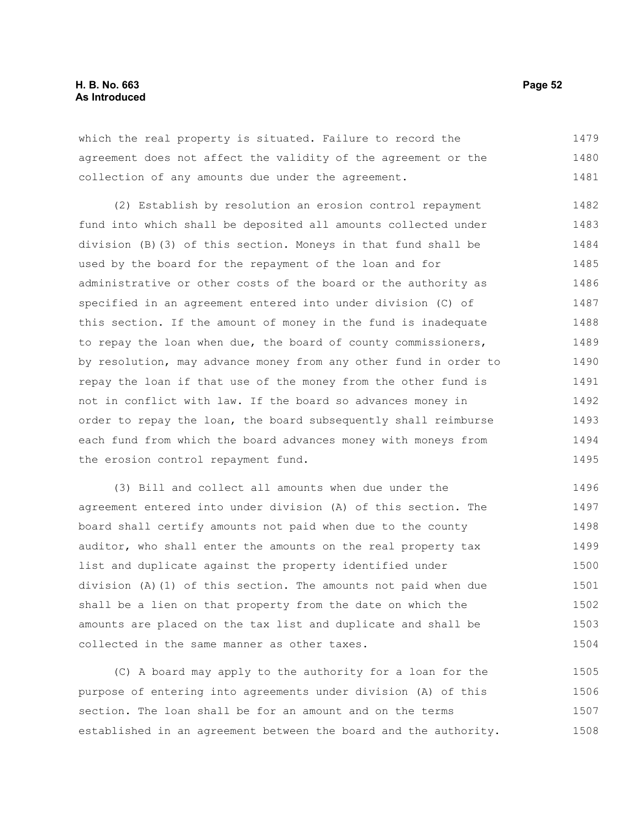which the real property is situated. Failure to record the agreement does not affect the validity of the agreement or the collection of any amounts due under the agreement. 1479 1480 1481

(2) Establish by resolution an erosion control repayment fund into which shall be deposited all amounts collected under division (B)(3) of this section. Moneys in that fund shall be used by the board for the repayment of the loan and for administrative or other costs of the board or the authority as specified in an agreement entered into under division (C) of this section. If the amount of money in the fund is inadequate to repay the loan when due, the board of county commissioners, by resolution, may advance money from any other fund in order to repay the loan if that use of the money from the other fund is not in conflict with law. If the board so advances money in order to repay the loan, the board subsequently shall reimburse each fund from which the board advances money with moneys from the erosion control repayment fund. 1482 1483 1484 1485 1486 1487 1488 1489 1490 1491 1492 1493 1494 1495

(3) Bill and collect all amounts when due under the agreement entered into under division (A) of this section. The board shall certify amounts not paid when due to the county auditor, who shall enter the amounts on the real property tax list and duplicate against the property identified under division (A)(1) of this section. The amounts not paid when due shall be a lien on that property from the date on which the amounts are placed on the tax list and duplicate and shall be collected in the same manner as other taxes. 1496 1497 1498 1499 1500 1501 1502 1503 1504

(C) A board may apply to the authority for a loan for the purpose of entering into agreements under division (A) of this section. The loan shall be for an amount and on the terms established in an agreement between the board and the authority. 1505 1506 1507 1508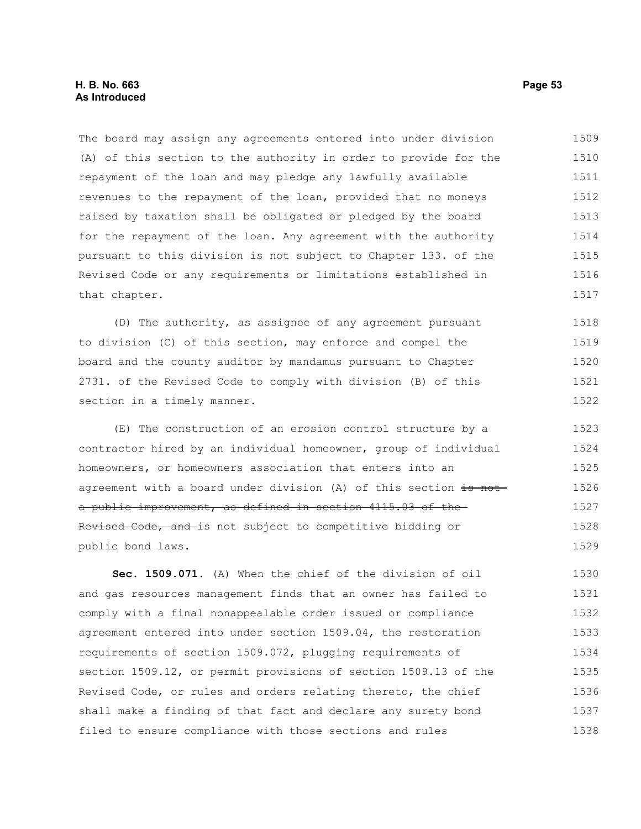# **H. B. No. 663 Page 53 As Introduced**

The board may assign any agreements entered into under division (A) of this section to the authority in order to provide for the repayment of the loan and may pledge any lawfully available revenues to the repayment of the loan, provided that no moneys raised by taxation shall be obligated or pledged by the board for the repayment of the loan. Any agreement with the authority pursuant to this division is not subject to Chapter 133. of the Revised Code or any requirements or limitations established in that chapter. 1509 1510 1511 1512 1513 1514 1515 1516 1517

(D) The authority, as assignee of any agreement pursuant to division (C) of this section, may enforce and compel the board and the county auditor by mandamus pursuant to Chapter 2731. of the Revised Code to comply with division (B) of this section in a timely manner. 1518 1519 1520 1521 1522

(E) The construction of an erosion control structure by a contractor hired by an individual homeowner, group of individual homeowners, or homeowners association that enters into an agreement with a board under division (A) of this section is nota public improvement, as defined in section 4115.03 of the Revised Code, and is not subject to competitive bidding or public bond laws. 1523 1524 1525 1526 1527 1528 1529

**Sec. 1509.071.** (A) When the chief of the division of oil and gas resources management finds that an owner has failed to comply with a final nonappealable order issued or compliance agreement entered into under section 1509.04, the restoration requirements of section 1509.072, plugging requirements of section 1509.12, or permit provisions of section 1509.13 of the Revised Code, or rules and orders relating thereto, the chief shall make a finding of that fact and declare any surety bond filed to ensure compliance with those sections and rules 1530 1531 1532 1533 1534 1535 1536 1537 1538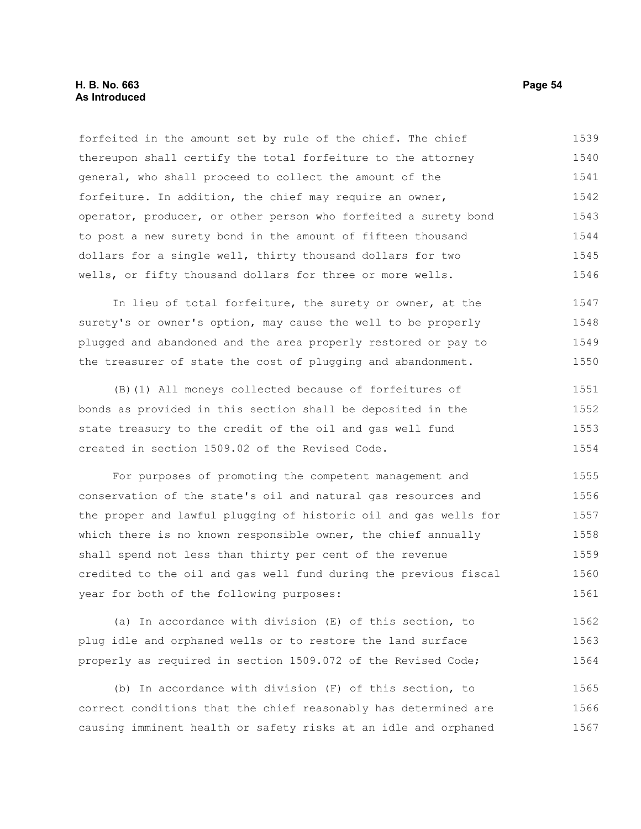forfeited in the amount set by rule of the chief. The chief thereupon shall certify the total forfeiture to the attorney general, who shall proceed to collect the amount of the forfeiture. In addition, the chief may require an owner, operator, producer, or other person who forfeited a surety bond to post a new surety bond in the amount of fifteen thousand dollars for a single well, thirty thousand dollars for two wells, or fifty thousand dollars for three or more wells. 1539 1540 1541 1542 1543 1544 1545 1546

In lieu of total forfeiture, the surety or owner, at the surety's or owner's option, may cause the well to be properly plugged and abandoned and the area properly restored or pay to the treasurer of state the cost of plugging and abandonment. 1547 1548 1549 1550

(B)(1) All moneys collected because of forfeitures of bonds as provided in this section shall be deposited in the state treasury to the credit of the oil and gas well fund created in section 1509.02 of the Revised Code. 1551 1552 1553 1554

For purposes of promoting the competent management and conservation of the state's oil and natural gas resources and the proper and lawful plugging of historic oil and gas wells for which there is no known responsible owner, the chief annually shall spend not less than thirty per cent of the revenue credited to the oil and gas well fund during the previous fiscal year for both of the following purposes: 1555 1556 1557 1558 1559 1560 1561

(a) In accordance with division (E) of this section, to plug idle and orphaned wells or to restore the land surface properly as required in section 1509.072 of the Revised Code; 1562 1563 1564

(b) In accordance with division (F) of this section, to correct conditions that the chief reasonably has determined are causing imminent health or safety risks at an idle and orphaned 1565 1566 1567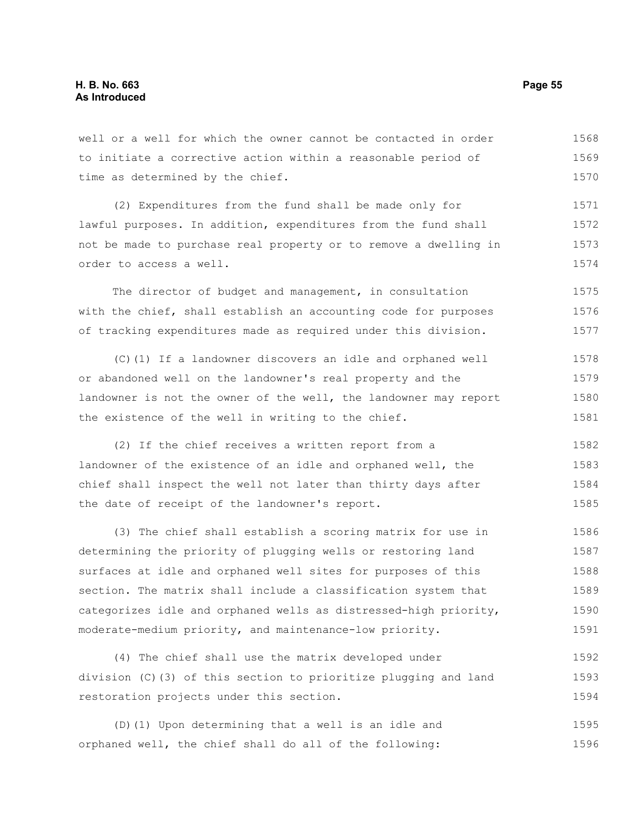well or a well for which the owner cannot be contacted in order to initiate a corrective action within a reasonable period of time as determined by the chief. 1568 1569 1570

(2) Expenditures from the fund shall be made only for lawful purposes. In addition, expenditures from the fund shall not be made to purchase real property or to remove a dwelling in order to access a well. 1571 1572 1573 1574

The director of budget and management, in consultation with the chief, shall establish an accounting code for purposes of tracking expenditures made as required under this division. 1575 1576 1577

(C)(1) If a landowner discovers an idle and orphaned well or abandoned well on the landowner's real property and the landowner is not the owner of the well, the landowner may report the existence of the well in writing to the chief. 1578 1579 1580 1581

(2) If the chief receives a written report from a landowner of the existence of an idle and orphaned well, the chief shall inspect the well not later than thirty days after the date of receipt of the landowner's report. 1582 1583 1584 1585

(3) The chief shall establish a scoring matrix for use in determining the priority of plugging wells or restoring land surfaces at idle and orphaned well sites for purposes of this section. The matrix shall include a classification system that categorizes idle and orphaned wells as distressed-high priority, moderate-medium priority, and maintenance-low priority. 1586 1587 1588 1589 1590 1591

(4) The chief shall use the matrix developed under division (C)(3) of this section to prioritize plugging and land restoration projects under this section. 1592 1593 1594

(D)(1) Upon determining that a well is an idle and orphaned well, the chief shall do all of the following: 1595 1596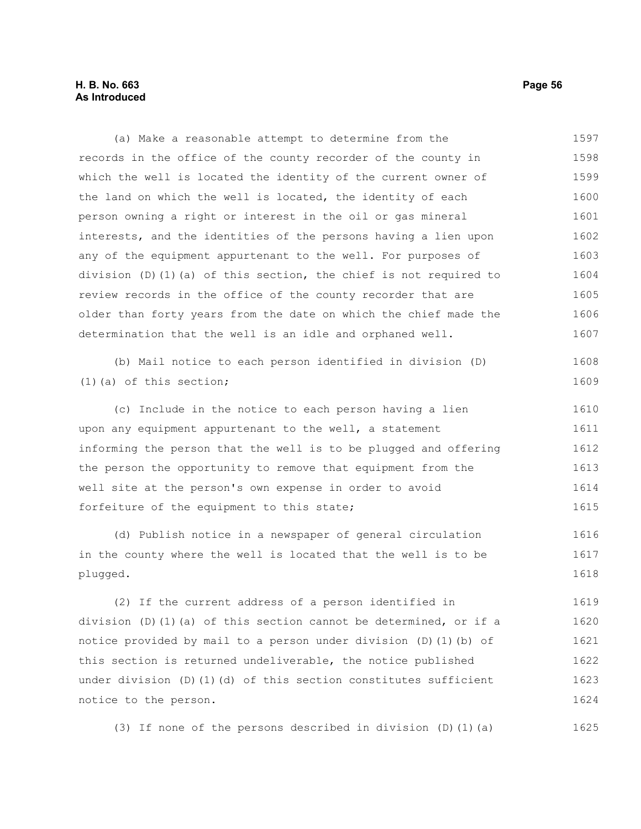# **H. B. No. 663 Page 56 As Introduced**

(a) Make a reasonable attempt to determine from the records in the office of the county recorder of the county in which the well is located the identity of the current owner of the land on which the well is located, the identity of each person owning a right or interest in the oil or gas mineral interests, and the identities of the persons having a lien upon any of the equipment appurtenant to the well. For purposes of division (D)(1)(a) of this section, the chief is not required to review records in the office of the county recorder that are older than forty years from the date on which the chief made the determination that the well is an idle and orphaned well. (b) Mail notice to each person identified in division (D)  $(1)$  (a) of this section; (c) Include in the notice to each person having a lien upon any equipment appurtenant to the well, a statement informing the person that the well is to be plugged and offering the person the opportunity to remove that equipment from the well site at the person's own expense in order to avoid forfeiture of the equipment to this state; (d) Publish notice in a newspaper of general circulation in the county where the well is located that the well is to be plugged. (2) If the current address of a person identified in division (D)(1)(a) of this section cannot be determined, or if a notice provided by mail to a person under division (D)(1)(b) of this section is returned undeliverable, the notice published under division  $(D)$  (1)(d) of this section constitutes sufficient notice to the person. 1597 1598 1599 1600 1601 1602 1603 1604 1605 1606 1607 1608 1609 1610 1611 1612 1613 1614 1615 1616 1617 1618 1619 1620 1621 1622 1623 1624

(3) If none of the persons described in division (D)(1)(a) 1625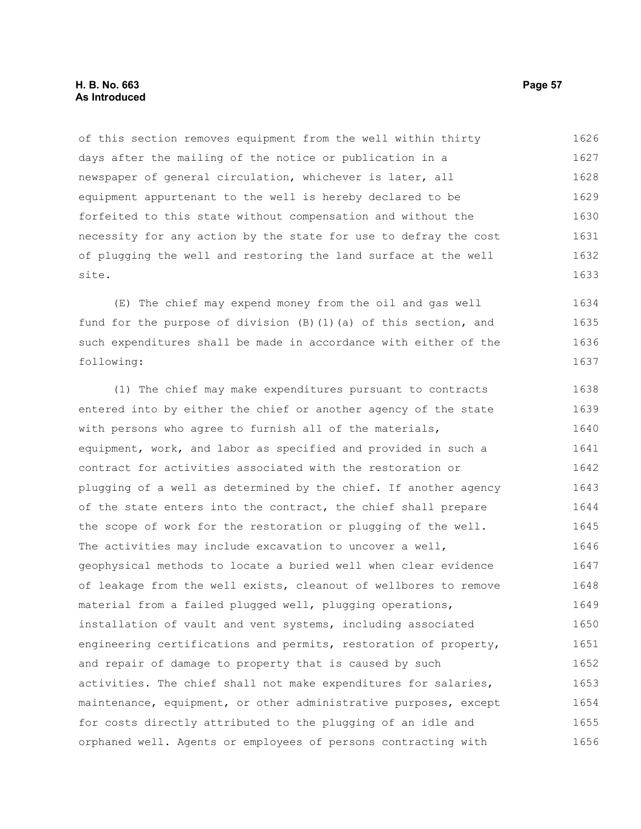## **H. B. No. 663 Page 57 As Introduced**

of this section removes equipment from the well within thirty days after the mailing of the notice or publication in a newspaper of general circulation, whichever is later, all equipment appurtenant to the well is hereby declared to be forfeited to this state without compensation and without the necessity for any action by the state for use to defray the cost of plugging the well and restoring the land surface at the well site. 1626 1627 1628 1629 1630 1631 1632 1633

(E) The chief may expend money from the oil and gas well fund for the purpose of division (B)(1)(a) of this section, and such expenditures shall be made in accordance with either of the following: 1634 1635 1636 1637

(1) The chief may make expenditures pursuant to contracts entered into by either the chief or another agency of the state with persons who agree to furnish all of the materials, equipment, work, and labor as specified and provided in such a contract for activities associated with the restoration or plugging of a well as determined by the chief. If another agency of the state enters into the contract, the chief shall prepare the scope of work for the restoration or plugging of the well. The activities may include excavation to uncover a well, geophysical methods to locate a buried well when clear evidence of leakage from the well exists, cleanout of wellbores to remove material from a failed plugged well, plugging operations, installation of vault and vent systems, including associated engineering certifications and permits, restoration of property, and repair of damage to property that is caused by such activities. The chief shall not make expenditures for salaries, maintenance, equipment, or other administrative purposes, except for costs directly attributed to the plugging of an idle and orphaned well. Agents or employees of persons contracting with 1638 1639 1640 1641 1642 1643 1644 1645 1646 1647 1648 1649 1650 1651 1652 1653 1654 1655 1656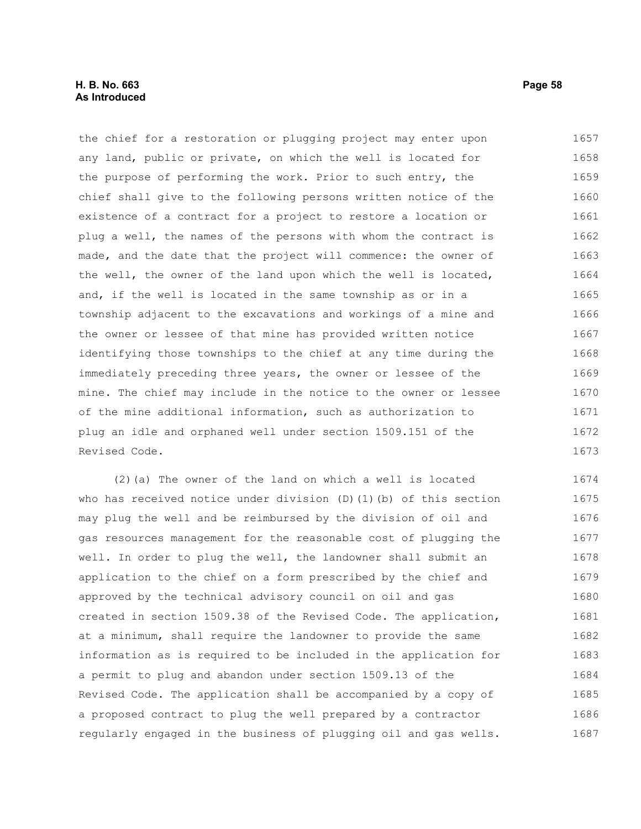# **H. B. No. 663 Page 58 As Introduced**

the chief for a restoration or plugging project may enter upon any land, public or private, on which the well is located for the purpose of performing the work. Prior to such entry, the chief shall give to the following persons written notice of the existence of a contract for a project to restore a location or plug a well, the names of the persons with whom the contract is made, and the date that the project will commence: the owner of the well, the owner of the land upon which the well is located, and, if the well is located in the same township as or in a township adjacent to the excavations and workings of a mine and the owner or lessee of that mine has provided written notice identifying those townships to the chief at any time during the immediately preceding three years, the owner or lessee of the mine. The chief may include in the notice to the owner or lessee of the mine additional information, such as authorization to plug an idle and orphaned well under section 1509.151 of the Revised Code. 1657 1658 1659 1660 1661 1662 1663 1664 1665 1666 1667 1668 1669 1670 1671 1672 1673

(2)(a) The owner of the land on which a well is located who has received notice under division (D)(1)(b) of this section may plug the well and be reimbursed by the division of oil and gas resources management for the reasonable cost of plugging the well. In order to plug the well, the landowner shall submit an application to the chief on a form prescribed by the chief and approved by the technical advisory council on oil and gas created in section 1509.38 of the Revised Code. The application, at a minimum, shall require the landowner to provide the same information as is required to be included in the application for a permit to plug and abandon under section 1509.13 of the Revised Code. The application shall be accompanied by a copy of a proposed contract to plug the well prepared by a contractor regularly engaged in the business of plugging oil and gas wells. 1674 1675 1676 1677 1678 1679 1680 1681 1682 1683 1684 1685 1686 1687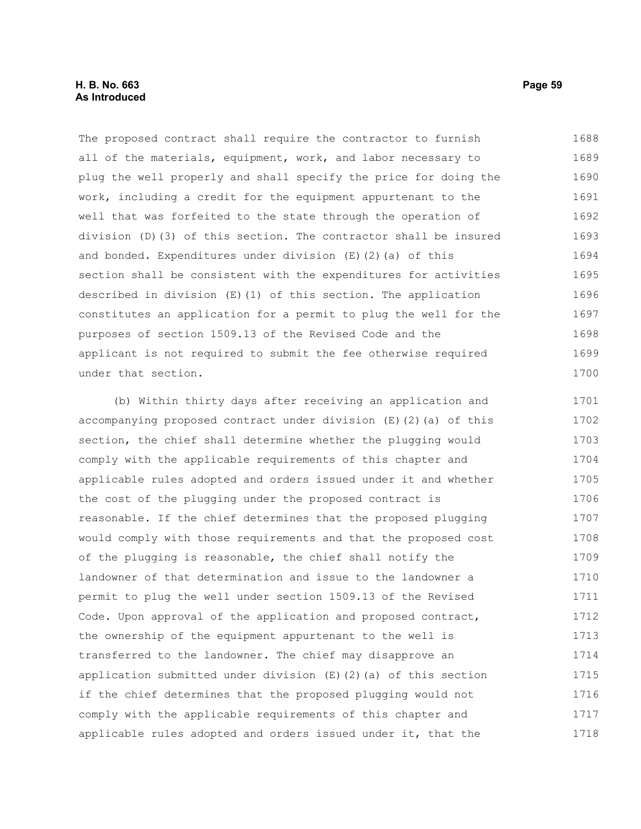# **H. B. No. 663 Page 59 As Introduced**

The proposed contract shall require the contractor to furnish all of the materials, equipment, work, and labor necessary to plug the well properly and shall specify the price for doing the work, including a credit for the equipment appurtenant to the well that was forfeited to the state through the operation of division (D)(3) of this section. The contractor shall be insured and bonded. Expenditures under division (E)(2)(a) of this section shall be consistent with the expenditures for activities described in division (E)(1) of this section. The application constitutes an application for a permit to plug the well for the purposes of section 1509.13 of the Revised Code and the applicant is not required to submit the fee otherwise required under that section. 1688 1689 1690 1691 1692 1693 1694 1695 1696 1697 1698 1699 1700

(b) Within thirty days after receiving an application and accompanying proposed contract under division (E)(2)(a) of this section, the chief shall determine whether the plugging would comply with the applicable requirements of this chapter and applicable rules adopted and orders issued under it and whether the cost of the plugging under the proposed contract is reasonable. If the chief determines that the proposed plugging would comply with those requirements and that the proposed cost of the plugging is reasonable, the chief shall notify the landowner of that determination and issue to the landowner a permit to plug the well under section 1509.13 of the Revised Code. Upon approval of the application and proposed contract, the ownership of the equipment appurtenant to the well is transferred to the landowner. The chief may disapprove an application submitted under division  $(E)$  (2)(a) of this section if the chief determines that the proposed plugging would not comply with the applicable requirements of this chapter and applicable rules adopted and orders issued under it, that the 1701 1702 1703 1704 1705 1706 1707 1708 1709 1710 1711 1712 1713 1714 1715 1716 1717 1718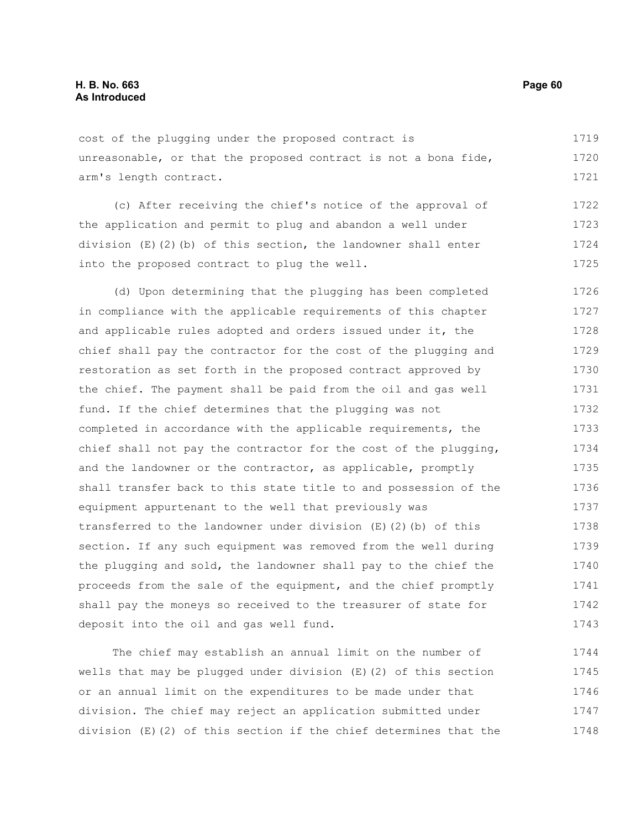cost of the plugging under the proposed contract is unreasonable, or that the proposed contract is not a bona fide, arm's length contract. 1719 1720 1721

(c) After receiving the chief's notice of the approval of the application and permit to plug and abandon a well under division  $(E)(2)(b)$  of this section, the landowner shall enter into the proposed contract to plug the well. 1722 1723 1724 1725

(d) Upon determining that the plugging has been completed in compliance with the applicable requirements of this chapter and applicable rules adopted and orders issued under it, the chief shall pay the contractor for the cost of the plugging and restoration as set forth in the proposed contract approved by the chief. The payment shall be paid from the oil and gas well fund. If the chief determines that the plugging was not completed in accordance with the applicable requirements, the chief shall not pay the contractor for the cost of the plugging, and the landowner or the contractor, as applicable, promptly shall transfer back to this state title to and possession of the equipment appurtenant to the well that previously was transferred to the landowner under division  $(E)$  (2)(b) of this section. If any such equipment was removed from the well during the plugging and sold, the landowner shall pay to the chief the proceeds from the sale of the equipment, and the chief promptly shall pay the moneys so received to the treasurer of state for deposit into the oil and gas well fund. 1726 1727 1728 1729 1730 1731 1732 1733 1734 1735 1736 1737 1738 1739 1740 1741 1742 1743

The chief may establish an annual limit on the number of wells that may be plugged under division (E)(2) of this section or an annual limit on the expenditures to be made under that division. The chief may reject an application submitted under division (E)(2) of this section if the chief determines that the 1744 1745 1746 1747 1748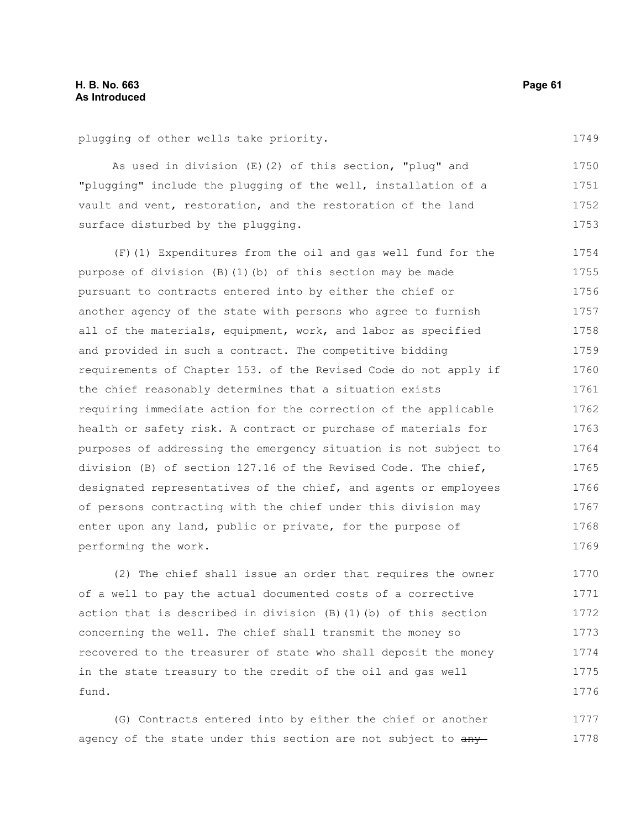1749

plugging of other wells take priority.

As used in division (E)(2) of this section, "plug" and "plugging" include the plugging of the well, installation of a vault and vent, restoration, and the restoration of the land surface disturbed by the plugging. 1750 1751 1752 1753

(F)(1) Expenditures from the oil and gas well fund for the purpose of division (B)(1)(b) of this section may be made pursuant to contracts entered into by either the chief or another agency of the state with persons who agree to furnish all of the materials, equipment, work, and labor as specified and provided in such a contract. The competitive bidding requirements of Chapter 153. of the Revised Code do not apply if the chief reasonably determines that a situation exists requiring immediate action for the correction of the applicable health or safety risk. A contract or purchase of materials for purposes of addressing the emergency situation is not subject to division (B) of section 127.16 of the Revised Code. The chief, designated representatives of the chief, and agents or employees of persons contracting with the chief under this division may enter upon any land, public or private, for the purpose of performing the work. 1754 1755 1756 1757 1758 1759 1760 1761 1762 1763 1764 1765 1766 1767 1768 1769

(2) The chief shall issue an order that requires the owner of a well to pay the actual documented costs of a corrective action that is described in division (B)(1)(b) of this section concerning the well. The chief shall transmit the money so recovered to the treasurer of state who shall deposit the money in the state treasury to the credit of the oil and gas well fund. 1770 1771 1772 1773 1774 1775 1776

(G) Contracts entered into by either the chief or another agency of the state under this section are not subject to  $\frac{any}{ny}$ 1777 1778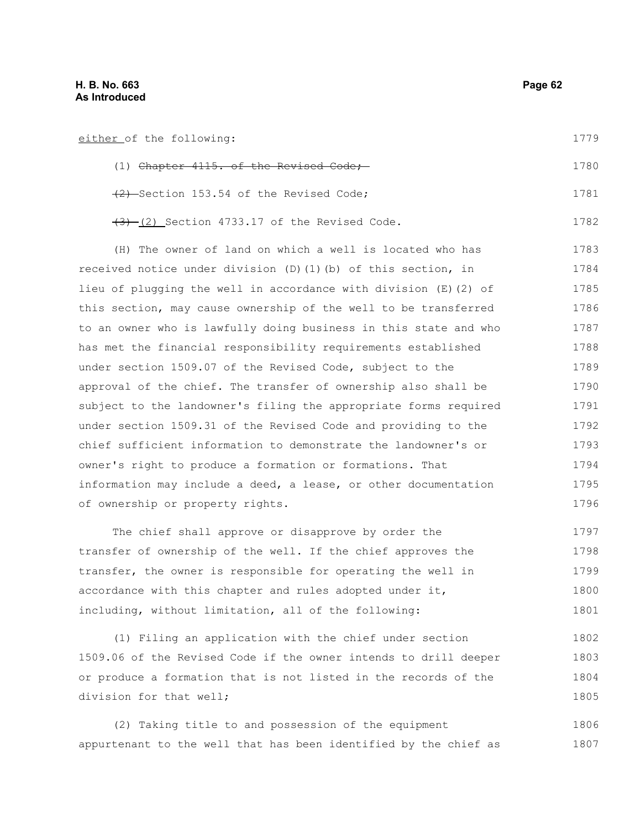| either of the following:                                         | 1779 |
|------------------------------------------------------------------|------|
| $(1)$ Chapter $4115$ , of the Revised Code;                      | 1780 |
| (2) Section 153.54 of the Revised Code;                          | 1781 |
| $(3)$ (2) Section 4733.17 of the Revised Code.                   | 1782 |
| (H) The owner of land on which a well is located who has         | 1783 |
| received notice under division (D)(1)(b) of this section, in     | 1784 |
| lieu of plugging the well in accordance with division (E) (2) of | 1785 |
| this section, may cause ownership of the well to be transferred  | 1786 |
| to an owner who is lawfully doing business in this state and who | 1787 |
| has met the financial responsibility requirements established    | 1788 |
| under section 1509.07 of the Revised Code, subject to the        | 1789 |
| approval of the chief. The transfer of ownership also shall be   | 1790 |
| subject to the landowner's filing the appropriate forms required | 1791 |
| under section 1509.31 of the Revised Code and providing to the   | 1792 |
| chief sufficient information to demonstrate the landowner's or   | 1793 |
| owner's right to produce a formation or formations. That         | 1794 |
| information may include a deed, a lease, or other documentation  | 1795 |
| of ownership or property rights.                                 | 1796 |
|                                                                  |      |

The chief shall approve or disapprove by order the transfer of ownership of the well. If the chief approves the transfer, the owner is responsible for operating the well in accordance with this chapter and rules adopted under it, including, without limitation, all of the following: 1797 1798 1799 1800 1801

(1) Filing an application with the chief under section 1509.06 of the Revised Code if the owner intends to drill deeper or produce a formation that is not listed in the records of the division for that well; 1802 1803 1804 1805

(2) Taking title to and possession of the equipment appurtenant to the well that has been identified by the chief as 1806 1807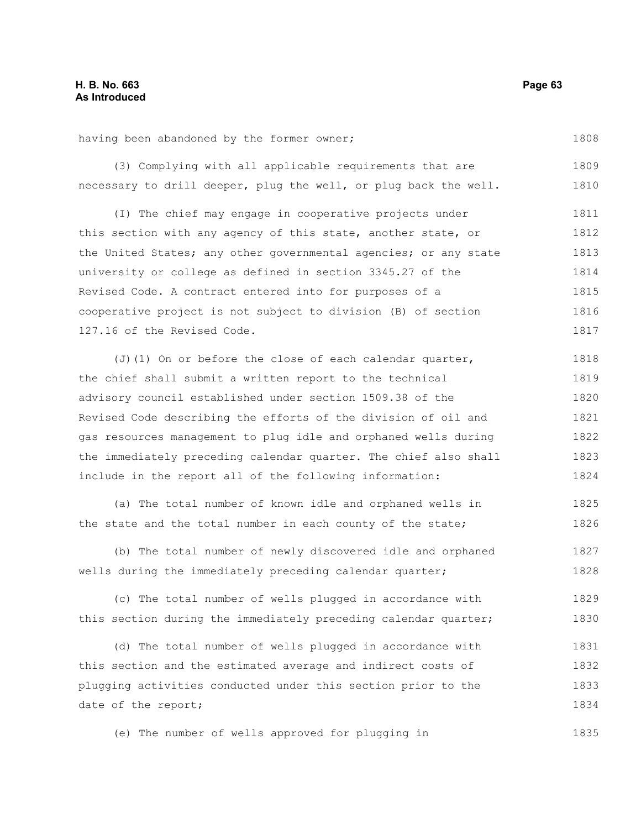1808

having been abandoned by the former owner;

(3) Complying with all applicable requirements that are necessary to drill deeper, plug the well, or plug back the well. 1809 1810

(I) The chief may engage in cooperative projects under this section with any agency of this state, another state, or the United States; any other governmental agencies; or any state university or college as defined in section 3345.27 of the Revised Code. A contract entered into for purposes of a cooperative project is not subject to division (B) of section 127.16 of the Revised Code. 1811 1812 1813 1814 1815 1816 1817

(J)(1) On or before the close of each calendar quarter, the chief shall submit a written report to the technical advisory council established under section 1509.38 of the Revised Code describing the efforts of the division of oil and gas resources management to plug idle and orphaned wells during the immediately preceding calendar quarter. The chief also shall include in the report all of the following information: 1818 1819 1820 1821 1822 1823 1824

(a) The total number of known idle and orphaned wells in the state and the total number in each county of the state; 1825 1826

(b) The total number of newly discovered idle and orphaned wells during the immediately preceding calendar quarter; 1827 1828

(c) The total number of wells plugged in accordance with this section during the immediately preceding calendar quarter; 1829 1830

(d) The total number of wells plugged in accordance with this section and the estimated average and indirect costs of plugging activities conducted under this section prior to the date of the report; 1831 1832 1833 1834

(e) The number of wells approved for plugging in 1835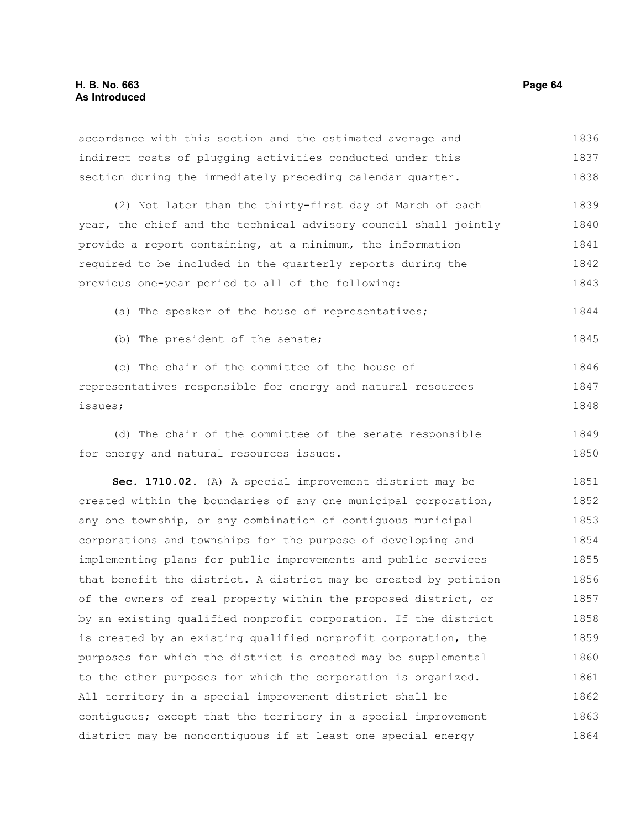accordance with this section and the estimated average and indirect costs of plugging activities conducted under this section during the immediately preceding calendar quarter. (2) Not later than the thirty-first day of March of each year, the chief and the technical advisory council shall jointly provide a report containing, at a minimum, the information required to be included in the quarterly reports during the previous one-year period to all of the following: (a) The speaker of the house of representatives; (b) The president of the senate; (c) The chair of the committee of the house of representatives responsible for energy and natural resources issues; 1836 1837 1838 1839 1840 1841 1842 1843 1844 1845 1846 1847 1848

(d) The chair of the committee of the senate responsible for energy and natural resources issues. 1849 1850

**Sec. 1710.02.** (A) A special improvement district may be created within the boundaries of any one municipal corporation, any one township, or any combination of contiguous municipal corporations and townships for the purpose of developing and implementing plans for public improvements and public services that benefit the district. A district may be created by petition of the owners of real property within the proposed district, or by an existing qualified nonprofit corporation. If the district is created by an existing qualified nonprofit corporation, the purposes for which the district is created may be supplemental to the other purposes for which the corporation is organized. All territory in a special improvement district shall be contiguous; except that the territory in a special improvement district may be noncontiguous if at least one special energy 1851 1852 1853 1854 1855 1856 1857 1858 1859 1860 1861 1862 1863 1864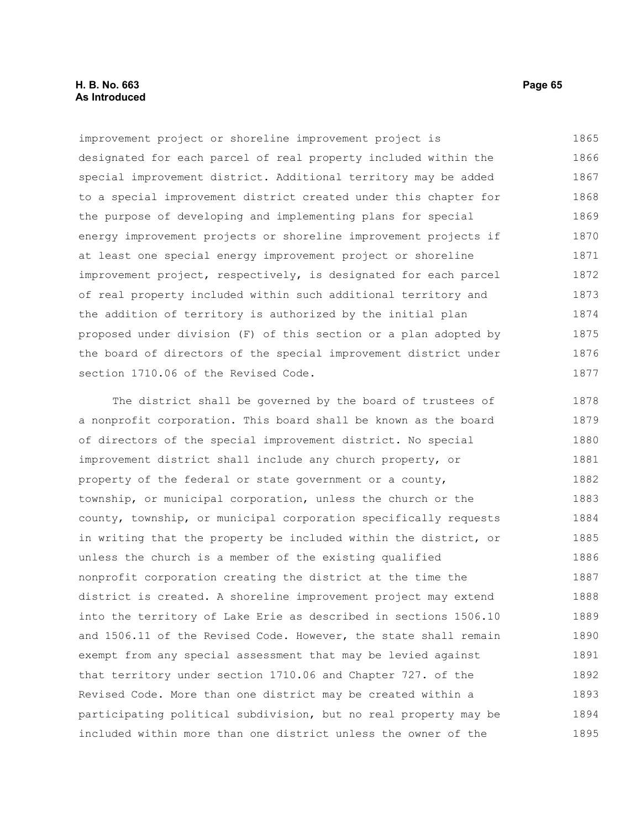# **H. B. No. 663 Page 65 As Introduced**

improvement project or shoreline improvement project is designated for each parcel of real property included within the special improvement district. Additional territory may be added to a special improvement district created under this chapter for the purpose of developing and implementing plans for special energy improvement projects or shoreline improvement projects if at least one special energy improvement project or shoreline improvement project, respectively, is designated for each parcel of real property included within such additional territory and the addition of territory is authorized by the initial plan proposed under division (F) of this section or a plan adopted by the board of directors of the special improvement district under section 1710.06 of the Revised Code. 1865 1866 1867 1868 1869 1870 1871 1872 1873 1874 1875 1876 1877

The district shall be governed by the board of trustees of a nonprofit corporation. This board shall be known as the board of directors of the special improvement district. No special improvement district shall include any church property, or property of the federal or state government or a county, township, or municipal corporation, unless the church or the county, township, or municipal corporation specifically requests in writing that the property be included within the district, or unless the church is a member of the existing qualified nonprofit corporation creating the district at the time the district is created. A shoreline improvement project may extend into the territory of Lake Erie as described in sections 1506.10 and 1506.11 of the Revised Code. However, the state shall remain exempt from any special assessment that may be levied against that territory under section 1710.06 and Chapter 727. of the Revised Code. More than one district may be created within a participating political subdivision, but no real property may be included within more than one district unless the owner of the 1878 1879 1880 1881 1882 1883 1884 1885 1886 1887 1888 1889 1890 1891 1892 1893 1894 1895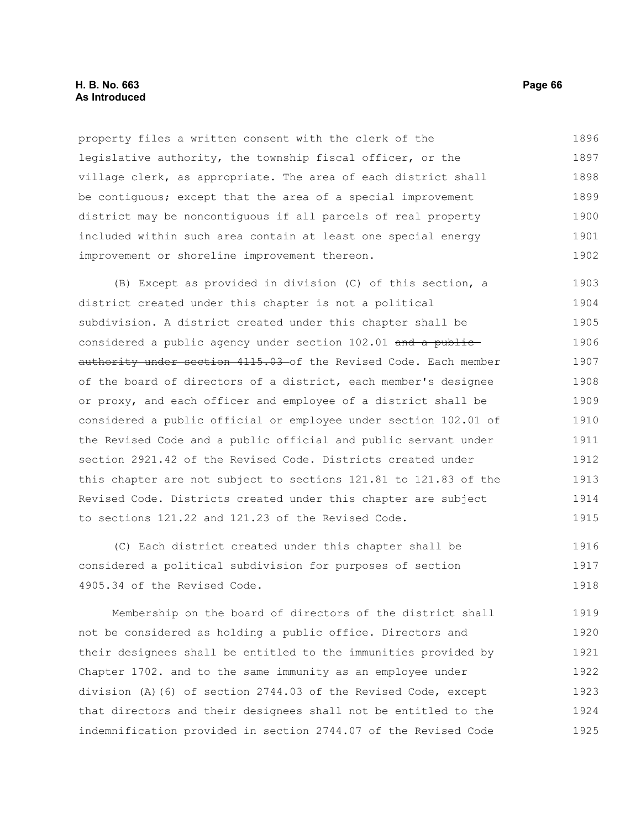# **H. B. No. 663 Page 66 As Introduced**

property files a written consent with the clerk of the legislative authority, the township fiscal officer, or the village clerk, as appropriate. The area of each district shall be contiguous; except that the area of a special improvement district may be noncontiguous if all parcels of real property included within such area contain at least one special energy improvement or shoreline improvement thereon. 1896 1897 1898 1899 1900 1901 1902

(B) Except as provided in division (C) of this section, a district created under this chapter is not a political subdivision. A district created under this chapter shall be considered a public agency under section 102.01 and a publicauthority under section 4115.03 of the Revised Code. Each member of the board of directors of a district, each member's designee or proxy, and each officer and employee of a district shall be considered a public official or employee under section 102.01 of the Revised Code and a public official and public servant under section 2921.42 of the Revised Code. Districts created under this chapter are not subject to sections 121.81 to 121.83 of the Revised Code. Districts created under this chapter are subject to sections 121.22 and 121.23 of the Revised Code. 1903 1904 1905 1906 1907 1908 1909 1910 1911 1912 1913 1914 1915

(C) Each district created under this chapter shall be considered a political subdivision for purposes of section 4905.34 of the Revised Code. 1916 1917 1918

Membership on the board of directors of the district shall not be considered as holding a public office. Directors and their designees shall be entitled to the immunities provided by Chapter 1702. and to the same immunity as an employee under division (A)(6) of section 2744.03 of the Revised Code, except that directors and their designees shall not be entitled to the indemnification provided in section 2744.07 of the Revised Code 1919 1920 1921 1922 1923 1924 1925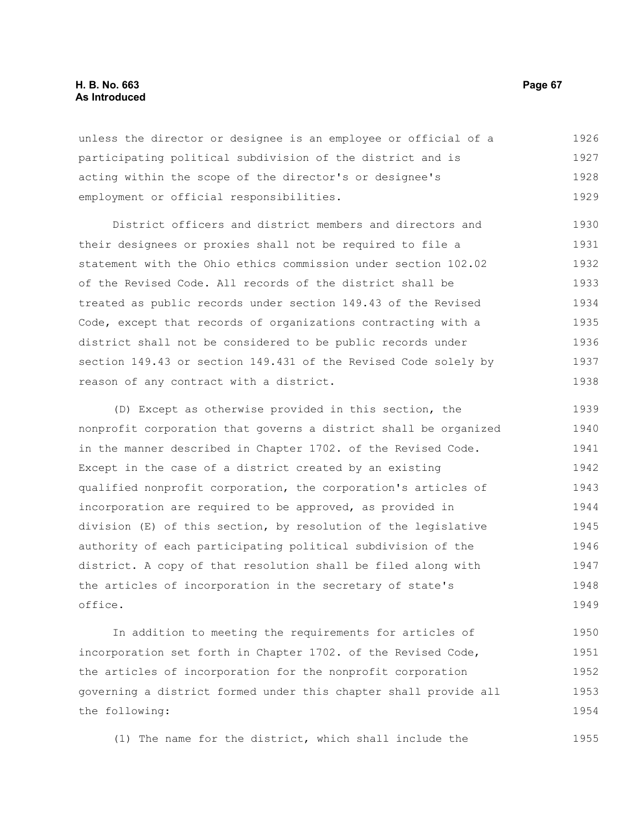## **H. B. No. 663 Page 67 As Introduced**

unless the director or designee is an employee or official of a participating political subdivision of the district and is acting within the scope of the director's or designee's employment or official responsibilities. 1926 1927 1928 1929

District officers and district members and directors and their designees or proxies shall not be required to file a statement with the Ohio ethics commission under section 102.02 of the Revised Code. All records of the district shall be treated as public records under section 149.43 of the Revised Code, except that records of organizations contracting with a district shall not be considered to be public records under section 149.43 or section 149.431 of the Revised Code solely by reason of any contract with a district. 1930 1931 1932 1933 1934 1935 1936 1937 1938

(D) Except as otherwise provided in this section, the nonprofit corporation that governs a district shall be organized in the manner described in Chapter 1702. of the Revised Code. Except in the case of a district created by an existing qualified nonprofit corporation, the corporation's articles of incorporation are required to be approved, as provided in division (E) of this section, by resolution of the legislative authority of each participating political subdivision of the district. A copy of that resolution shall be filed along with the articles of incorporation in the secretary of state's office. 1939 1940 1941 1942 1943 1944 1945 1946 1947 1948 1949

In addition to meeting the requirements for articles of incorporation set forth in Chapter 1702. of the Revised Code, the articles of incorporation for the nonprofit corporation governing a district formed under this chapter shall provide all the following: 1950 1951 1952 1953 1954

(1) The name for the district, which shall include the

1955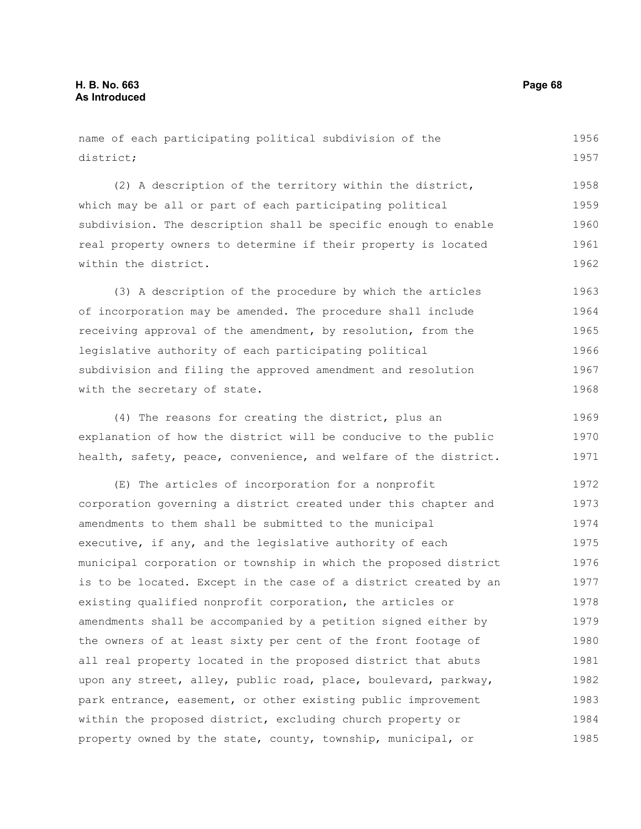| name of each participating political subdivision of the          | 1956 |
|------------------------------------------------------------------|------|
| district;                                                        | 1957 |
| (2) A description of the territory within the district,          | 1958 |
| which may be all or part of each participating political         | 1959 |
| subdivision. The description shall be specific enough to enable  | 1960 |
| real property owners to determine if their property is located   | 1961 |
| within the district.                                             | 1962 |
| (3) A description of the procedure by which the articles         | 1963 |
| of incorporation may be amended. The procedure shall include     | 1964 |
| receiving approval of the amendment, by resolution, from the     | 1965 |
| legislative authority of each participating political            | 1966 |
| subdivision and filing the approved amendment and resolution     | 1967 |
| with the secretary of state.                                     | 1968 |
| (4) The reasons for creating the district, plus an               | 1969 |
| explanation of how the district will be conducive to the public  | 1970 |
| health, safety, peace, convenience, and welfare of the district. | 1971 |
| (E) The articles of incorporation for a nonprofit                | 1972 |
| corporation governing a district created under this chapter and  | 1973 |
| amendments to them shall be submitted to the municipal           | 1974 |
| executive, if any, and the legislative authority of each         | 1975 |
| municipal corporation or township in which the proposed district | 1976 |
| is to be located. Except in the case of a district created by an | 1977 |
| existing qualified nonprofit corporation, the articles or        | 1978 |
| amendments shall be accompanied by a petition signed either by   | 1979 |
| the owners of at least sixty per cent of the front footage of    | 1980 |
| all real property located in the proposed district that abuts    | 1981 |
| upon any street, alley, public road, place, boulevard, parkway,  | 1982 |
| park entrance, easement, or other existing public improvement    | 1983 |
| within the proposed district, excluding church property or       | 1984 |
| property owned by the state, county, township, municipal, or     | 1985 |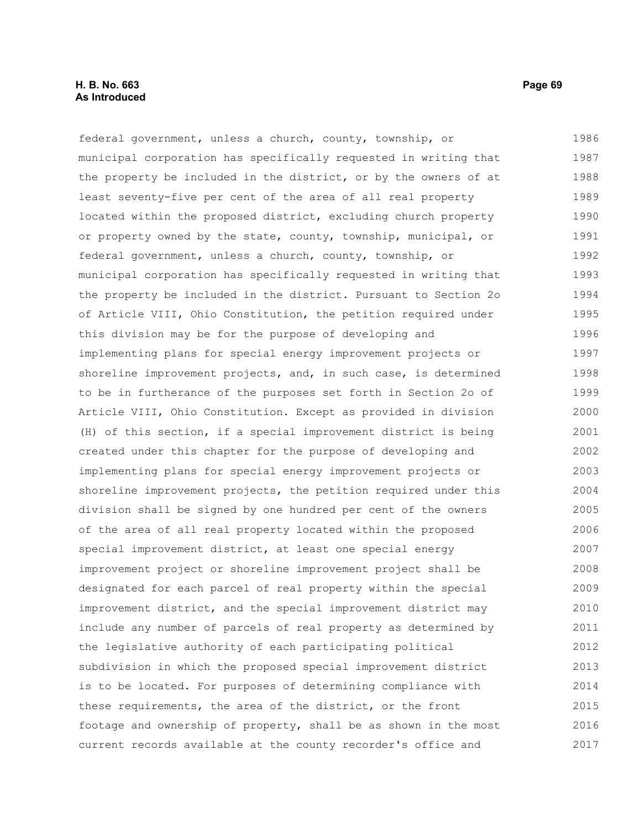# **H. B. No. 663 Page 69 As Introduced**

federal government, unless a church, county, township, or municipal corporation has specifically requested in writing that the property be included in the district, or by the owners of at least seventy-five per cent of the area of all real property located within the proposed district, excluding church property or property owned by the state, county, township, municipal, or federal government, unless a church, county, township, or municipal corporation has specifically requested in writing that the property be included in the district. Pursuant to Section 2o of Article VIII, Ohio Constitution, the petition required under this division may be for the purpose of developing and implementing plans for special energy improvement projects or shoreline improvement projects, and, in such case, is determined to be in furtherance of the purposes set forth in Section 2o of Article VIII, Ohio Constitution. Except as provided in division (H) of this section, if a special improvement district is being created under this chapter for the purpose of developing and implementing plans for special energy improvement projects or shoreline improvement projects, the petition required under this division shall be signed by one hundred per cent of the owners of the area of all real property located within the proposed special improvement district, at least one special energy improvement project or shoreline improvement project shall be designated for each parcel of real property within the special improvement district, and the special improvement district may include any number of parcels of real property as determined by the legislative authority of each participating political subdivision in which the proposed special improvement district is to be located. For purposes of determining compliance with these requirements, the area of the district, or the front footage and ownership of property, shall be as shown in the most current records available at the county recorder's office and 1986 1987 1988 1989 1990 1991 1992 1993 1994 1995 1996 1997 1998 1999 2000 2001 2002 2003 2004 2005 2006 2007 2008 2009 2010 2011 2012 2013 2014 2015 2016 2017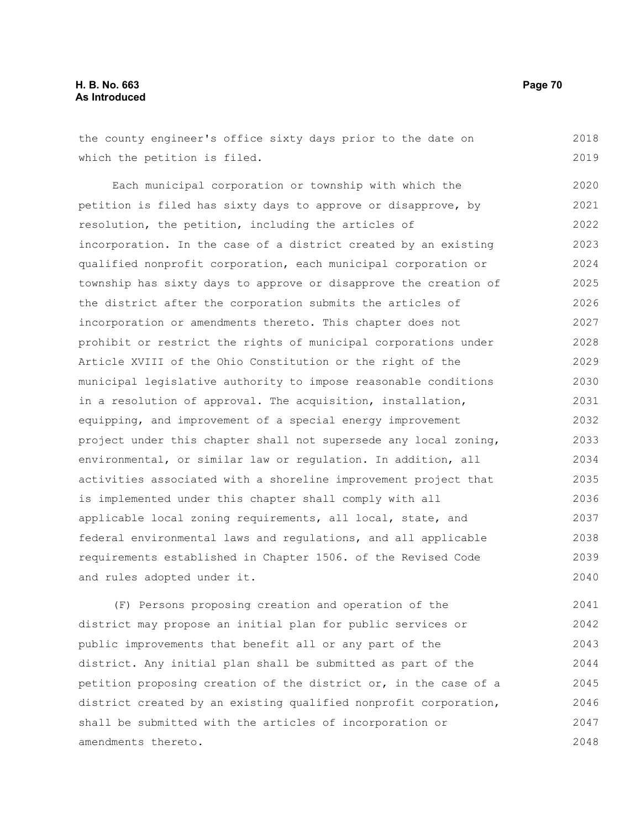| the county engineer's office sixty days prior to the date on     | 2018 |
|------------------------------------------------------------------|------|
| which the petition is filed.                                     | 2019 |
| Each municipal corporation or township with which the            | 2020 |
| petition is filed has sixty days to approve or disapprove, by    | 2021 |
| resolution, the petition, including the articles of              | 2022 |
| incorporation. In the case of a district created by an existing  | 2023 |
| qualified nonprofit corporation, each municipal corporation or   | 2024 |
| township has sixty days to approve or disapprove the creation of | 2025 |
| the district after the corporation submits the articles of       | 2026 |
| incorporation or amendments thereto. This chapter does not       | 2027 |
| prohibit or restrict the rights of municipal corporations under  | 2028 |
| Article XVIII of the Ohio Constitution or the right of the       | 2029 |
| municipal legislative authority to impose reasonable conditions  | 2030 |
| in a resolution of approval. The acquisition, installation,      | 2031 |
| equipping, and improvement of a special energy improvement       | 2032 |
| project under this chapter shall not supersede any local zoning, | 2033 |
| environmental, or similar law or regulation. In addition, all    | 2034 |
| activities associated with a shoreline improvement project that  | 2035 |
| is implemented under this chapter shall comply with all          | 2036 |
| applicable local zoning requirements, all local, state, and      | 2037 |
| federal environmental laws and regulations, and all applicable   | 2038 |
| requirements established in Chapter 1506. of the Revised Code    | 2039 |
| and rules adopted under it.                                      | 2040 |
|                                                                  |      |

(F) Persons proposing creation and operation of the district may propose an initial plan for public services or public improvements that benefit all or any part of the district. Any initial plan shall be submitted as part of the petition proposing creation of the district or, in the case of a district created by an existing qualified nonprofit corporation, shall be submitted with the articles of incorporation or amendments thereto. 2041 2042 2043 2044 2045 2046 2047 2048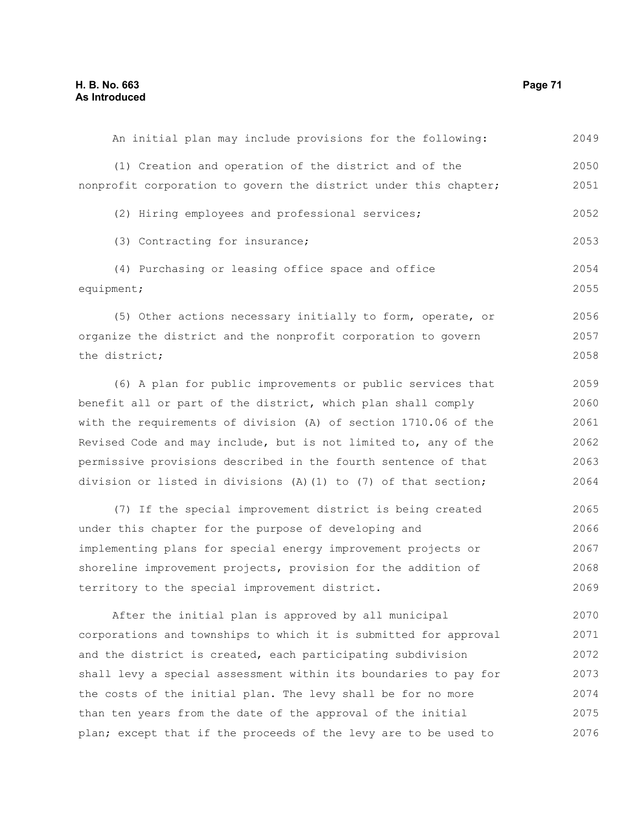| (1) Creation and operation of the district and of the             | 2050 |
|-------------------------------------------------------------------|------|
| nonprofit corporation to govern the district under this chapter;  | 2051 |
| (2) Hiring employees and professional services;                   | 2052 |
| (3) Contracting for insurance;                                    | 2053 |
| (4) Purchasing or leasing office space and office                 | 2054 |
| equipment;                                                        | 2055 |
| (5) Other actions necessary initially to form, operate, or        | 2056 |
| organize the district and the nonprofit corporation to govern     | 2057 |
| the district;                                                     | 2058 |
| (6) A plan for public improvements or public services that        | 2059 |
| benefit all or part of the district, which plan shall comply      | 2060 |
| with the requirements of division (A) of section 1710.06 of the   | 2061 |
| Revised Code and may include, but is not limited to, any of the   | 2062 |
| permissive provisions described in the fourth sentence of that    | 2063 |
| division or listed in divisions $(A)$ (1) to (7) of that section; | 2064 |
| (7) If the special improvement district is being created          | 2065 |
| under this chapter for the purpose of developing and              | 2066 |
| implementing plans for special energy improvement projects or     | 2067 |
| shoreline improvement projects, provision for the addition of     | 2068 |
| territory to the special improvement district.                    | 2069 |
| After the initial plan is approved by all municipal               | 2070 |
| corporations and townships to which it is submitted for approval  | 2071 |
| and the district is created, each participating subdivision       | 2072 |
| shall levy a special assessment within its boundaries to pay for  | 2073 |
| the costs of the initial plan. The levy shall be for no more      | 2074 |
| than ten years from the date of the approval of the initial       | 2075 |
| plan; except that if the proceeds of the levy are to be used to   | 2076 |

An initial plan may include provisions for the following:

2049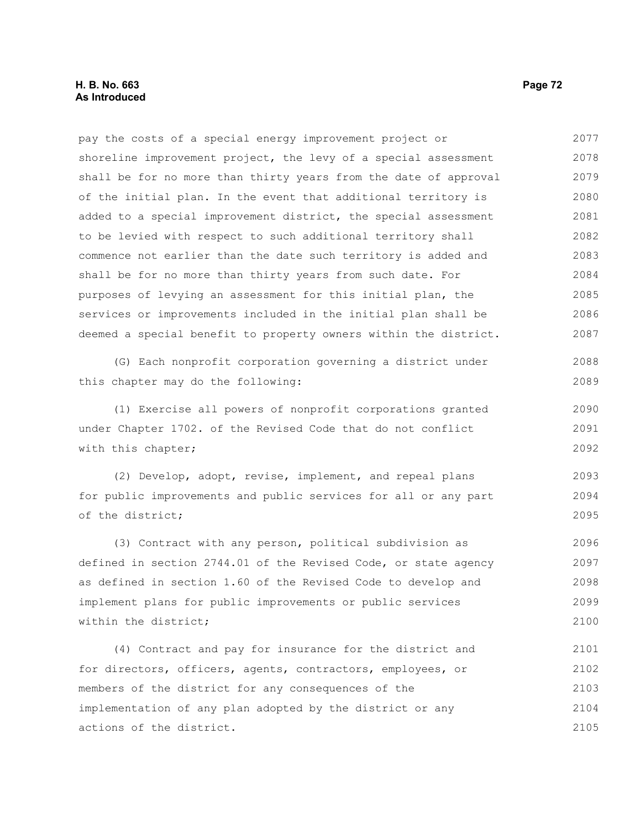pay the costs of a special energy improvement project or shoreline improvement project, the levy of a special assessment shall be for no more than thirty years from the date of approval of the initial plan. In the event that additional territory is added to a special improvement district, the special assessment to be levied with respect to such additional territory shall commence not earlier than the date such territory is added and shall be for no more than thirty years from such date. For purposes of levying an assessment for this initial plan, the services or improvements included in the initial plan shall be deemed a special benefit to property owners within the district. (G) Each nonprofit corporation governing a district under this chapter may do the following: (1) Exercise all powers of nonprofit corporations granted under Chapter 1702. of the Revised Code that do not conflict with this chapter; (2) Develop, adopt, revise, implement, and repeal plans for public improvements and public services for all or any part of the district; (3) Contract with any person, political subdivision as defined in section 2744.01 of the Revised Code, or state agency as defined in section 1.60 of the Revised Code to develop and implement plans for public improvements or public services within the district; (4) Contract and pay for insurance for the district and for directors, officers, agents, contractors, employees, or 2077 2078 2079 2080 2081 2082 2083 2084 2085 2086 2087 2088 2089 2090 2091 2092 2093 2094 2095 2096 2097 2098 2099 2100 2101 2102

members of the district for any consequences of the implementation of any plan adopted by the district or any actions of the district. 2103 2104 2105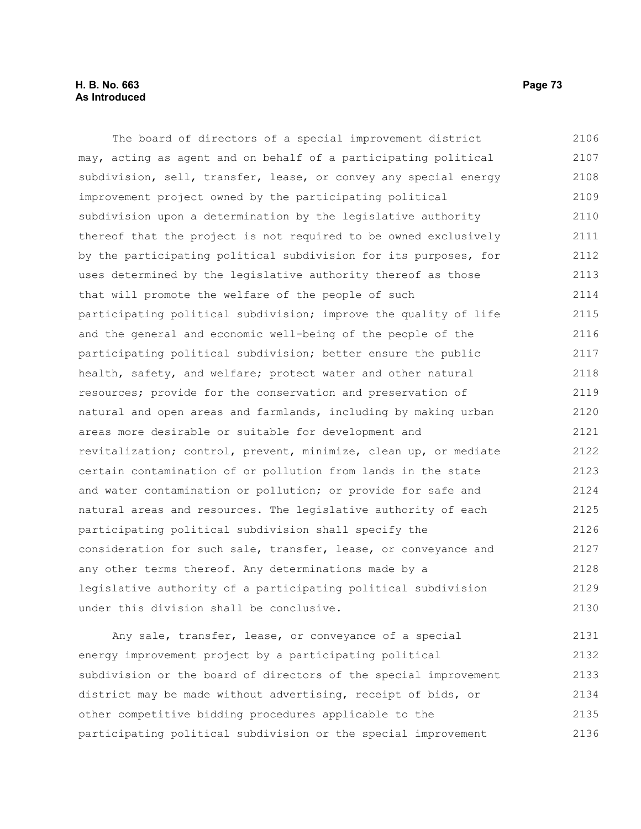## **H. B. No. 663 Page 73 As Introduced**

The board of directors of a special improvement district may, acting as agent and on behalf of a participating political subdivision, sell, transfer, lease, or convey any special energy improvement project owned by the participating political subdivision upon a determination by the legislative authority thereof that the project is not required to be owned exclusively by the participating political subdivision for its purposes, for uses determined by the legislative authority thereof as those that will promote the welfare of the people of such participating political subdivision; improve the quality of life and the general and economic well-being of the people of the participating political subdivision; better ensure the public health, safety, and welfare; protect water and other natural resources; provide for the conservation and preservation of natural and open areas and farmlands, including by making urban areas more desirable or suitable for development and revitalization; control, prevent, minimize, clean up, or mediate certain contamination of or pollution from lands in the state and water contamination or pollution; or provide for safe and natural areas and resources. The legislative authority of each participating political subdivision shall specify the consideration for such sale, transfer, lease, or conveyance and any other terms thereof. Any determinations made by a legislative authority of a participating political subdivision under this division shall be conclusive. 2106 2107 2108 2109 2110 2111 2112 2113 2114 2115 2116 2117 2118 2119 2120 2121 2122 2123 2124 2125 2126 2127 2128 2129 2130

Any sale, transfer, lease, or conveyance of a special energy improvement project by a participating political subdivision or the board of directors of the special improvement district may be made without advertising, receipt of bids, or other competitive bidding procedures applicable to the participating political subdivision or the special improvement 2131 2132 2133 2134 2135 2136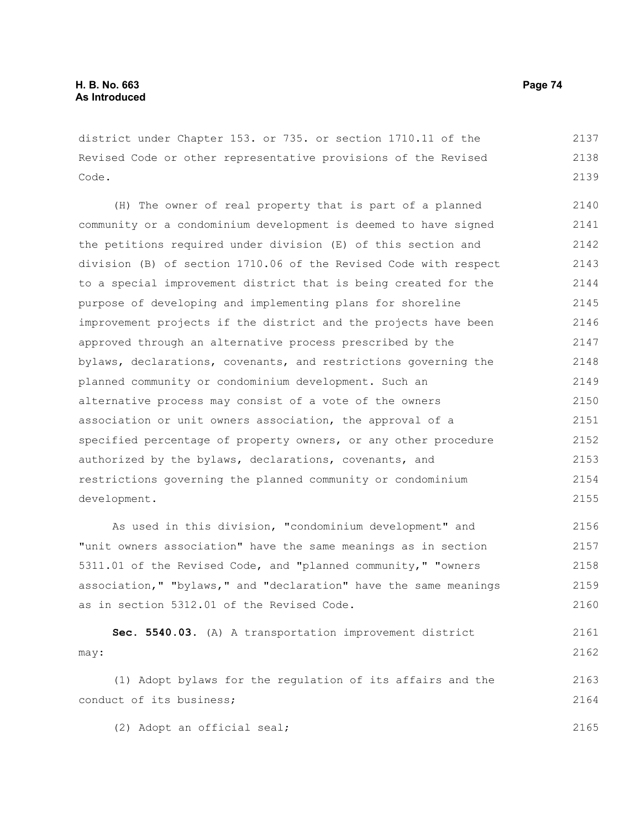district under Chapter 153. or 735. or section 1710.11 of the Revised Code or other representative provisions of the Revised Code. 2137 2138 2139

(H) The owner of real property that is part of a planned community or a condominium development is deemed to have signed the petitions required under division (E) of this section and division (B) of section 1710.06 of the Revised Code with respect to a special improvement district that is being created for the purpose of developing and implementing plans for shoreline improvement projects if the district and the projects have been approved through an alternative process prescribed by the bylaws, declarations, covenants, and restrictions governing the planned community or condominium development. Such an alternative process may consist of a vote of the owners association or unit owners association, the approval of a specified percentage of property owners, or any other procedure authorized by the bylaws, declarations, covenants, and restrictions governing the planned community or condominium development. 2140 2141 2142 2143 2144 2145 2146 2147 2148 2149 2150 2151 2152 2153 2154 2155

As used in this division, "condominium development" and "unit owners association" have the same meanings as in section 5311.01 of the Revised Code, and "planned community," "owners association," "bylaws," and "declaration" have the same meanings as in section 5312.01 of the Revised Code. 2156 2157 2158 2159 2160

```
Sec. 5540.03. (A) A transportation improvement district
may: 
     (1) Adopt bylaws for the regulation of its affairs and the
                                                                           2161
                                                                           2162
                                                                           2163
```
conduct of its business; 2164

(2) Adopt an official seal;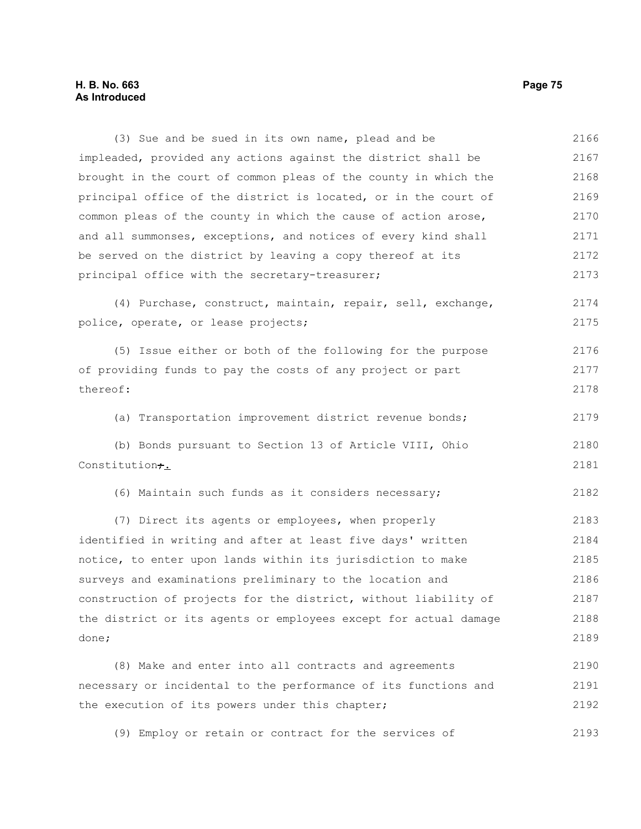## **H. B. No. 663 Page 75 As Introduced**

(3) Sue and be sued in its own name, plead and be impleaded, provided any actions against the district shall be brought in the court of common pleas of the county in which the principal office of the district is located, or in the court of common pleas of the county in which the cause of action arose, and all summonses, exceptions, and notices of every kind shall be served on the district by leaving a copy thereof at its principal office with the secretary-treasurer; (4) Purchase, construct, maintain, repair, sell, exchange, police, operate, or lease projects; (5) Issue either or both of the following for the purpose of providing funds to pay the costs of any project or part thereof: (a) Transportation improvement district revenue bonds; (b) Bonds pursuant to Section 13 of Article VIII, Ohio Constitution<sub>7.</sub> (6) Maintain such funds as it considers necessary; (7) Direct its agents or employees, when properly identified in writing and after at least five days' written notice, to enter upon lands within its jurisdiction to make surveys and examinations preliminary to the location and construction of projects for the district, without liability of the district or its agents or employees except for actual damage done; (8) Make and enter into all contracts and agreements necessary or incidental to the performance of its functions and 2166 2167 2168 2169 2170 2171 2172 2173 2174 2175 2176 2177 2178 2179 2180 2181 2182 2183 2184 2185 2186 2187 2188 2189 2190 2191

(9) Employ or retain or contract for the services of 2193

the execution of its powers under this chapter;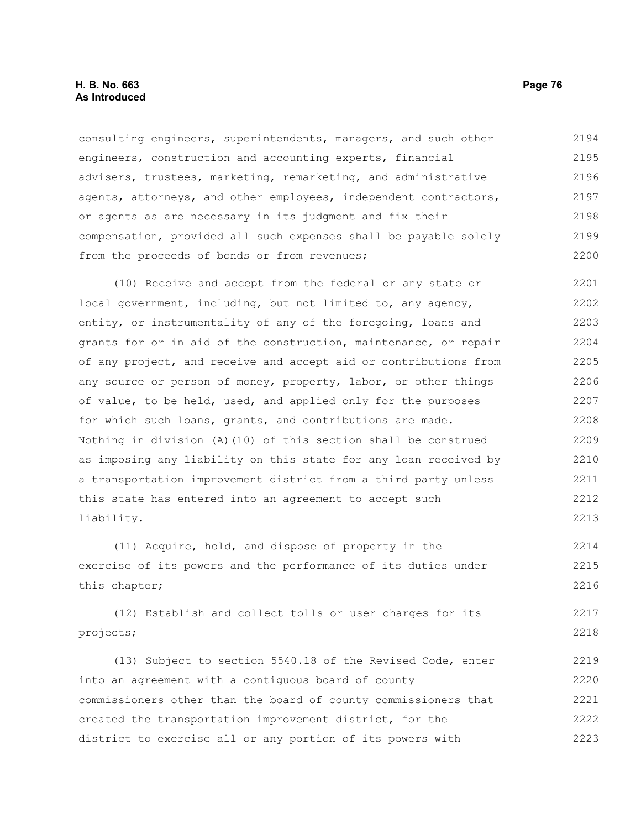## **H. B. No. 663 Page 76 As Introduced**

consulting engineers, superintendents, managers, and such other engineers, construction and accounting experts, financial advisers, trustees, marketing, remarketing, and administrative agents, attorneys, and other employees, independent contractors, or agents as are necessary in its judgment and fix their compensation, provided all such expenses shall be payable solely from the proceeds of bonds or from revenues; 2194 2195 2196 2197 2198 2199 2200

(10) Receive and accept from the federal or any state or local government, including, but not limited to, any agency, entity, or instrumentality of any of the foregoing, loans and grants for or in aid of the construction, maintenance, or repair of any project, and receive and accept aid or contributions from any source or person of money, property, labor, or other things of value, to be held, used, and applied only for the purposes for which such loans, grants, and contributions are made. Nothing in division (A)(10) of this section shall be construed as imposing any liability on this state for any loan received by a transportation improvement district from a third party unless this state has entered into an agreement to accept such liability. 2201 2202 2203 2204 2205 2206 2207 2208 2209 2210 2211 2212 2213

(11) Acquire, hold, and dispose of property in the exercise of its powers and the performance of its duties under this chapter; 2214 2215 2216

(12) Establish and collect tolls or user charges for its projects; 2217 2218

(13) Subject to section 5540.18 of the Revised Code, enter into an agreement with a contiguous board of county commissioners other than the board of county commissioners that created the transportation improvement district, for the district to exercise all or any portion of its powers with 2219 2220 2221 2222 2223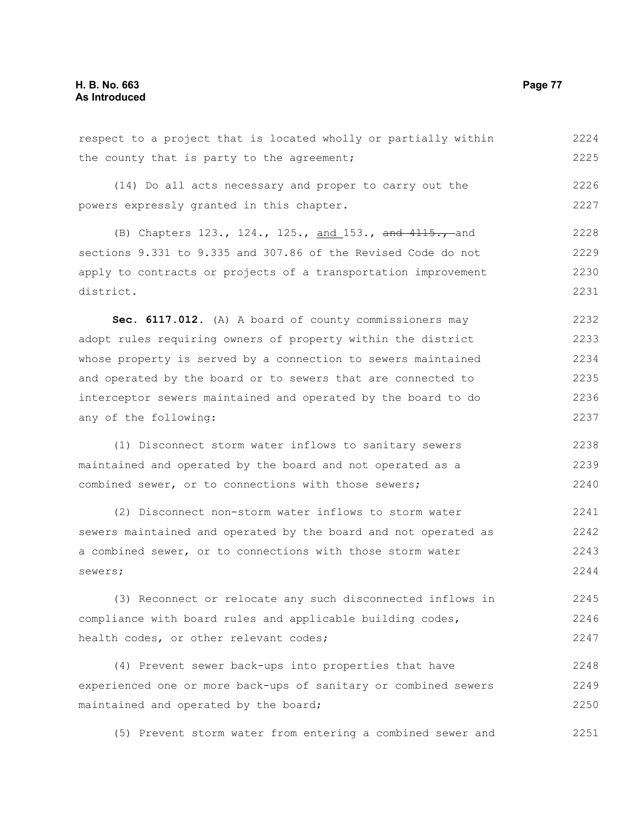respect to a project that is located wholly or partially within the county that is party to the agreement; (14) Do all acts necessary and proper to carry out the powers expressly granted in this chapter. (B) Chapters 123., 124., 125., and 153., and 4115., and sections 9.331 to 9.335 and 307.86 of the Revised Code do not apply to contracts or projects of a transportation improvement district. **Sec. 6117.012.** (A) A board of county commissioners may adopt rules requiring owners of property within the district whose property is served by a connection to sewers maintained and operated by the board or to sewers that are connected to interceptor sewers maintained and operated by the board to do any of the following: (1) Disconnect storm water inflows to sanitary sewers maintained and operated by the board and not operated as a combined sewer, or to connections with those sewers; (2) Disconnect non-storm water inflows to storm water sewers maintained and operated by the board and not operated as a combined sewer, or to connections with those storm water sewers; (3) Reconnect or relocate any such disconnected inflows in compliance with board rules and applicable building codes, health codes, or other relevant codes; (4) Prevent sewer back-ups into properties that have experienced one or more back-ups of sanitary or combined sewers maintained and operated by the board; 2224 2225 2226 2227 2228 2229 2230 2231 2232 2233 2234 2235 2236 2237 2238 2239 2240 2241 2242 2243 2244 2245 2246 2247 2248 2249

(5) Prevent storm water from entering a combined sewer and 2251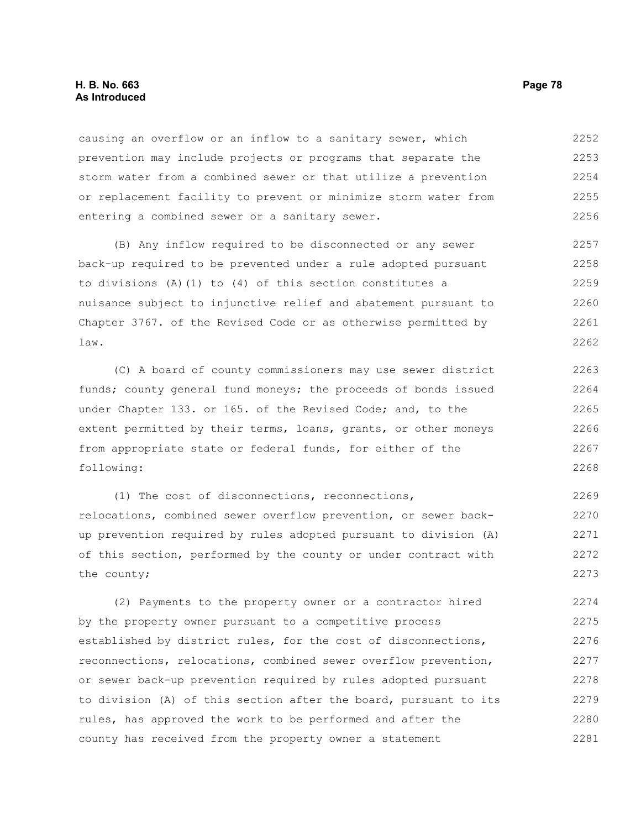## **H. B. No. 663 Page 78 As Introduced**

causing an overflow or an inflow to a sanitary sewer, which prevention may include projects or programs that separate the storm water from a combined sewer or that utilize a prevention or replacement facility to prevent or minimize storm water from entering a combined sewer or a sanitary sewer. 2252 2253 2254 2255 2256

(B) Any inflow required to be disconnected or any sewer back-up required to be prevented under a rule adopted pursuant to divisions (A)(1) to (4) of this section constitutes a nuisance subject to injunctive relief and abatement pursuant to Chapter 3767. of the Revised Code or as otherwise permitted by law. 2257 2258 2259 2260 2261 2262

(C) A board of county commissioners may use sewer district funds; county general fund moneys; the proceeds of bonds issued under Chapter 133. or 165. of the Revised Code; and, to the extent permitted by their terms, loans, grants, or other moneys from appropriate state or federal funds, for either of the following:

(1) The cost of disconnections, reconnections, relocations, combined sewer overflow prevention, or sewer backup prevention required by rules adopted pursuant to division (A) of this section, performed by the county or under contract with the county; 2269 2270 2271 2272 2273

(2) Payments to the property owner or a contractor hired by the property owner pursuant to a competitive process established by district rules, for the cost of disconnections, reconnections, relocations, combined sewer overflow prevention, or sewer back-up prevention required by rules adopted pursuant to division (A) of this section after the board, pursuant to its rules, has approved the work to be performed and after the county has received from the property owner a statement 2274 2275 2276 2277 2278 2279 2280 2281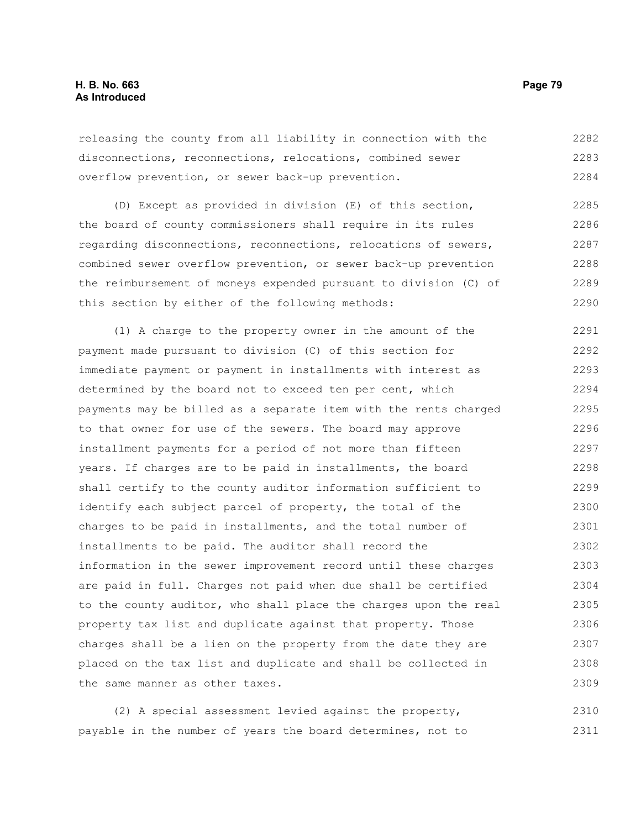releasing the county from all liability in connection with the disconnections, reconnections, relocations, combined sewer overflow prevention, or sewer back-up prevention. 2282 2283 2284

(D) Except as provided in division (E) of this section, the board of county commissioners shall require in its rules regarding disconnections, reconnections, relocations of sewers, combined sewer overflow prevention, or sewer back-up prevention the reimbursement of moneys expended pursuant to division (C) of this section by either of the following methods: 2285 2286 2287 2288 2289 2290

(1) A charge to the property owner in the amount of the payment made pursuant to division (C) of this section for immediate payment or payment in installments with interest as determined by the board not to exceed ten per cent, which payments may be billed as a separate item with the rents charged to that owner for use of the sewers. The board may approve installment payments for a period of not more than fifteen years. If charges are to be paid in installments, the board shall certify to the county auditor information sufficient to identify each subject parcel of property, the total of the charges to be paid in installments, and the total number of installments to be paid. The auditor shall record the information in the sewer improvement record until these charges are paid in full. Charges not paid when due shall be certified to the county auditor, who shall place the charges upon the real property tax list and duplicate against that property. Those charges shall be a lien on the property from the date they are placed on the tax list and duplicate and shall be collected in the same manner as other taxes. 2291 2292 2293 2294 2295 2296 2297 2298 2299 2300 2301 2302 2303 2304 2305 2306 2307 2308 2309

(2) A special assessment levied against the property, payable in the number of years the board determines, not to 2310 2311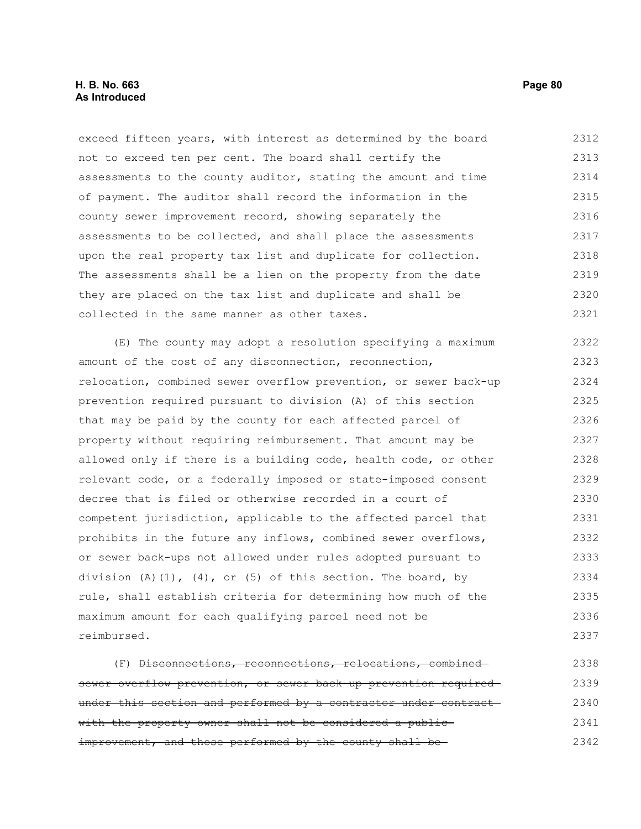exceed fifteen years, with interest as determined by the board not to exceed ten per cent. The board shall certify the assessments to the county auditor, stating the amount and time of payment. The auditor shall record the information in the county sewer improvement record, showing separately the assessments to be collected, and shall place the assessments upon the real property tax list and duplicate for collection. The assessments shall be a lien on the property from the date they are placed on the tax list and duplicate and shall be collected in the same manner as other taxes. 2312 2313 2314 2315 2316 2317 2318 2319 2320 2321

(E) The county may adopt a resolution specifying a maximum amount of the cost of any disconnection, reconnection, relocation, combined sewer overflow prevention, or sewer back-up prevention required pursuant to division (A) of this section that may be paid by the county for each affected parcel of property without requiring reimbursement. That amount may be allowed only if there is a building code, health code, or other relevant code, or a federally imposed or state-imposed consent decree that is filed or otherwise recorded in a court of competent jurisdiction, applicable to the affected parcel that prohibits in the future any inflows, combined sewer overflows, or sewer back-ups not allowed under rules adopted pursuant to division  $(A)$   $(1)$ ,  $(4)$ , or  $(5)$  of this section. The board, by rule, shall establish criteria for determining how much of the maximum amount for each qualifying parcel need not be reimbursed. 2322 2323 2324 2325 2326 2327 2328 2329 2330 2331 2332 2333 2334 2335 2336 2337

(F) Disconnections, reconnections, relocations, combined sewer overflow prevention, or sewer back-up prevention requiredunder this section and performed by a contractor under contractwith the property owner shall not be considered a publicimprovement, and those performed by the county shall be-2338 2339 2340 2341 2342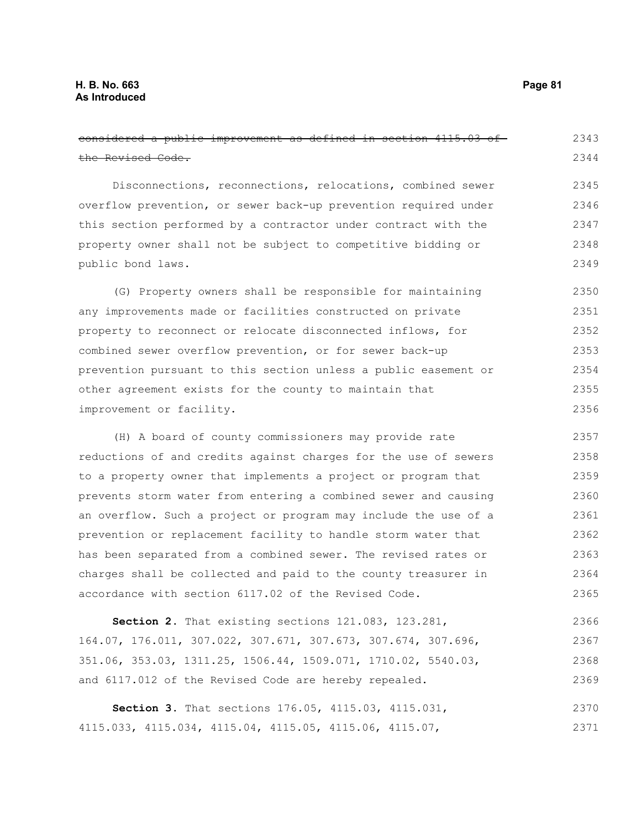| considered a public improvement as defined in section 4115.03 of | 2343 |
|------------------------------------------------------------------|------|
| the Revised Code.                                                | 2344 |
| Disconnections, reconnections, relocations, combined sewer       | 2345 |
| overflow prevention, or sewer back-up prevention required under  | 2346 |
| this section performed by a contractor under contract with the   | 2347 |
| property owner shall not be subject to competitive bidding or    | 2348 |
| public bond laws.                                                | 2349 |
| (G) Property owners shall be responsible for maintaining         | 2350 |
| any improvements made or facilities constructed on private       | 2351 |
| property to reconnect or relocate disconnected inflows, for      | 2352 |
| combined sewer overflow prevention, or for sewer back-up         | 2353 |
| prevention pursuant to this section unless a public easement or  | 2354 |
| other agreement exists for the county to maintain that           | 2355 |
| improvement or facility.                                         | 2356 |
| (H) A board of county commissioners may provide rate             | 2357 |
| reductions of and credits against charges for the use of sewers  | 2358 |
| to a property owner that implements a project or program that    | 2359 |
| prevents storm water from entering a combined sewer and causing  | 2360 |
| an overflow. Such a project or program may include the use of a  | 2361 |
| prevention or replacement facility to handle storm water that    | 2362 |
| has been separated from a combined sewer. The revised rates or   | 2363 |
| charges shall be collected and paid to the county treasurer in   | 2364 |
| accordance with section 6117.02 of the Revised Code.             | 2365 |
| Section 2. That existing sections 121.083, 123.281,              | 2366 |
| 164.07, 176.011, 307.022, 307.671, 307.673, 307.674, 307.696,    | 2367 |
| 351.06, 353.03, 1311.25, 1506.44, 1509.071, 1710.02, 5540.03,    | 2368 |
| and 6117.012 of the Revised Code are hereby repealed.            | 2369 |
| Section 3. That sections 176.05, 4115.03, 4115.031,              | 2370 |
| 4115.033, 4115.034, 4115.04, 4115.05, 4115.06, 4115.07,          | 2371 |